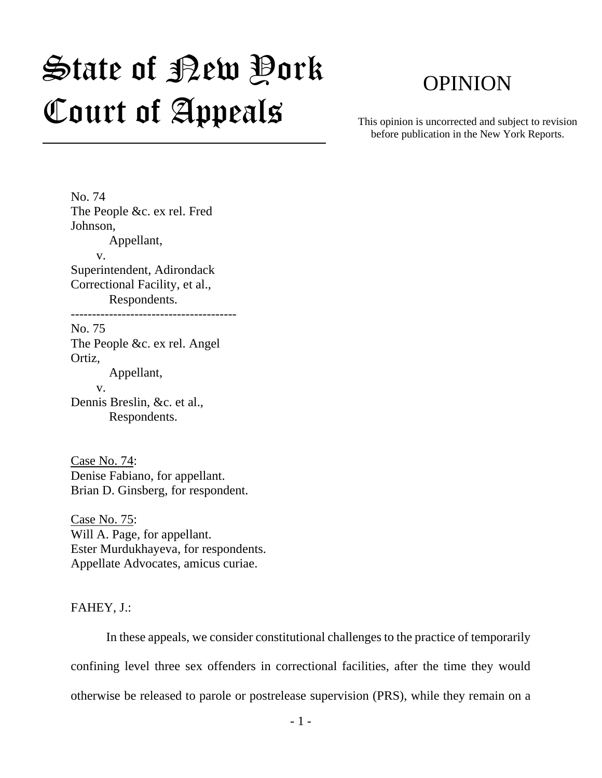# $\mathfrak{S}$ tate of Bew Pork Court of Appeals

# OPINION

This opinion is uncorrected and subject to revision before publication in the New York Reports.

No. 74 The People &c. ex rel. Fred Johnson, Appellant, v. Superintendent, Adirondack Correctional Facility, et al., Respondents. --------------------------------------- No. 75 The People &c. ex rel. Angel Ortiz, Appellant, v. Dennis Breslin, &c. et al., Respondents.

Case No. 74: Denise Fabiano, for appellant. Brian D. Ginsberg, for respondent.

Case No. 75: Will A. Page, for appellant. Ester Murdukhayeva, for respondents. Appellate Advocates, amicus curiae.

FAHEY, J.:

In these appeals, we consider constitutional challenges to the practice of temporarily confining level three sex offenders in correctional facilities, after the time they would otherwise be released to parole or postrelease supervision (PRS), while they remain on a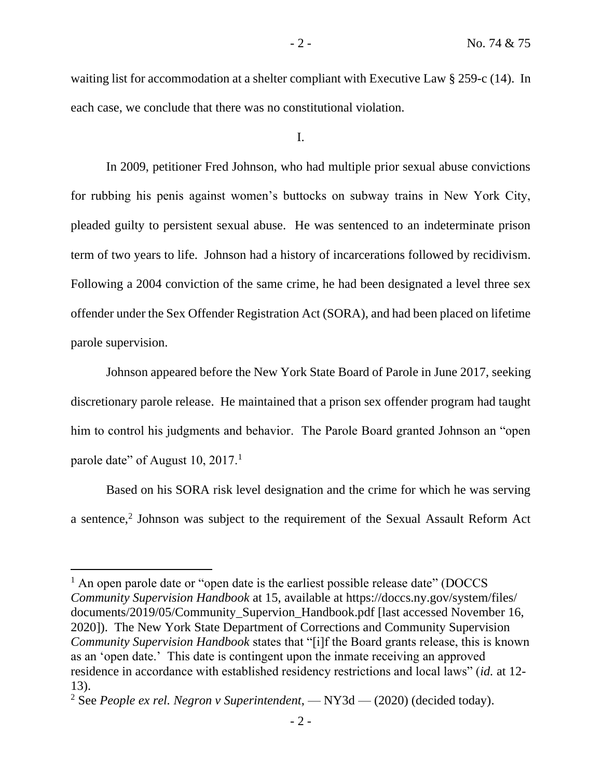waiting list for accommodation at a shelter compliant with Executive Law § 259-c (14). In each case, we conclude that there was no constitutional violation.

I.

In 2009, petitioner Fred Johnson, who had multiple prior sexual abuse convictions for rubbing his penis against women's buttocks on subway trains in New York City, pleaded guilty to persistent sexual abuse. He was sentenced to an indeterminate prison term of two years to life. Johnson had a history of incarcerations followed by recidivism. Following a 2004 conviction of the same crime, he had been designated a level three sex offender under the Sex Offender Registration Act (SORA), and had been placed on lifetime parole supervision.

Johnson appeared before the New York State Board of Parole in June 2017, seeking discretionary parole release. He maintained that a prison sex offender program had taught him to control his judgments and behavior. The Parole Board granted Johnson an "open parole date" of August 10, 2017.<sup>1</sup>

Based on his SORA risk level designation and the crime for which he was serving a sentence,<sup>2</sup> Johnson was subject to the requirement of the Sexual Assault Reform Act

<sup>&</sup>lt;sup>1</sup> An open parole date or "open date is the earliest possible release date" (DOCCS *Community Supervision Handbook* at 15, available at https://doccs.ny.gov/system/files/ documents/2019/05/Community\_Supervion\_Handbook.pdf [last accessed November 16, 2020]). The New York State Department of Corrections and Community Supervision *Community Supervision Handbook* states that "[i]f the Board grants release, this is known as an 'open date.' This date is contingent upon the inmate receiving an approved residence in accordance with established residency restrictions and local laws" (*id.* at 12- 13).

<sup>2</sup> See *People ex rel. Negron v Superintendent*, — NY3d — (2020) (decided today).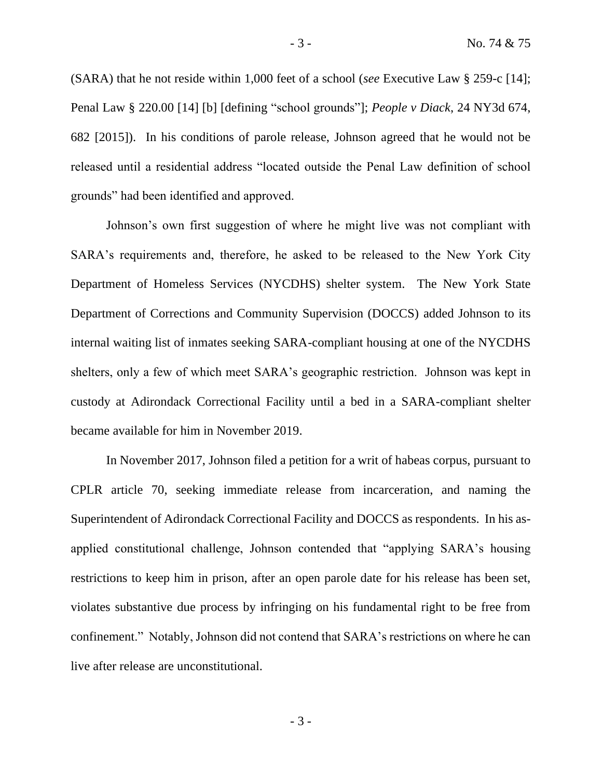(SARA) that he not reside within 1,000 feet of a school (*see* Executive Law § 259-c [14]; Penal Law § 220.00 [14] [b] [defining "school grounds"]; *People v Diack*, 24 NY3d 674, 682 [2015]). In his conditions of parole release, Johnson agreed that he would not be released until a residential address "located outside the Penal Law definition of school grounds" had been identified and approved.

Johnson's own first suggestion of where he might live was not compliant with SARA's requirements and, therefore, he asked to be released to the New York City Department of Homeless Services (NYCDHS) shelter system. The New York State Department of Corrections and Community Supervision (DOCCS) added Johnson to its internal waiting list of inmates seeking SARA-compliant housing at one of the NYCDHS shelters, only a few of which meet SARA's geographic restriction. Johnson was kept in custody at Adirondack Correctional Facility until a bed in a SARA-compliant shelter became available for him in November 2019.

In November 2017, Johnson filed a petition for a writ of habeas corpus, pursuant to CPLR article 70, seeking immediate release from incarceration, and naming the Superintendent of Adirondack Correctional Facility and DOCCS as respondents. In his asapplied constitutional challenge, Johnson contended that "applying SARA's housing restrictions to keep him in prison, after an open parole date for his release has been set, violates substantive due process by infringing on his fundamental right to be free from confinement." Notably, Johnson did not contend that SARA's restrictions on where he can live after release are unconstitutional.

- 3 -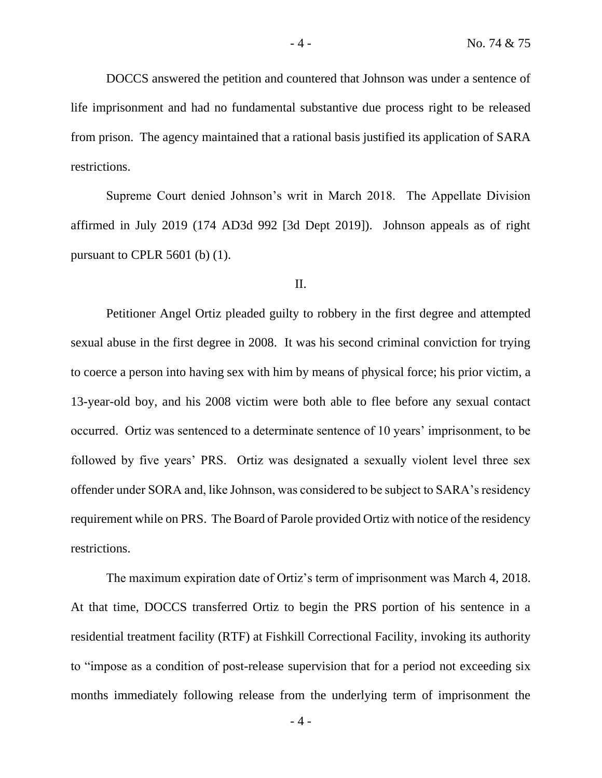DOCCS answered the petition and countered that Johnson was under a sentence of life imprisonment and had no fundamental substantive due process right to be released from prison. The agency maintained that a rational basis justified its application of SARA restrictions.

Supreme Court denied Johnson's writ in March 2018. The Appellate Division affirmed in July 2019 (174 AD3d 992 [3d Dept 2019]). Johnson appeals as of right pursuant to CPLR 5601 (b) (1).

#### II.

Petitioner Angel Ortiz pleaded guilty to robbery in the first degree and attempted sexual abuse in the first degree in 2008. It was his second criminal conviction for trying to coerce a person into having sex with him by means of physical force; his prior victim, a 13-year-old boy, and his 2008 victim were both able to flee before any sexual contact occurred. Ortiz was sentenced to a determinate sentence of 10 years' imprisonment, to be followed by five years' PRS. Ortiz was designated a sexually violent level three sex offender under SORA and, like Johnson, was considered to be subject to SARA's residency requirement while on PRS. The Board of Parole provided Ortiz with notice of the residency restrictions.

The maximum expiration date of Ortiz's term of imprisonment was March 4, 2018. At that time, DOCCS transferred Ortiz to begin the PRS portion of his sentence in a residential treatment facility (RTF) at Fishkill Correctional Facility, invoking its authority to "impose as a condition of post-release supervision that for a period not exceeding six months immediately following release from the underlying term of imprisonment the

- 4 -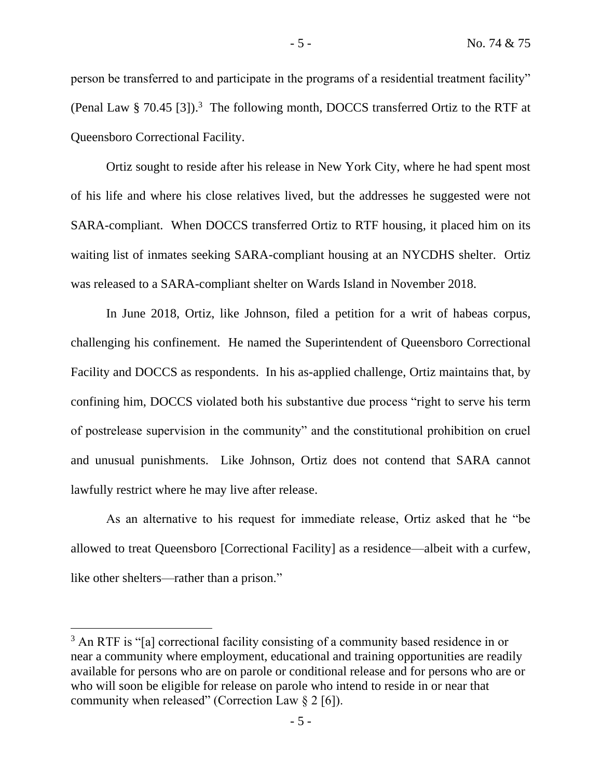person be transferred to and participate in the programs of a residential treatment facility" (Penal Law § 70.45 [3]).<sup>3</sup> The following month, DOCCS transferred Ortiz to the RTF at Queensboro Correctional Facility.

Ortiz sought to reside after his release in New York City, where he had spent most of his life and where his close relatives lived, but the addresses he suggested were not SARA-compliant. When DOCCS transferred Ortiz to RTF housing, it placed him on its waiting list of inmates seeking SARA-compliant housing at an NYCDHS shelter. Ortiz was released to a SARA-compliant shelter on Wards Island in November 2018.

In June 2018, Ortiz, like Johnson, filed a petition for a writ of habeas corpus, challenging his confinement. He named the Superintendent of Queensboro Correctional Facility and DOCCS as respondents. In his as-applied challenge, Ortiz maintains that, by confining him, DOCCS violated both his substantive due process "right to serve his term of postrelease supervision in the community" and the constitutional prohibition on cruel and unusual punishments. Like Johnson, Ortiz does not contend that SARA cannot lawfully restrict where he may live after release.

As an alternative to his request for immediate release, Ortiz asked that he "be allowed to treat Queensboro [Correctional Facility] as a residence—albeit with a curfew, like other shelters—rather than a prison."

<sup>&</sup>lt;sup>3</sup> An RTF is "[a] correctional facility consisting of a community based residence in or near a community where employment, educational and training opportunities are readily available for persons who are on parole or conditional release and for persons who are or who will soon be eligible for release on parole who intend to reside in or near that community when released" (Correction Law  $\S 2$  [6]).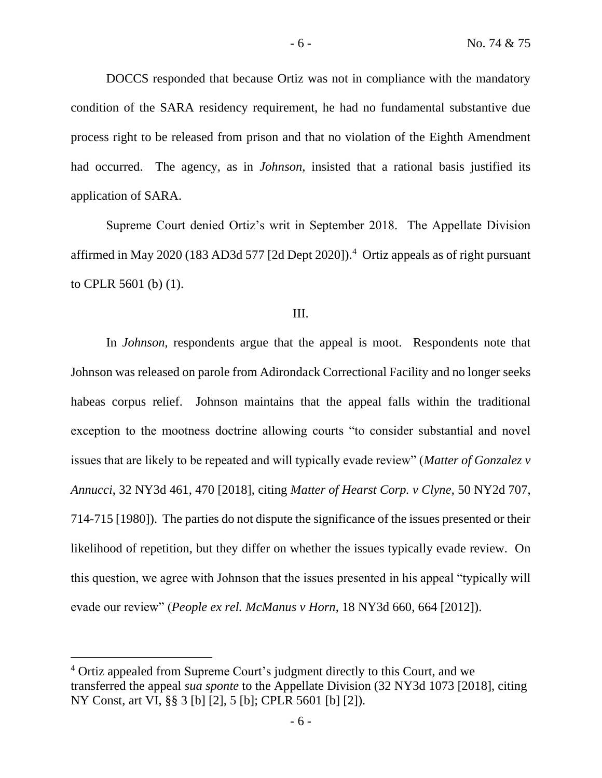DOCCS responded that because Ortiz was not in compliance with the mandatory condition of the SARA residency requirement, he had no fundamental substantive due process right to be released from prison and that no violation of the Eighth Amendment had occurred. The agency, as in *Johnson*, insisted that a rational basis justified its application of SARA.

Supreme Court denied Ortiz's writ in September 2018. The Appellate Division affirmed in May 2020 (183 AD3d 577 [2d Dept 2020]).<sup>4</sup> Ortiz appeals as of right pursuant to CPLR 5601 (b) (1).

#### III.

In *Johnson*, respondents argue that the appeal is moot. Respondents note that Johnson was released on parole from Adirondack Correctional Facility and no longer seeks habeas corpus relief. Johnson maintains that the appeal falls within the traditional exception to the mootness doctrine allowing courts "to consider substantial and novel issues that are likely to be repeated and will typically evade review" (*Matter of Gonzalez v Annucci*, 32 NY3d 461, 470 [2018], citing *Matter of Hearst Corp. v Clyne*, 50 NY2d 707, 714-715 [1980]). The parties do not dispute the significance of the issues presented or their likelihood of repetition, but they differ on whether the issues typically evade review. On this question, we agree with Johnson that the issues presented in his appeal "typically will evade our review" (*People ex rel. McManus v Horn*, 18 NY3d 660, 664 [2012]).

<sup>4</sup> Ortiz appealed from Supreme Court's judgment directly to this Court, and we transferred the appeal *sua sponte* to the Appellate Division (32 NY3d 1073 [2018], citing NY Const, art VI, §§ 3 [b] [2], 5 [b]; CPLR 5601 [b] [2]).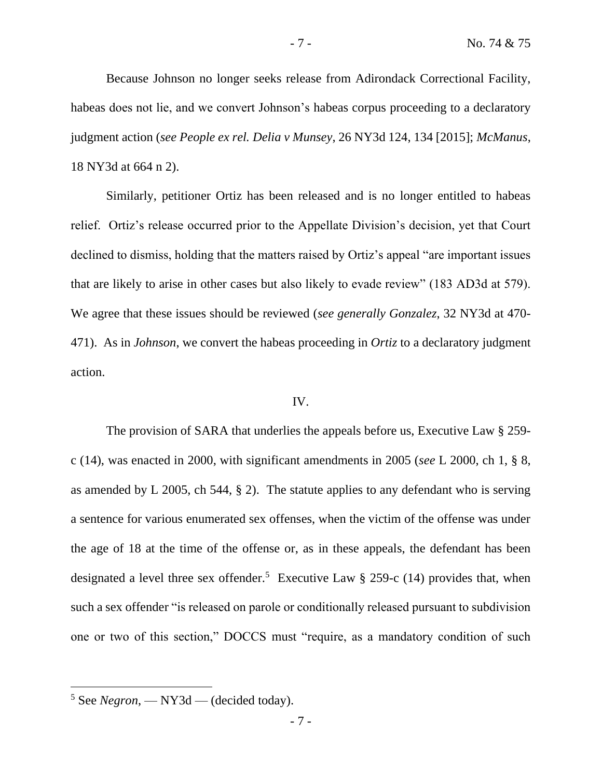Because Johnson no longer seeks release from Adirondack Correctional Facility, habeas does not lie, and we convert Johnson's habeas corpus proceeding to a declaratory judgment action (*see People ex rel. Delia v Munsey*, 26 NY3d 124, 134 [2015]; *McManus*, 18 NY3d at 664 n 2).

Similarly, petitioner Ortiz has been released and is no longer entitled to habeas relief. Ortiz's release occurred prior to the Appellate Division's decision, yet that Court declined to dismiss, holding that the matters raised by Ortiz's appeal "are important issues that are likely to arise in other cases but also likely to evade review" (183 AD3d at 579). We agree that these issues should be reviewed (*see generally Gonzalez*, 32 NY3d at 470- 471). As in *Johnson*, we convert the habeas proceeding in *Ortiz* to a declaratory judgment action.

# IV.

The provision of SARA that underlies the appeals before us, Executive Law § 259 c (14), was enacted in 2000, with significant amendments in 2005 (*see* L 2000, ch 1, § 8, as amended by L 2005, ch 544, § 2). The statute applies to any defendant who is serving a sentence for various enumerated sex offenses, when the victim of the offense was under the age of 18 at the time of the offense or, as in these appeals, the defendant has been designated a level three sex offender.<sup>5</sup> Executive Law § 259-c (14) provides that, when such a sex offender "is released on parole or conditionally released pursuant to subdivision one or two of this section," DOCCS must "require, as a mandatory condition of such

<sup>5</sup> See *Negron*, — NY3d — (decided today).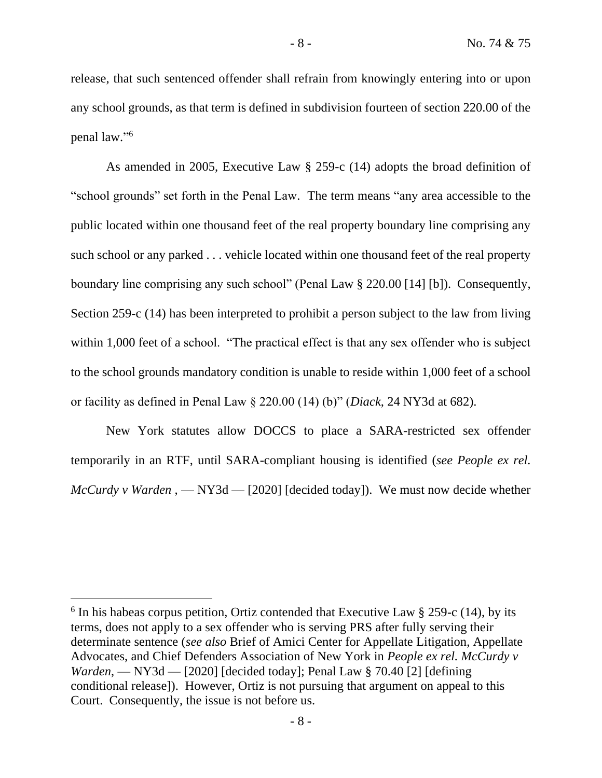release, that such sentenced offender shall refrain from knowingly entering into or upon any school grounds, as that term is defined in subdivision fourteen of section 220.00 of the penal law." 6

As amended in 2005, Executive Law § 259-c (14) adopts the broad definition of "school grounds" set forth in the Penal Law. The term means "any area accessible to the public located within one thousand feet of the real property boundary line comprising any such school or any parked . . . vehicle located within one thousand feet of the real property boundary line comprising any such school" (Penal Law § 220.00 [14] [b]). Consequently, Section 259-c (14) has been interpreted to prohibit a person subject to the law from living within 1,000 feet of a school. "The practical effect is that any sex offender who is subject to the school grounds mandatory condition is unable to reside within 1,000 feet of a school or facility as defined in Penal Law § 220.00 (14) (b)" (*Diack*, 24 NY3d at 682).

New York statutes allow DOCCS to place a SARA-restricted sex offender temporarily in an RTF, until SARA-compliant housing is identified (*see People ex rel. McCurdy v Warden*, — NY3d — [2020] [decided today]). We must now decide whether

 $6$  In his habeas corpus petition, Ortiz contended that Executive Law  $\S 259$ -c (14), by its terms, does not apply to a sex offender who is serving PRS after fully serving their determinate sentence (*see also* Brief of Amici Center for Appellate Litigation, Appellate Advocates, and Chief Defenders Association of New York in *People ex rel. McCurdy v Warden*, — NY3d — [2020] [decided today]; Penal Law § 70.40 [2] [defining conditional release]). However, Ortiz is not pursuing that argument on appeal to this Court. Consequently, the issue is not before us.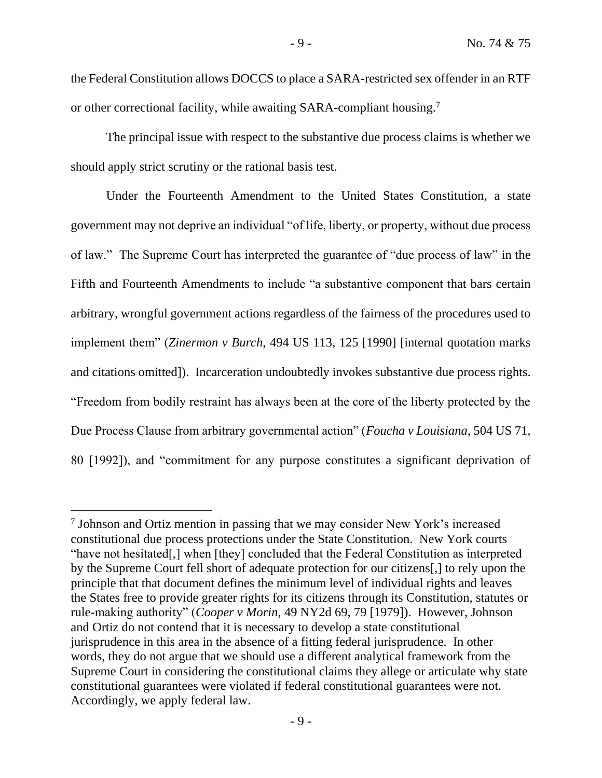the Federal Constitution allows DOCCS to place a SARA-restricted sex offender in an RTF or other correctional facility, while awaiting SARA-compliant housing.<sup>7</sup>

The principal issue with respect to the substantive due process claims is whether we should apply strict scrutiny or the rational basis test.

Under the Fourteenth Amendment to the United States Constitution, a state government may not deprive an individual "of life, liberty, or property, without due process of law." The Supreme Court has interpreted the guarantee of "due process of law" in the Fifth and Fourteenth Amendments to include "a substantive component that bars certain arbitrary, wrongful government actions regardless of the fairness of the procedures used to implement them" (*Zinermon v Burch*, 494 US 113, 125 [1990] [internal quotation marks and citations omitted]). Incarceration undoubtedly invokes substantive due process rights. "Freedom from bodily restraint has always been at the core of the liberty protected by the Due Process Clause from arbitrary governmental action" (*Foucha v Louisiana*, 504 US 71, 80 [1992]), and "commitment for any purpose constitutes a significant deprivation of

<sup>&</sup>lt;sup>7</sup> Johnson and Ortiz mention in passing that we may consider New York's increased constitutional due process protections under the State Constitution. New York courts "have not hesitated[,] when [they] concluded that the Federal Constitution as interpreted by the Supreme Court fell short of adequate protection for our citizens[,] to rely upon the principle that that document defines the minimum level of individual rights and leaves the States free to provide greater rights for its citizens through its Constitution, statutes or rule-making authority" (*Cooper v Morin*, 49 NY2d 69, 79 [1979]). However, Johnson and Ortiz do not contend that it is necessary to develop a state constitutional jurisprudence in this area in the absence of a fitting federal jurisprudence. In other words, they do not argue that we should use a different analytical framework from the Supreme Court in considering the constitutional claims they allege or articulate why state constitutional guarantees were violated if federal constitutional guarantees were not. Accordingly, we apply federal law.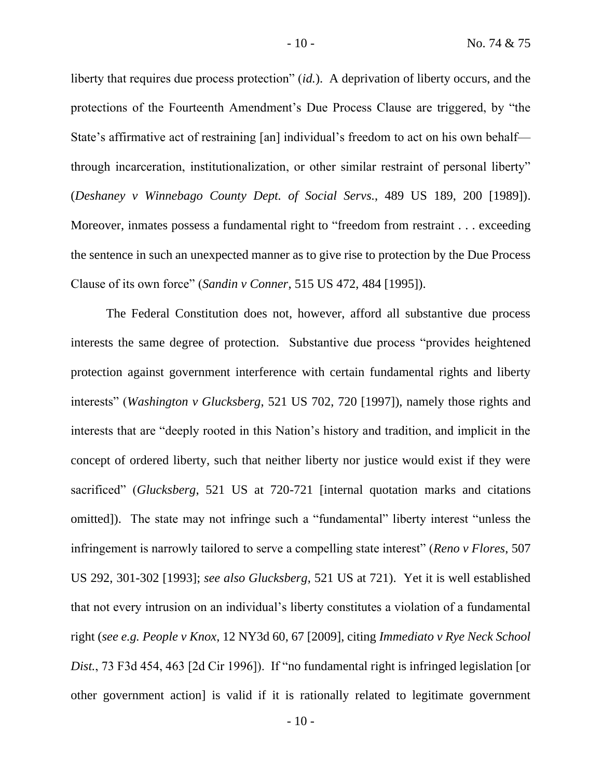liberty that requires due process protection" *(id.)*. A deprivation of liberty occurs, and the protections of the Fourteenth Amendment's Due Process Clause are triggered, by "the State's affirmative act of restraining [an] individual's freedom to act on his own behalf through incarceration, institutionalization, or other similar restraint of personal liberty" (*Deshaney v Winnebago County Dept. of Social Servs.*, 489 US 189, 200 [1989]). Moreover, inmates possess a fundamental right to "freedom from restraint . . . exceeding the sentence in such an unexpected manner as to give rise to protection by the Due Process Clause of its own force" (*Sandin v Conner*, 515 US 472, 484 [1995]).

The Federal Constitution does not, however, afford all substantive due process interests the same degree of protection. Substantive due process "provides heightened protection against government interference with certain fundamental rights and liberty interests" (*Washington v Glucksberg*, 521 US 702, 720 [1997]), namely those rights and interests that are "deeply rooted in this Nation's history and tradition, and implicit in the concept of ordered liberty, such that neither liberty nor justice would exist if they were sacrificed" (*Glucksberg*, 521 US at 720-721 [internal quotation marks and citations omitted]). The state may not infringe such a "fundamental" liberty interest "unless the infringement is narrowly tailored to serve a compelling state interest" (*Reno v Flores*, 507 US 292, 301-302 [1993]; *see also Glucksberg*, 521 US at 721). Yet it is well established that not every intrusion on an individual's liberty constitutes a violation of a fundamental right (*see e.g. People v Knox*, 12 NY3d 60, 67 [2009], citing *Immediato v Rye Neck School Dist.*, 73 F3d 454, 463 [2d Cir 1996]). If "no fundamental right is infringed legislation [or other government action] is valid if it is rationally related to legitimate government

 $-10-$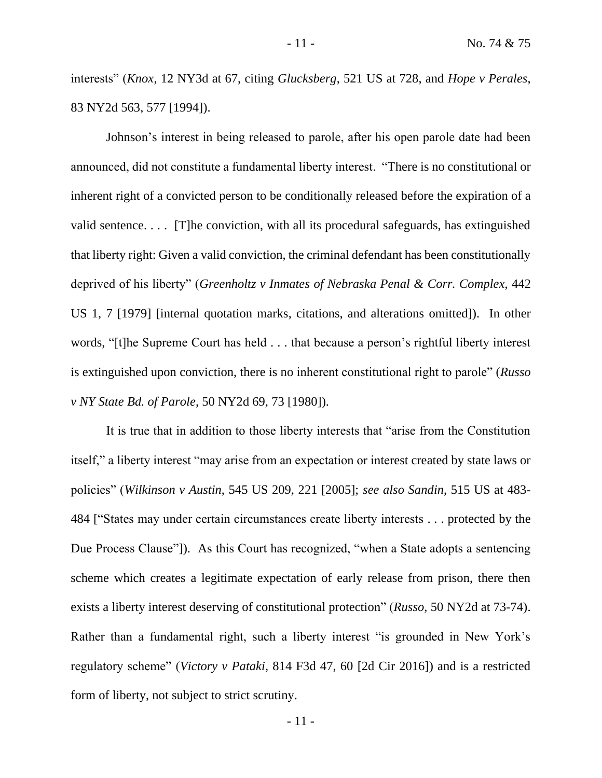interests" (*Knox*, 12 NY3d at 67, citing *Glucksberg*, 521 US at 728, and *Hope v Perales*, 83 NY2d 563, 577 [1994]).

Johnson's interest in being released to parole, after his open parole date had been announced, did not constitute a fundamental liberty interest. "There is no constitutional or inherent right of a convicted person to be conditionally released before the expiration of a valid sentence. . . . [T]he conviction, with all its procedural safeguards, has extinguished that liberty right: Given a valid conviction, the criminal defendant has been constitutionally deprived of his liberty" (*Greenholtz v Inmates of Nebraska Penal & Corr. Complex*, 442 US 1, 7 [1979] [internal quotation marks, citations, and alterations omitted]). In other words, "[t]he Supreme Court has held . . . that because a person's rightful liberty interest is extinguished upon conviction, there is no inherent constitutional right to parole" (*Russo v NY State Bd. of Parole*, 50 NY2d 69, 73 [1980]).

It is true that in addition to those liberty interests that "arise from the Constitution itself," a liberty interest "may arise from an expectation or interest created by state laws or policies" (*Wilkinson v Austin*, 545 US 209, 221 [2005]; *see also Sandin*, 515 US at 483- 484 ["States may under certain circumstances create liberty interests . . . protected by the Due Process Clause"]). As this Court has recognized, "when a State adopts a sentencing scheme which creates a legitimate expectation of early release from prison, there then exists a liberty interest deserving of constitutional protection" (*Russo*, 50 NY2d at 73-74). Rather than a fundamental right, such a liberty interest "is grounded in New York's regulatory scheme" (*Victory v Pataki*, 814 F3d 47, 60 [2d Cir 2016]) and is a restricted form of liberty, not subject to strict scrutiny.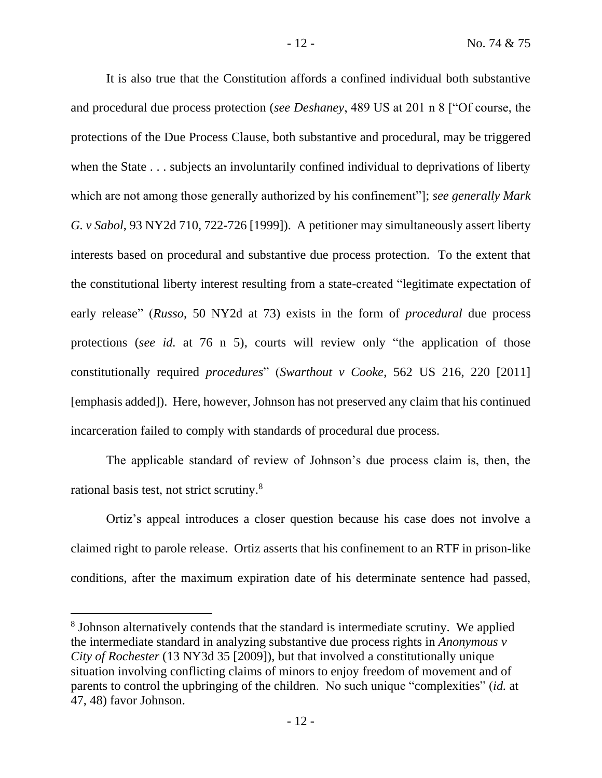It is also true that the Constitution affords a confined individual both substantive and procedural due process protection (*see Deshaney*, 489 US at 201 n 8 ["Of course, the protections of the Due Process Clause, both substantive and procedural, may be triggered when the State . . . subjects an involuntarily confined individual to deprivations of liberty which are not among those generally authorized by his confinement"]; *see generally Mark G. v Sabol*, 93 NY2d 710, 722-726 [1999]). A petitioner may simultaneously assert liberty interests based on procedural and substantive due process protection. To the extent that the constitutional liberty interest resulting from a state-created "legitimate expectation of early release" (*Russo*, 50 NY2d at 73) exists in the form of *procedural* due process protections (*see id.* at 76 n 5), courts will review only "the application of those constitutionally required *procedures*" (*Swarthout v Cooke*, 562 US 216, 220 [2011] [emphasis added]). Here, however, Johnson has not preserved any claim that his continued incarceration failed to comply with standards of procedural due process.

The applicable standard of review of Johnson's due process claim is, then, the rational basis test, not strict scrutiny.<sup>8</sup>

Ortiz's appeal introduces a closer question because his case does not involve a claimed right to parole release. Ortiz asserts that his confinement to an RTF in prison-like conditions, after the maximum expiration date of his determinate sentence had passed,

<sup>&</sup>lt;sup>8</sup> Johnson alternatively contends that the standard is intermediate scrutiny. We applied the intermediate standard in analyzing substantive due process rights in *Anonymous v City of Rochester* (13 NY3d 35 [2009]), but that involved a constitutionally unique situation involving conflicting claims of minors to enjoy freedom of movement and of parents to control the upbringing of the children. No such unique "complexities" (*id.* at 47, 48) favor Johnson.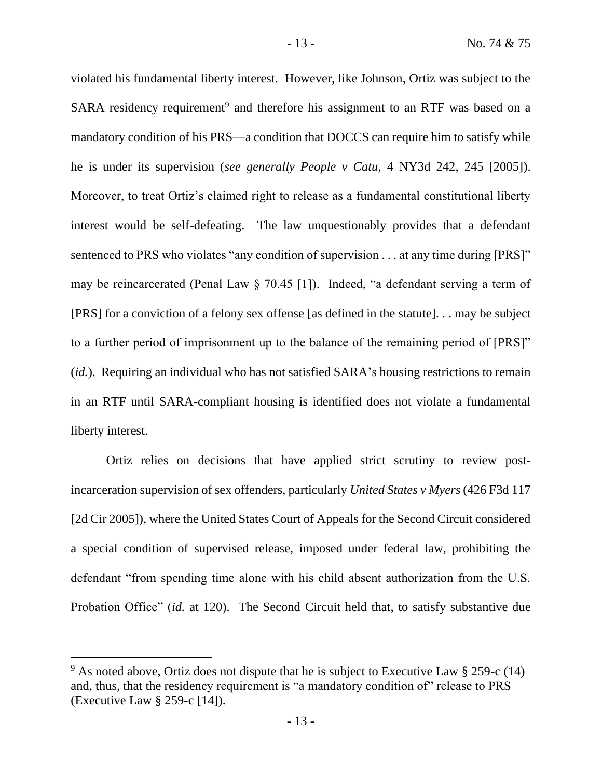violated his fundamental liberty interest. However, like Johnson, Ortiz was subject to the SARA residency requirement<sup>9</sup> and therefore his assignment to an RTF was based on a mandatory condition of his PRS—a condition that DOCCS can require him to satisfy while he is under its supervision (*see generally People v Catu*, 4 NY3d 242, 245 [2005]). Moreover, to treat Ortiz's claimed right to release as a fundamental constitutional liberty interest would be self-defeating. The law unquestionably provides that a defendant sentenced to PRS who violates "any condition of supervision . . . at any time during [PRS]" may be reincarcerated (Penal Law § 70.45 [1]). Indeed, "a defendant serving a term of [PRS] for a conviction of a felony sex offense [as defined in the statute]. . . may be subject to a further period of imprisonment up to the balance of the remaining period of [PRS]" (*id.*). Requiring an individual who has not satisfied SARA's housing restrictions to remain in an RTF until SARA-compliant housing is identified does not violate a fundamental liberty interest.

Ortiz relies on decisions that have applied strict scrutiny to review postincarceration supervision of sex offenders, particularly *United States v Myers* (426 F3d 117 [2d Cir 2005]), where the United States Court of Appeals for the Second Circuit considered a special condition of supervised release, imposed under federal law, prohibiting the defendant "from spending time alone with his child absent authorization from the U.S. Probation Office" (*id.* at 120). The Second Circuit held that, to satisfy substantive due

<sup>9</sup> As noted above, Ortiz does not dispute that he is subject to Executive Law § 259-c (14) and, thus, that the residency requirement is "a mandatory condition of" release to PRS (Executive Law § 259-c [14]).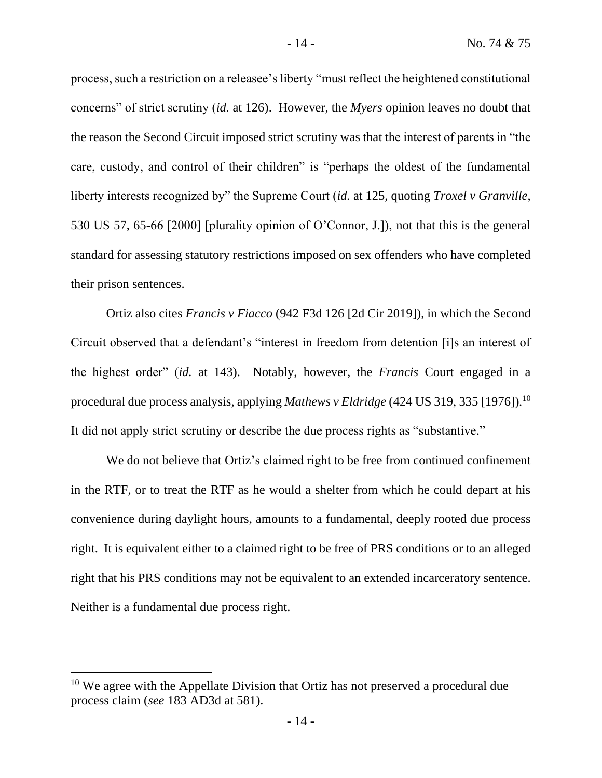process, such a restriction on a releasee's liberty "must reflect the heightened constitutional concerns" of strict scrutiny (*id.* at 126). However, the *Myers* opinion leaves no doubt that the reason the Second Circuit imposed strict scrutiny was that the interest of parents in "the care, custody, and control of their children" is "perhaps the oldest of the fundamental liberty interests recognized by" the Supreme Court (*id.* at 125, quoting *Troxel v Granville*, 530 US 57, 65-66 [2000] [plurality opinion of O'Connor, J.]), not that this is the general standard for assessing statutory restrictions imposed on sex offenders who have completed their prison sentences.

Ortiz also cites *Francis v Fiacco* (942 F3d 126 [2d Cir 2019]), in which the Second Circuit observed that a defendant's "interest in freedom from detention [i]s an interest of the highest order" (*id.* at 143). Notably, however, the *Francis* Court engaged in a procedural due process analysis, applying *Mathews v Eldridge* (424 US 319, 335 [1976]).<sup>10</sup> It did not apply strict scrutiny or describe the due process rights as "substantive."

We do not believe that Ortiz's claimed right to be free from continued confinement in the RTF, or to treat the RTF as he would a shelter from which he could depart at his convenience during daylight hours, amounts to a fundamental, deeply rooted due process right. It is equivalent either to a claimed right to be free of PRS conditions or to an alleged right that his PRS conditions may not be equivalent to an extended incarceratory sentence. Neither is a fundamental due process right.

<sup>&</sup>lt;sup>10</sup> We agree with the Appellate Division that Ortiz has not preserved a procedural due process claim (*see* 183 AD3d at 581).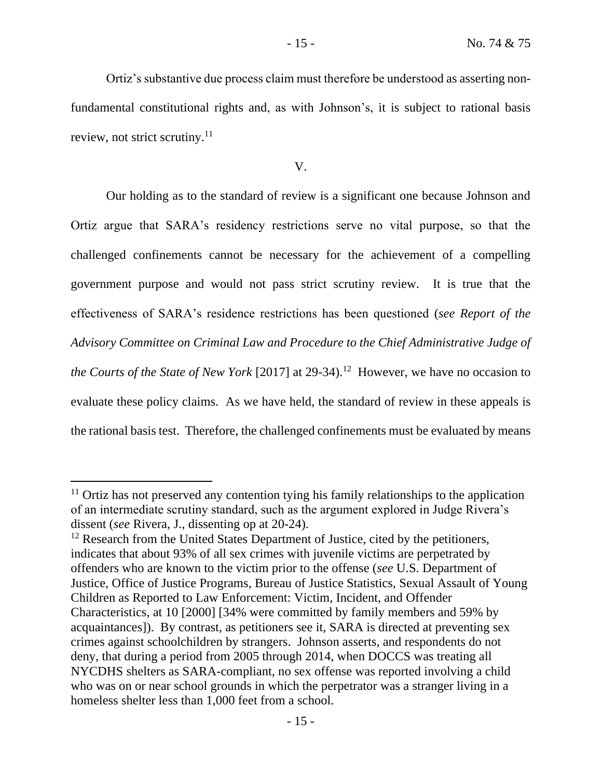Ortiz's substantive due process claim must therefore be understood as asserting nonfundamental constitutional rights and, as with Johnson's, it is subject to rational basis review, not strict scrutiny.<sup>11</sup>

V.

Our holding as to the standard of review is a significant one because Johnson and Ortiz argue that SARA's residency restrictions serve no vital purpose, so that the challenged confinements cannot be necessary for the achievement of a compelling government purpose and would not pass strict scrutiny review. It is true that the effectiveness of SARA's residence restrictions has been questioned (*see Report of the Advisory Committee on Criminal Law and Procedure to the Chief Administrative Judge of*  the Courts of the State of New York [2017] at 29-34).<sup>12</sup> However, we have no occasion to evaluate these policy claims. As we have held, the standard of review in these appeals is the rational basis test. Therefore, the challenged confinements must be evaluated by means

 $11$  Ortiz has not preserved any contention tying his family relationships to the application of an intermediate scrutiny standard, such as the argument explored in Judge Rivera's dissent (*see* Rivera, J., dissenting op at 20-24).

<sup>&</sup>lt;sup>12</sup> Research from the United States Department of Justice, cited by the petitioners, indicates that about 93% of all sex crimes with juvenile victims are perpetrated by offenders who are known to the victim prior to the offense (*see* U.S. Department of Justice, Office of Justice Programs, Bureau of Justice Statistics, Sexual Assault of Young Children as Reported to Law Enforcement: Victim, Incident, and Offender Characteristics, at 10 [2000] [34% were committed by family members and 59% by acquaintances]). By contrast, as petitioners see it, SARA is directed at preventing sex crimes against schoolchildren by strangers. Johnson asserts, and respondents do not deny, that during a period from 2005 through 2014, when DOCCS was treating all NYCDHS shelters as SARA-compliant, no sex offense was reported involving a child who was on or near school grounds in which the perpetrator was a stranger living in a homeless shelter less than 1,000 feet from a school.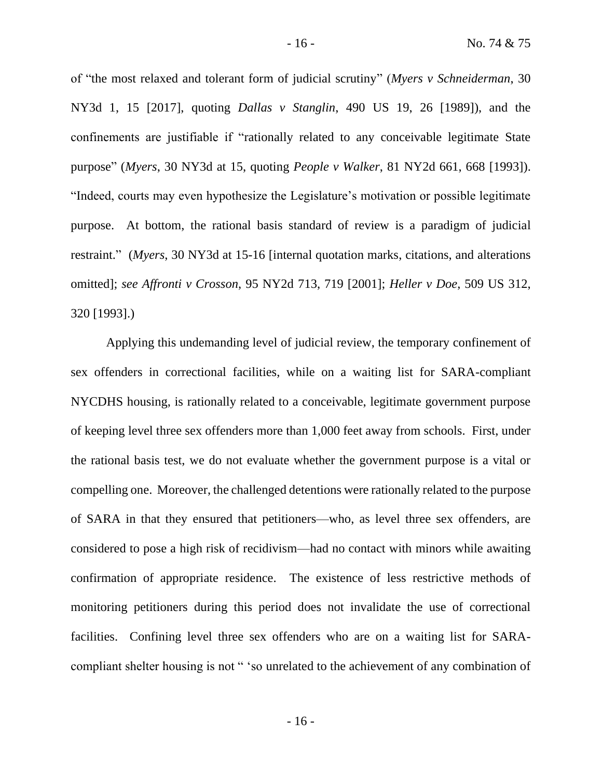of "the most relaxed and tolerant form of judicial scrutiny" (*Myers v Schneiderman*, 30 NY3d 1, 15 [2017], quoting *Dallas v Stanglin*, 490 US 19, 26 [1989]), and the confinements are justifiable if "rationally related to any conceivable legitimate State purpose" (*Myers*, 30 NY3d at 15, quoting *People v Walker*, 81 NY2d 661, 668 [1993]). "Indeed, courts may even hypothesize the Legislature's motivation or possible legitimate purpose. At bottom, the rational basis standard of review is a paradigm of judicial restraint." (*Myers*, 30 NY3d at 15-16 [internal quotation marks, citations, and alterations omitted]; *see Affronti v Crosson*, 95 NY2d 713, 719 [2001]; *Heller v Doe*, 509 US 312, 320 [1993].)

Applying this undemanding level of judicial review, the temporary confinement of sex offenders in correctional facilities, while on a waiting list for SARA-compliant NYCDHS housing, is rationally related to a conceivable, legitimate government purpose of keeping level three sex offenders more than 1,000 feet away from schools. First, under the rational basis test, we do not evaluate whether the government purpose is a vital or compelling one. Moreover, the challenged detentions were rationally related to the purpose of SARA in that they ensured that petitioners—who, as level three sex offenders, are considered to pose a high risk of recidivism—had no contact with minors while awaiting confirmation of appropriate residence. The existence of less restrictive methods of monitoring petitioners during this period does not invalidate the use of correctional facilities. Confining level three sex offenders who are on a waiting list for SARAcompliant shelter housing is not " 'so unrelated to the achievement of any combination of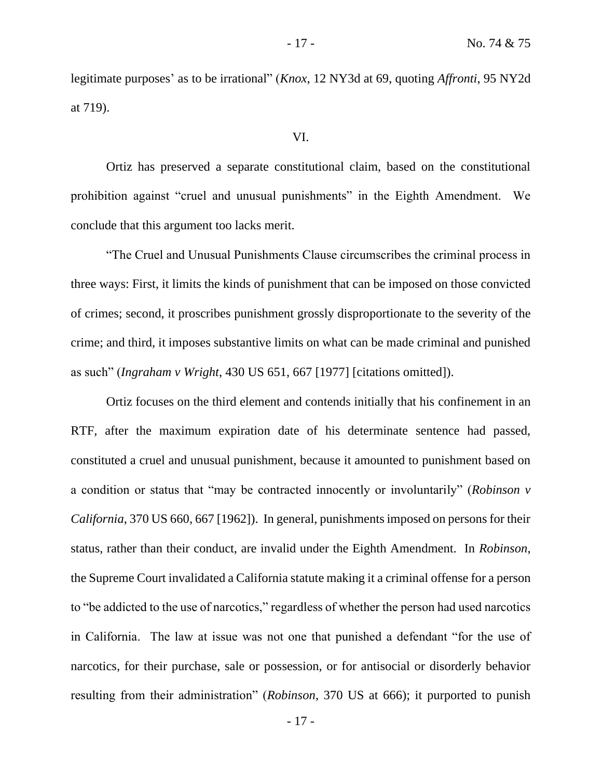legitimate purposes' as to be irrational" (*Knox*, 12 NY3d at 69, quoting *Affronti*, 95 NY2d at 719).

### VI.

Ortiz has preserved a separate constitutional claim, based on the constitutional prohibition against "cruel and unusual punishments" in the Eighth Amendment. We conclude that this argument too lacks merit.

"The Cruel and Unusual Punishments Clause circumscribes the criminal process in three ways: First, it limits the kinds of punishment that can be imposed on those convicted of crimes; second, it proscribes punishment grossly disproportionate to the severity of the crime; and third, it imposes substantive limits on what can be made criminal and punished as such" (*Ingraham v Wright*, 430 US 651, 667 [1977] [citations omitted]).

Ortiz focuses on the third element and contends initially that his confinement in an RTF, after the maximum expiration date of his determinate sentence had passed, constituted a cruel and unusual punishment, because it amounted to punishment based on a condition or status that "may be contracted innocently or involuntarily" (*Robinson v California*, 370 US 660, 667 [1962]). In general, punishments imposed on persons for their status, rather than their conduct, are invalid under the Eighth Amendment. In *Robinson*, the Supreme Court invalidated a California statute making it a criminal offense for a person to "be addicted to the use of narcotics," regardless of whether the person had used narcotics in California. The law at issue was not one that punished a defendant "for the use of narcotics, for their purchase, sale or possession, or for antisocial or disorderly behavior resulting from their administration" (*Robinson*, 370 US at 666); it purported to punish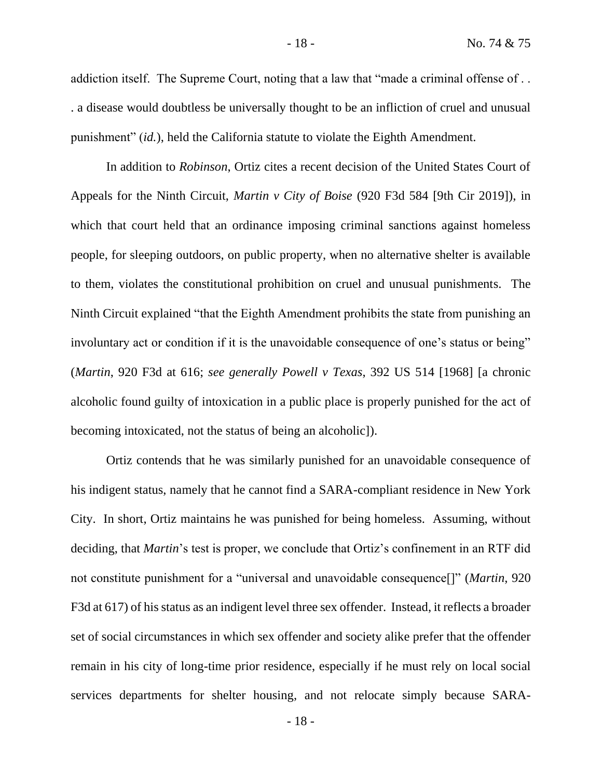addiction itself. The Supreme Court, noting that a law that "made a criminal offense of . . . a disease would doubtless be universally thought to be an infliction of cruel and unusual punishment" (*id.*), held the California statute to violate the Eighth Amendment.

In addition to *Robinson*, Ortiz cites a recent decision of the United States Court of Appeals for the Ninth Circuit, *Martin v City of Boise* (920 F3d 584 [9th Cir 2019]), in which that court held that an ordinance imposing criminal sanctions against homeless people, for sleeping outdoors, on public property, when no alternative shelter is available to them, violates the constitutional prohibition on cruel and unusual punishments. The Ninth Circuit explained "that the Eighth Amendment prohibits the state from punishing an involuntary act or condition if it is the unavoidable consequence of one's status or being" (*Martin*, 920 F3d at 616; *see generally Powell v Texas*, 392 US 514 [1968] [a chronic alcoholic found guilty of intoxication in a public place is properly punished for the act of becoming intoxicated, not the status of being an alcoholic]).

Ortiz contends that he was similarly punished for an unavoidable consequence of his indigent status, namely that he cannot find a SARA-compliant residence in New York City. In short, Ortiz maintains he was punished for being homeless. Assuming, without deciding, that *Martin*'s test is proper, we conclude that Ortiz's confinement in an RTF did not constitute punishment for a "universal and unavoidable consequence[]" (*Martin*, 920 F3d at 617) of his status as an indigent level three sex offender. Instead, it reflects a broader set of social circumstances in which sex offender and society alike prefer that the offender remain in his city of long-time prior residence, especially if he must rely on local social services departments for shelter housing, and not relocate simply because SARA-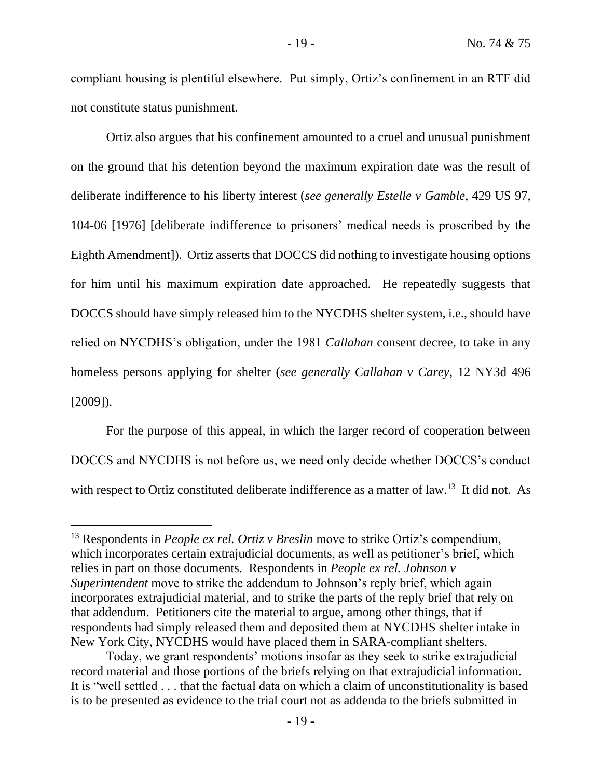compliant housing is plentiful elsewhere. Put simply, Ortiz's confinement in an RTF did not constitute status punishment.

Ortiz also argues that his confinement amounted to a cruel and unusual punishment on the ground that his detention beyond the maximum expiration date was the result of deliberate indifference to his liberty interest (*see generally Estelle v Gamble*, 429 US 97, 104-06 [1976] [deliberate indifference to prisoners' medical needs is proscribed by the Eighth Amendment]). Ortiz asserts that DOCCS did nothing to investigate housing options for him until his maximum expiration date approached. He repeatedly suggests that DOCCS should have simply released him to the NYCDHS shelter system, i.e., should have relied on NYCDHS's obligation, under the 1981 *Callahan* consent decree, to take in any homeless persons applying for shelter (*see generally Callahan v Carey*, 12 NY3d 496 [2009]).

For the purpose of this appeal, in which the larger record of cooperation between DOCCS and NYCDHS is not before us, we need only decide whether DOCCS's conduct with respect to Ortiz constituted deliberate indifference as a matter of law.<sup>13</sup> It did not. As

<sup>13</sup> Respondents in *People ex rel. Ortiz v Breslin* move to strike Ortiz's compendium, which incorporates certain extrajudicial documents, as well as petitioner's brief, which relies in part on those documents. Respondents in *People ex rel. Johnson v Superintendent* move to strike the addendum to Johnson's reply brief, which again incorporates extrajudicial material, and to strike the parts of the reply brief that rely on that addendum. Petitioners cite the material to argue, among other things, that if respondents had simply released them and deposited them at NYCDHS shelter intake in New York City, NYCDHS would have placed them in SARA-compliant shelters.

Today, we grant respondents' motions insofar as they seek to strike extrajudicial record material and those portions of the briefs relying on that extrajudicial information. It is "well settled . . . that the factual data on which a claim of unconstitutionality is based is to be presented as evidence to the trial court not as addenda to the briefs submitted in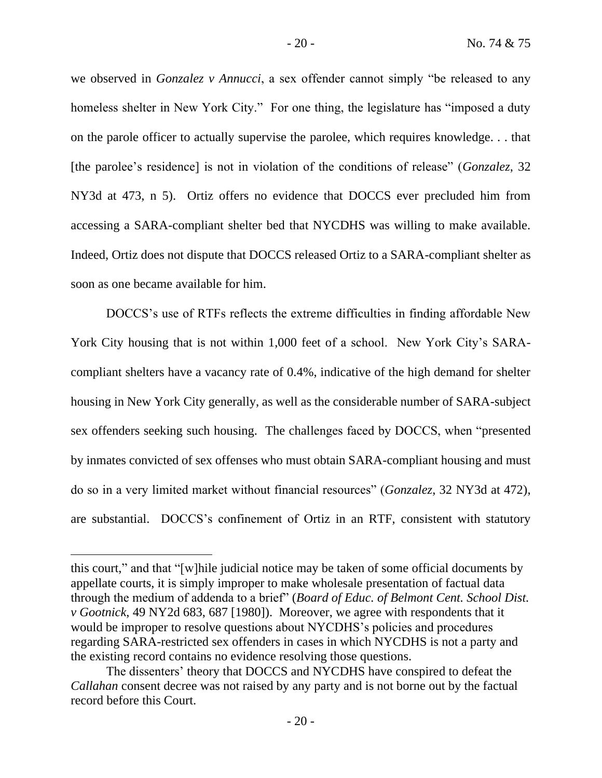we observed in *Gonzalez v Annucci*, a sex offender cannot simply "be released to any homeless shelter in New York City." For one thing, the legislature has "imposed a duty on the parole officer to actually supervise the parolee, which requires knowledge. . . that [the parolee's residence] is not in violation of the conditions of release" (*Gonzalez*, 32 NY3d at 473, n 5). Ortiz offers no evidence that DOCCS ever precluded him from accessing a SARA-compliant shelter bed that NYCDHS was willing to make available. Indeed, Ortiz does not dispute that DOCCS released Ortiz to a SARA-compliant shelter as soon as one became available for him.

DOCCS's use of RTFs reflects the extreme difficulties in finding affordable New York City housing that is not within 1,000 feet of a school. New York City's SARAcompliant shelters have a vacancy rate of 0.4%, indicative of the high demand for shelter housing in New York City generally, as well as the considerable number of SARA-subject sex offenders seeking such housing. The challenges faced by DOCCS, when "presented by inmates convicted of sex offenses who must obtain SARA-compliant housing and must do so in a very limited market without financial resources" (*Gonzalez*, 32 NY3d at 472), are substantial. DOCCS's confinement of Ortiz in an RTF, consistent with statutory

this court," and that "[w]hile judicial notice may be taken of some official documents by appellate courts, it is simply improper to make wholesale presentation of factual data through the medium of addenda to a brief" (*Board of Educ. of Belmont Cent. School Dist. v Gootnick*, 49 NY2d 683, 687 [1980]). Moreover, we agree with respondents that it would be improper to resolve questions about NYCDHS's policies and procedures regarding SARA-restricted sex offenders in cases in which NYCDHS is not a party and the existing record contains no evidence resolving those questions.

The dissenters' theory that DOCCS and NYCDHS have conspired to defeat the *Callahan* consent decree was not raised by any party and is not borne out by the factual record before this Court.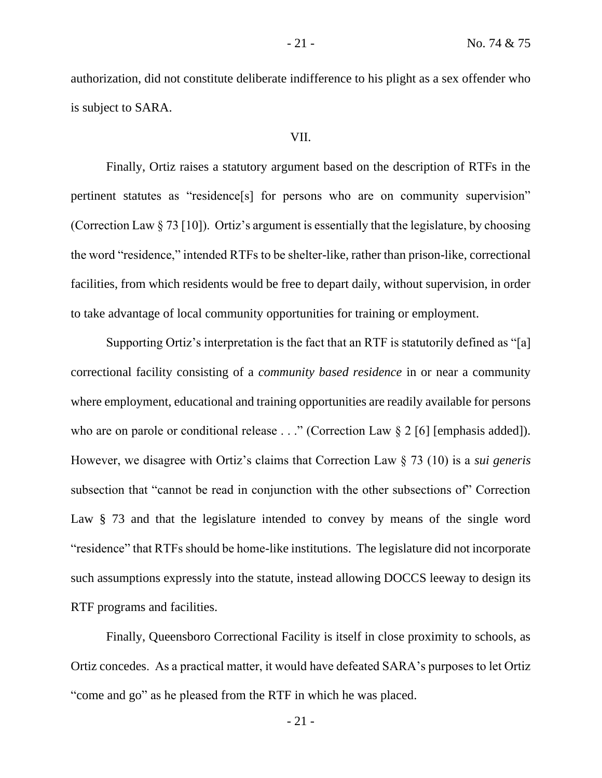authorization, did not constitute deliberate indifference to his plight as a sex offender who is subject to SARA.

# VII.

Finally, Ortiz raises a statutory argument based on the description of RTFs in the pertinent statutes as "residence[s] for persons who are on community supervision" (Correction Law § 73 [10]). Ortiz's argument is essentially that the legislature, by choosing the word "residence," intended RTFs to be shelter-like, rather than prison-like, correctional facilities, from which residents would be free to depart daily, without supervision, in order to take advantage of local community opportunities for training or employment.

Supporting Ortiz's interpretation is the fact that an RTF is statutorily defined as "[a] correctional facility consisting of a *community based residence* in or near a community where employment, educational and training opportunities are readily available for persons who are on parole or conditional release  $\ldots$  " (Correction Law § 2 [6] [emphasis added]). However, we disagree with Ortiz's claims that Correction Law § 73 (10) is a *sui generis* subsection that "cannot be read in conjunction with the other subsections of" Correction Law § 73 and that the legislature intended to convey by means of the single word "residence" that RTFs should be home-like institutions. The legislature did not incorporate such assumptions expressly into the statute, instead allowing DOCCS leeway to design its RTF programs and facilities.

Finally, Queensboro Correctional Facility is itself in close proximity to schools, as Ortiz concedes. As a practical matter, it would have defeated SARA's purposes to let Ortiz "come and go" as he pleased from the RTF in which he was placed.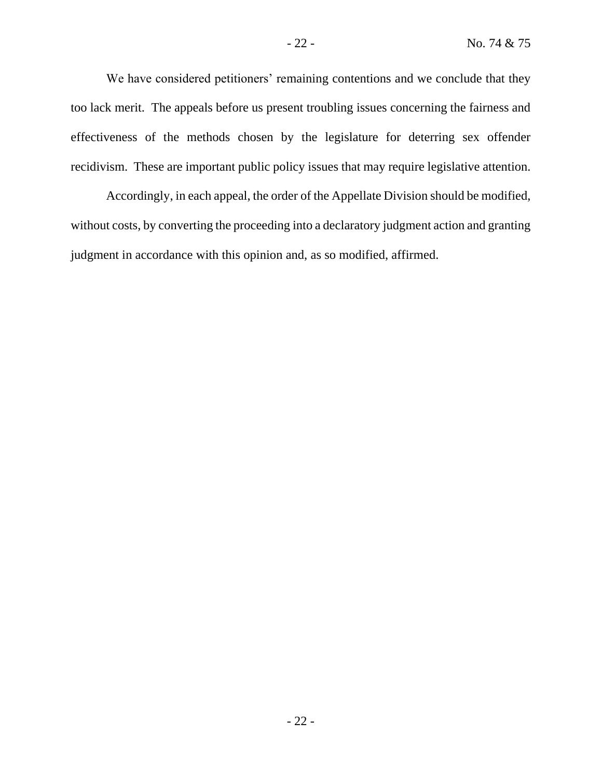We have considered petitioners' remaining contentions and we conclude that they too lack merit. The appeals before us present troubling issues concerning the fairness and effectiveness of the methods chosen by the legislature for deterring sex offender recidivism. These are important public policy issues that may require legislative attention.

Accordingly, in each appeal, the order of the Appellate Division should be modified, without costs, by converting the proceeding into a declaratory judgment action and granting judgment in accordance with this opinion and, as so modified, affirmed.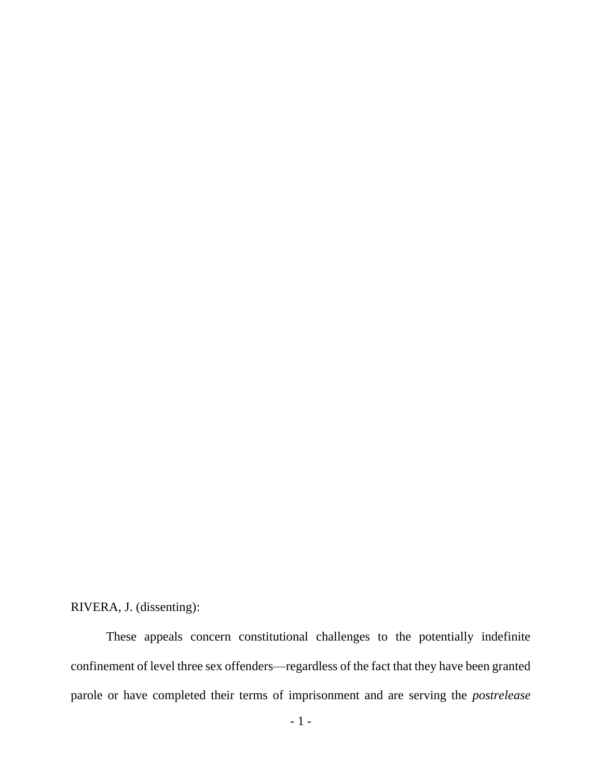RIVERA, J. (dissenting):

These appeals concern constitutional challenges to the potentially indefinite confinement of level three sex offenders—regardless of the fact that they have been granted parole or have completed their terms of imprisonment and are serving the *postrelease*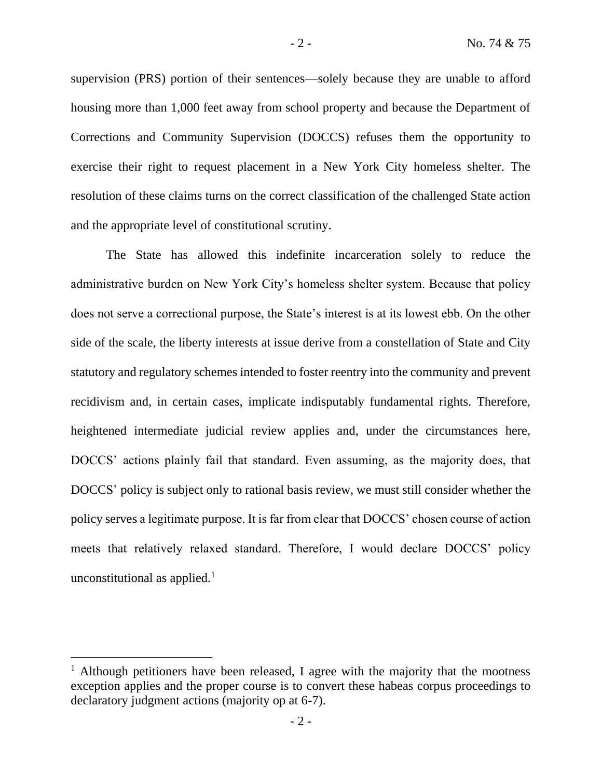supervision (PRS) portion of their sentences—solely because they are unable to afford housing more than 1,000 feet away from school property and because the Department of Corrections and Community Supervision (DOCCS) refuses them the opportunity to exercise their right to request placement in a New York City homeless shelter. The resolution of these claims turns on the correct classification of the challenged State action and the appropriate level of constitutional scrutiny.

The State has allowed this indefinite incarceration solely to reduce the administrative burden on New York City's homeless shelter system. Because that policy does not serve a correctional purpose, the State's interest is at its lowest ebb. On the other side of the scale, the liberty interests at issue derive from a constellation of State and City statutory and regulatory schemes intended to foster reentry into the community and prevent recidivism and, in certain cases, implicate indisputably fundamental rights. Therefore, heightened intermediate judicial review applies and, under the circumstances here, DOCCS' actions plainly fail that standard. Even assuming, as the majority does, that DOCCS' policy is subject only to rational basis review, we must still consider whether the policy serves a legitimate purpose. It is far from clear that DOCCS' chosen course of action meets that relatively relaxed standard. Therefore, I would declare DOCCS' policy unconstitutional as applied.<sup>1</sup>

<sup>&</sup>lt;sup>1</sup> Although petitioners have been released, I agree with the majority that the mootness exception applies and the proper course is to convert these habeas corpus proceedings to declaratory judgment actions (majority op at 6-7).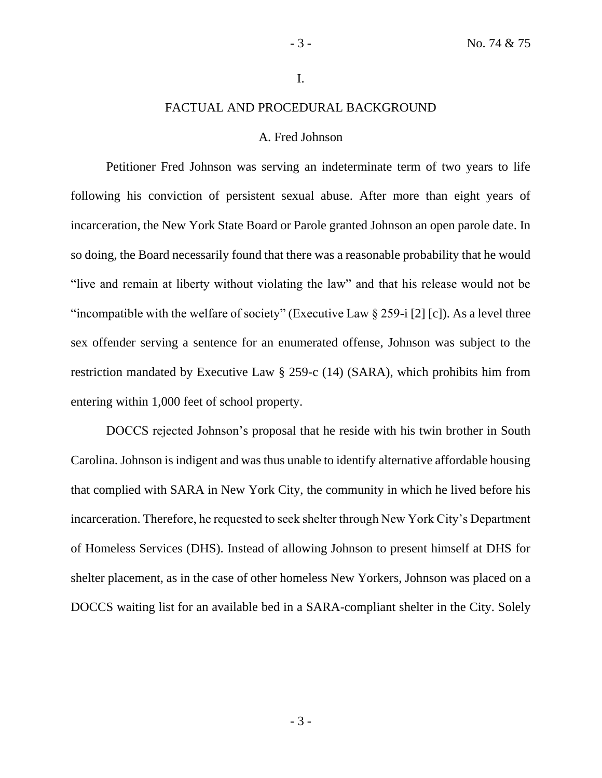#### I.

# FACTUAL AND PROCEDURAL BACKGROUND

# A. Fred Johnson

Petitioner Fred Johnson was serving an indeterminate term of two years to life following his conviction of persistent sexual abuse. After more than eight years of incarceration, the New York State Board or Parole granted Johnson an open parole date. In so doing, the Board necessarily found that there was a reasonable probability that he would "live and remain at liberty without violating the law" and that his release would not be "incompatible with the welfare of society" (Executive Law  $\S 259$ -i [2] [c]). As a level three sex offender serving a sentence for an enumerated offense, Johnson was subject to the restriction mandated by Executive Law § 259-c (14) (SARA), which prohibits him from entering within 1,000 feet of school property.

DOCCS rejected Johnson's proposal that he reside with his twin brother in South Carolina. Johnson is indigent and was thus unable to identify alternative affordable housing that complied with SARA in New York City, the community in which he lived before his incarceration. Therefore, he requested to seek shelter through New York City's Department of Homeless Services (DHS). Instead of allowing Johnson to present himself at DHS for shelter placement, as in the case of other homeless New Yorkers, Johnson was placed on a DOCCS waiting list for an available bed in a SARA-compliant shelter in the City. Solely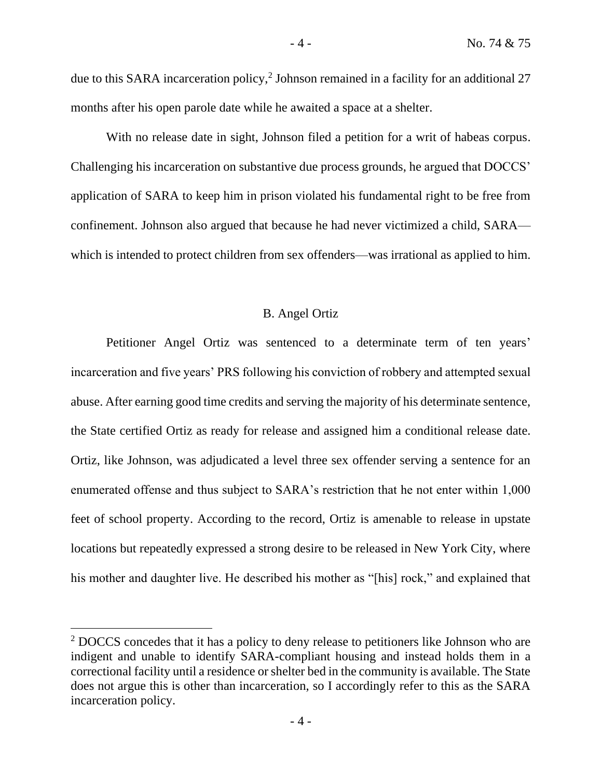due to this SARA incarceration policy,<sup>2</sup> Johnson remained in a facility for an additional 27 months after his open parole date while he awaited a space at a shelter.

With no release date in sight, Johnson filed a petition for a writ of habeas corpus. Challenging his incarceration on substantive due process grounds, he argued that DOCCS' application of SARA to keep him in prison violated his fundamental right to be free from confinement. Johnson also argued that because he had never victimized a child, SARA which is intended to protect children from sex offenders—was irrational as applied to him.

# B. Angel Ortiz

Petitioner Angel Ortiz was sentenced to a determinate term of ten years' incarceration and five years' PRS following his conviction of robbery and attempted sexual abuse. After earning good time credits and serving the majority of his determinate sentence, the State certified Ortiz as ready for release and assigned him a conditional release date. Ortiz, like Johnson, was adjudicated a level three sex offender serving a sentence for an enumerated offense and thus subject to SARA's restriction that he not enter within 1,000 feet of school property. According to the record, Ortiz is amenable to release in upstate locations but repeatedly expressed a strong desire to be released in New York City, where his mother and daughter live. He described his mother as "[his] rock," and explained that

<sup>&</sup>lt;sup>2</sup> DOCCS concedes that it has a policy to deny release to petitioners like Johnson who are indigent and unable to identify SARA-compliant housing and instead holds them in a correctional facility until a residence or shelter bed in the community is available. The State does not argue this is other than incarceration, so I accordingly refer to this as the SARA incarceration policy.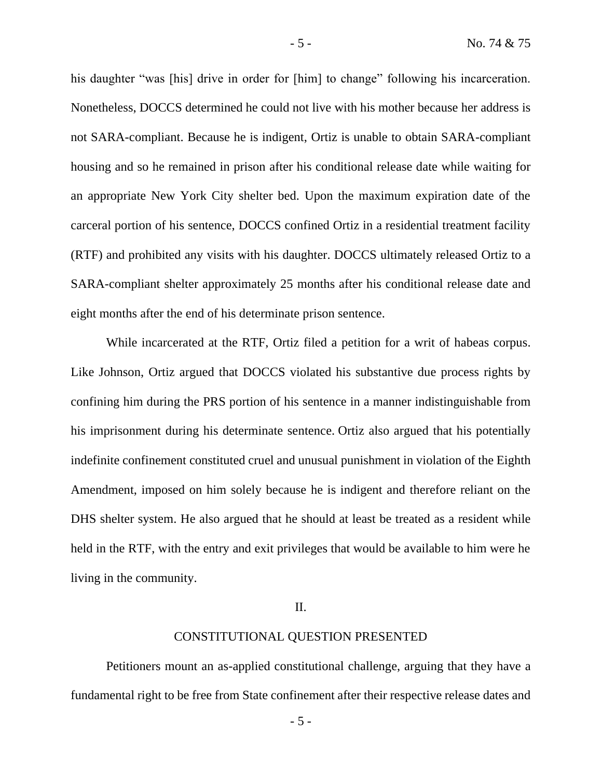his daughter "was [his] drive in order for [him] to change" following his incarceration. Nonetheless, DOCCS determined he could not live with his mother because her address is not SARA-compliant. Because he is indigent, Ortiz is unable to obtain SARA-compliant housing and so he remained in prison after his conditional release date while waiting for an appropriate New York City shelter bed. Upon the maximum expiration date of the carceral portion of his sentence, DOCCS confined Ortiz in a residential treatment facility (RTF) and prohibited any visits with his daughter. DOCCS ultimately released Ortiz to a SARA-compliant shelter approximately 25 months after his conditional release date and eight months after the end of his determinate prison sentence.

While incarcerated at the RTF, Ortiz filed a petition for a writ of habeas corpus. Like Johnson, Ortiz argued that DOCCS violated his substantive due process rights by confining him during the PRS portion of his sentence in a manner indistinguishable from his imprisonment during his determinate sentence. Ortiz also argued that his potentially indefinite confinement constituted cruel and unusual punishment in violation of the Eighth Amendment, imposed on him solely because he is indigent and therefore reliant on the DHS shelter system. He also argued that he should at least be treated as a resident while held in the RTF, with the entry and exit privileges that would be available to him were he living in the community.

# II.

# CONSTITUTIONAL QUESTION PRESENTED

Petitioners mount an as-applied constitutional challenge, arguing that they have a fundamental right to be free from State confinement after their respective release dates and

- 5 -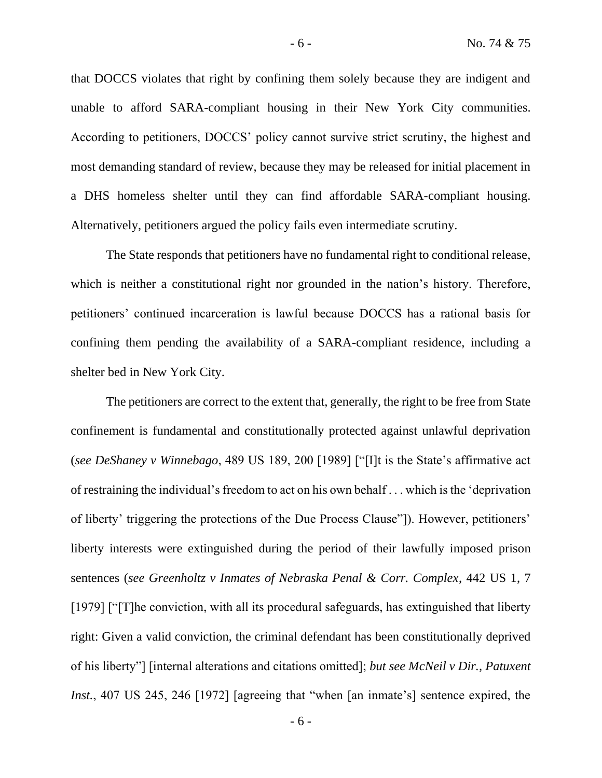that DOCCS violates that right by confining them solely because they are indigent and unable to afford SARA-compliant housing in their New York City communities. According to petitioners, DOCCS' policy cannot survive strict scrutiny, the highest and most demanding standard of review, because they may be released for initial placement in a DHS homeless shelter until they can find affordable SARA-compliant housing. Alternatively, petitioners argued the policy fails even intermediate scrutiny.

The State responds that petitioners have no fundamental right to conditional release, which is neither a constitutional right nor grounded in the nation's history. Therefore, petitioners' continued incarceration is lawful because DOCCS has a rational basis for confining them pending the availability of a SARA-compliant residence, including a shelter bed in New York City.

The petitioners are correct to the extent that, generally, the right to be free from State confinement is fundamental and constitutionally protected against unlawful deprivation (*see DeShaney v Winnebago*, 489 US 189, 200 [1989] ["[I]t is the State's affirmative act of restraining the individual's freedom to act on his own behalf . . . which is the 'deprivation of liberty' triggering the protections of the Due Process Clause"]). However, petitioners' liberty interests were extinguished during the period of their lawfully imposed prison sentences (*see Greenholtz v Inmates of Nebraska Penal & Corr. Complex*, 442 US 1, 7 [1979] ["[T]he conviction, with all its procedural safeguards, has extinguished that liberty right: Given a valid conviction, the criminal defendant has been constitutionally deprived of his liberty"] [internal alterations and citations omitted]; *but see McNeil v Dir., Patuxent Inst.*, 407 US 245, 246 [1972] [agreeing that "when [an inmate's] sentence expired, the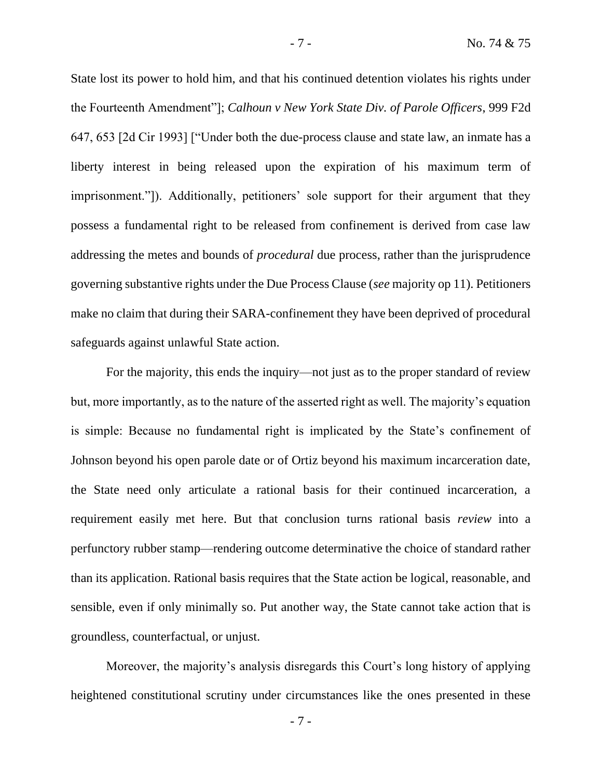State lost its power to hold him, and that his continued detention violates his rights under the Fourteenth Amendment"]; *Calhoun v New York State Div. of Parole Officers*, 999 F2d 647, 653 [2d Cir 1993] ["Under both the due-process clause and state law, an inmate has a liberty interest in being released upon the expiration of his maximum term of imprisonment."]). Additionally, petitioners' sole support for their argument that they possess a fundamental right to be released from confinement is derived from case law addressing the metes and bounds of *procedural* due process, rather than the jurisprudence governing substantive rights under the Due Process Clause (*see* majority op 11). Petitioners make no claim that during their SARA-confinement they have been deprived of procedural safeguards against unlawful State action.

For the majority, this ends the inquiry—not just as to the proper standard of review but, more importantly, as to the nature of the asserted right as well. The majority's equation is simple: Because no fundamental right is implicated by the State's confinement of Johnson beyond his open parole date or of Ortiz beyond his maximum incarceration date, the State need only articulate a rational basis for their continued incarceration, a requirement easily met here. But that conclusion turns rational basis *review* into a perfunctory rubber stamp—rendering outcome determinative the choice of standard rather than its application. Rational basis requires that the State action be logical, reasonable, and sensible, even if only minimally so. Put another way, the State cannot take action that is groundless, counterfactual, or unjust.

Moreover, the majority's analysis disregards this Court's long history of applying heightened constitutional scrutiny under circumstances like the ones presented in these

- 7 -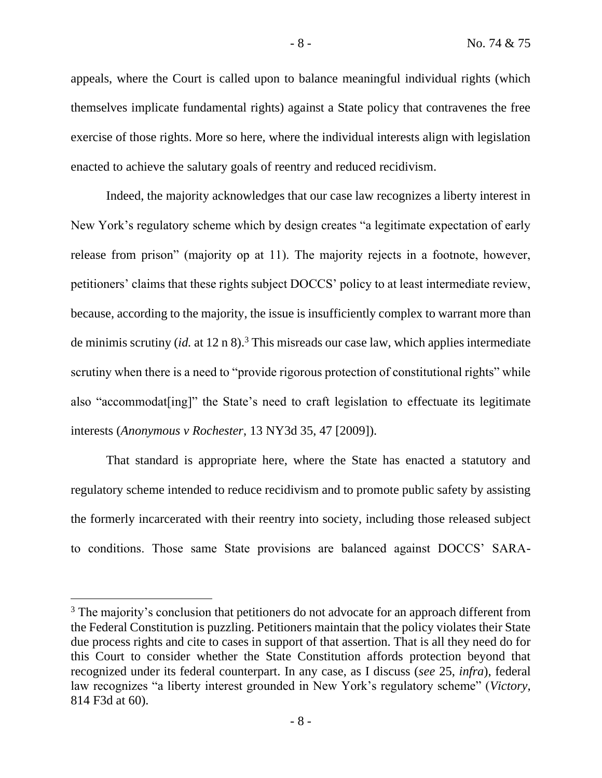appeals, where the Court is called upon to balance meaningful individual rights (which themselves implicate fundamental rights) against a State policy that contravenes the free exercise of those rights. More so here, where the individual interests align with legislation enacted to achieve the salutary goals of reentry and reduced recidivism.

Indeed, the majority acknowledges that our case law recognizes a liberty interest in New York's regulatory scheme which by design creates "a legitimate expectation of early release from prison" (majority op at 11). The majority rejects in a footnote, however, petitioners' claims that these rights subject DOCCS' policy to at least intermediate review, because, according to the majority, the issue is insufficiently complex to warrant more than de minimis scrutiny (*id.* at 12 n 8).<sup>3</sup> This misreads our case law, which applies intermediate scrutiny when there is a need to "provide rigorous protection of constitutional rights" while also "accommodat[ing]" the State's need to craft legislation to effectuate its legitimate interests (*Anonymous v Rochester*, 13 NY3d 35, 47 [2009]).

That standard is appropriate here, where the State has enacted a statutory and regulatory scheme intended to reduce recidivism and to promote public safety by assisting the formerly incarcerated with their reentry into society, including those released subject to conditions. Those same State provisions are balanced against DOCCS' SARA-

<sup>&</sup>lt;sup>3</sup> The majority's conclusion that petitioners do not advocate for an approach different from the Federal Constitution is puzzling. Petitioners maintain that the policy violates their State due process rights and cite to cases in support of that assertion. That is all they need do for this Court to consider whether the State Constitution affords protection beyond that recognized under its federal counterpart. In any case, as I discuss (*see* 25, *infra*), federal law recognizes "a liberty interest grounded in New York's regulatory scheme" (*Victory*, 814 F3d at 60).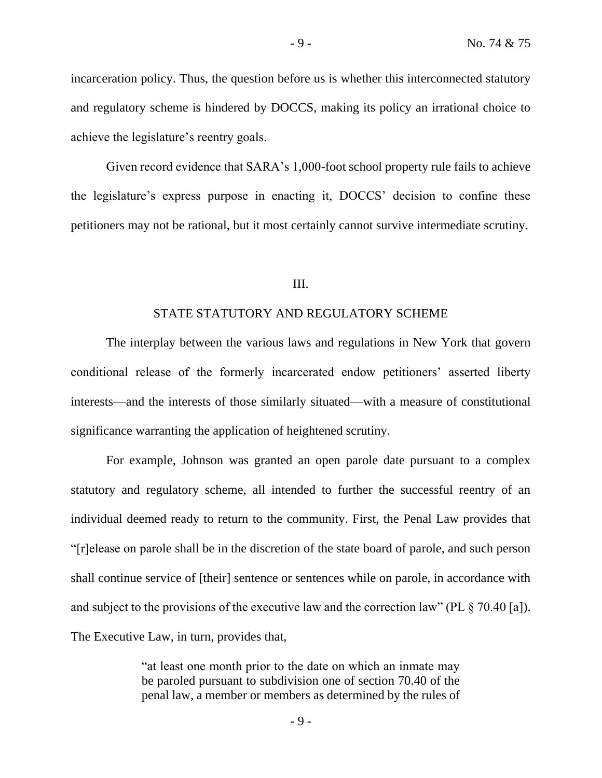incarceration policy. Thus, the question before us is whether this interconnected statutory and regulatory scheme is hindered by DOCCS, making its policy an irrational choice to achieve the legislature's reentry goals.

Given record evidence that SARA's 1,000-foot school property rule fails to achieve the legislature's express purpose in enacting it, DOCCS' decision to confine these petitioners may not be rational, but it most certainly cannot survive intermediate scrutiny.

#### III.

## STATE STATUTORY AND REGULATORY SCHEME

The interplay between the various laws and regulations in New York that govern conditional release of the formerly incarcerated endow petitioners' asserted liberty interests—and the interests of those similarly situated—with a measure of constitutional significance warranting the application of heightened scrutiny.

For example, Johnson was granted an open parole date pursuant to a complex statutory and regulatory scheme, all intended to further the successful reentry of an individual deemed ready to return to the community. First, the Penal Law provides that "[r]elease on parole shall be in the discretion of the state board of parole, and such person shall continue service of [their] sentence or sentences while on parole, in accordance with and subject to the provisions of the executive law and the correction law" (PL § 70.40 [a]). The Executive Law, in turn, provides that,

> "at least one month prior to the date on which an inmate may be paroled pursuant to subdivision one of section 70.40 of the penal law, a member or members as determined by the rules of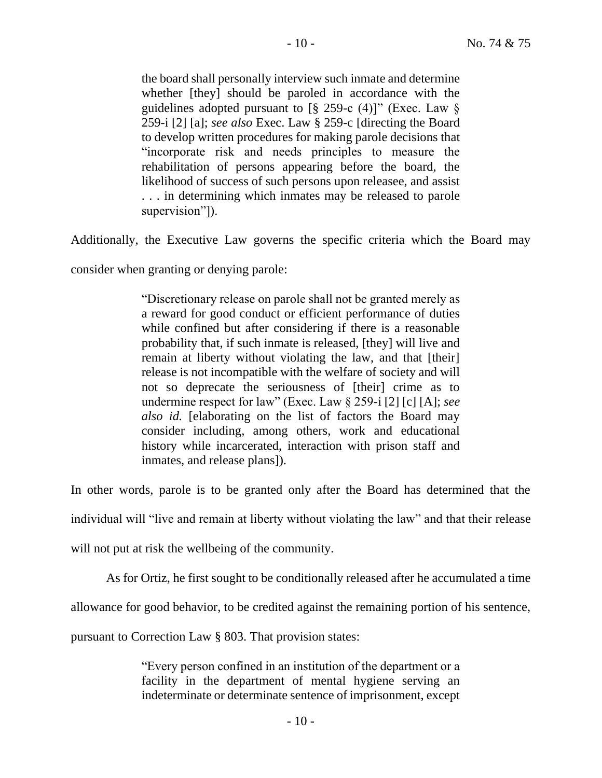the board shall personally interview such inmate and determine whether [they] should be paroled in accordance with the guidelines adopted pursuant to  $[\S 259-c (4)]$ " (Exec. Law  $\S$ 259-i [2] [a]; *see also* Exec. Law § 259-c [directing the Board to develop written procedures for making parole decisions that "incorporate risk and needs principles to measure the rehabilitation of persons appearing before the board, the likelihood of success of such persons upon releasee, and assist . . . in determining which inmates may be released to parole supervision"]).

Additionally, the Executive Law governs the specific criteria which the Board may

consider when granting or denying parole:

"Discretionary release on parole shall not be granted merely as a reward for good conduct or efficient performance of duties while confined but after considering if there is a reasonable probability that, if such inmate is released, [they] will live and remain at liberty without violating the law, and that [their] release is not incompatible with the welfare of society and will not so deprecate the seriousness of [their] crime as to undermine respect for law" (Exec. Law § 259-i [2] [c] [A]; *see also id.* [elaborating on the list of factors the Board may consider including, among others, work and educational history while incarcerated, interaction with prison staff and inmates, and release plans]).

In other words, parole is to be granted only after the Board has determined that the

individual will "live and remain at liberty without violating the law" and that their release

will not put at risk the wellbeing of the community.

As for Ortiz, he first sought to be conditionally released after he accumulated a time

allowance for good behavior, to be credited against the remaining portion of his sentence,

pursuant to Correction Law § 803. That provision states:

"Every person confined in an institution of the department or a facility in the department of mental hygiene serving an indeterminate or determinate sentence of imprisonment, except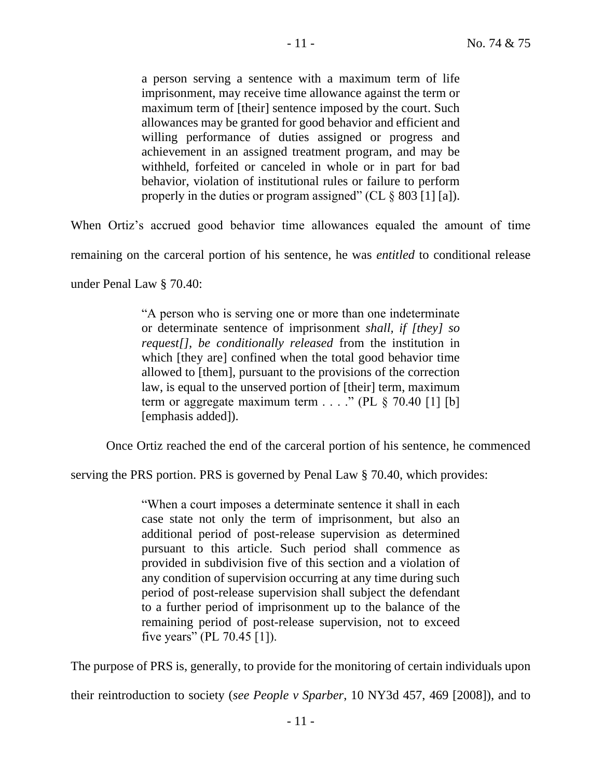a person serving a sentence with a maximum term of life imprisonment, may receive time allowance against the term or maximum term of [their] sentence imposed by the court. Such allowances may be granted for good behavior and efficient and willing performance of duties assigned or progress and achievement in an assigned treatment program, and may be withheld, forfeited or canceled in whole or in part for bad behavior, violation of institutional rules or failure to perform properly in the duties or program assigned" (CL  $\S$  803 [1] [a]).

When Ortiz's accrued good behavior time allowances equaled the amount of time

remaining on the carceral portion of his sentence, he was *entitled* to conditional release

under Penal Law § 70.40:

"A person who is serving one or more than one indeterminate or determinate sentence of imprisonment *shall, if [they] so request[], be conditionally released* from the institution in which [they are] confined when the total good behavior time allowed to [them], pursuant to the provisions of the correction law, is equal to the unserved portion of [their] term, maximum term or aggregate maximum term  $\ldots$  ." (PL  $\frac{1}{2}$  70.40 [1] [b] [emphasis added]).

Once Ortiz reached the end of the carceral portion of his sentence, he commenced

serving the PRS portion. PRS is governed by Penal Law § 70.40, which provides:

"When a court imposes a determinate sentence it shall in each case state not only the term of imprisonment, but also an additional period of post-release supervision as determined pursuant to this article. Such period shall commence as provided in subdivision five of this section and a violation of any condition of supervision occurring at any time during such period of post-release supervision shall subject the defendant to a further period of imprisonment up to the balance of the remaining period of post-release supervision, not to exceed five years" (PL 70.45 [1]).

The purpose of PRS is, generally, to provide for the monitoring of certain individuals upon

their reintroduction to society (*see People v Sparber*, 10 NY3d 457, 469 [2008]), and to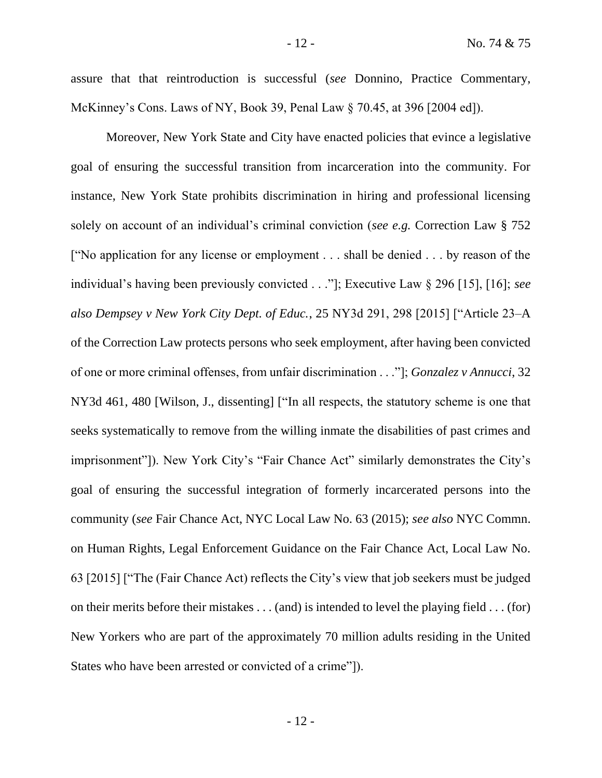assure that that reintroduction is successful (*see* Donnino, Practice Commentary, McKinney's Cons. Laws of NY, Book 39, Penal Law § 70.45, at 396 [2004 ed]).

Moreover, New York State and City have enacted policies that evince a legislative goal of ensuring the successful transition from incarceration into the community. For instance, New York State prohibits discrimination in hiring and professional licensing solely on account of an individual's criminal conviction (*see e.g.* Correction Law § 752 ["No application for any license or employment . . . shall be denied . . . by reason of the individual's having been previously convicted . . ."]; Executive Law § 296 [15], [16]; *see also Dempsey v New York City Dept. of Educ.*, 25 NY3d 291, 298 [2015] ["Article 23–A of the Correction Law protects persons who seek employment, after having been convicted of one or more criminal offenses, from unfair discrimination . . ."]; *Gonzalez v Annucci*, 32 NY3d 461, 480 [Wilson, J., dissenting] ["In all respects, the statutory scheme is one that seeks systematically to remove from the willing inmate the disabilities of past crimes and imprisonment"]). New York City's "Fair Chance Act" similarly demonstrates the City's goal of ensuring the successful integration of formerly incarcerated persons into the community (*see* Fair Chance Act, NYC Local Law No. 63 (2015); *see also* NYC Commn. on Human Rights, Legal Enforcement Guidance on the Fair Chance Act, Local Law No. 63 [2015] ["The (Fair Chance Act) reflects the City's view that job seekers must be judged on their merits before their mistakes . . . (and) is intended to level the playing field . . . (for) New Yorkers who are part of the approximately 70 million adults residing in the United States who have been arrested or convicted of a crime"]).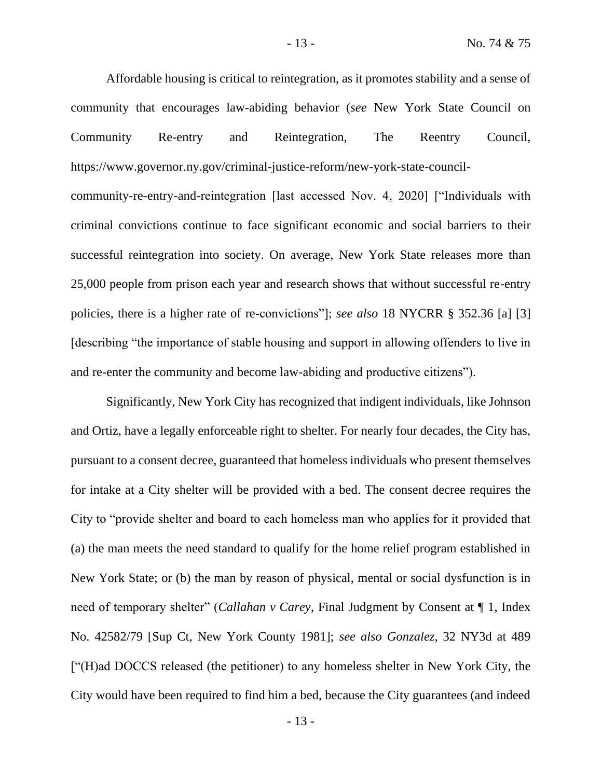Affordable housing is critical to reintegration, as it promotes stability and a sense of community that encourages law-abiding behavior (*see* New York State Council on Community Re-entry and Reintegration, The Reentry Council, https://www.governor.ny.gov/criminal-justice-reform/new-york-state-council-

community-re-entry-and-reintegration [last accessed Nov. 4, 2020] ["Individuals with criminal convictions continue to face significant economic and social barriers to their successful reintegration into society. On average, New York State releases more than 25,000 people from prison each year and research shows that without successful re-entry policies, there is a higher rate of re-convictions"]; *see also* 18 NYCRR § 352.36 [a] [3] [describing "the importance of stable housing and support in allowing offenders to live in and re-enter the community and become law-abiding and productive citizens").

Significantly, New York City has recognized that indigent individuals, like Johnson and Ortiz, have a legally enforceable right to shelter. For nearly four decades, the City has, pursuant to a consent decree, guaranteed that homeless individuals who present themselves for intake at a City shelter will be provided with a bed. The consent decree requires the City to "provide shelter and board to each homeless man who applies for it provided that (a) the man meets the need standard to qualify for the home relief program established in New York State; or (b) the man by reason of physical, mental or social dysfunction is in need of temporary shelter" (*Callahan v Carey*, Final Judgment by Consent at ¶ 1, Index No. 42582/79 [Sup Ct, New York County 1981]; *see also Gonzalez*, 32 NY3d at 489 ["(H)ad DOCCS released (the petitioner) to any homeless shelter in New York City, the City would have been required to find him a bed, because the City guarantees (and indeed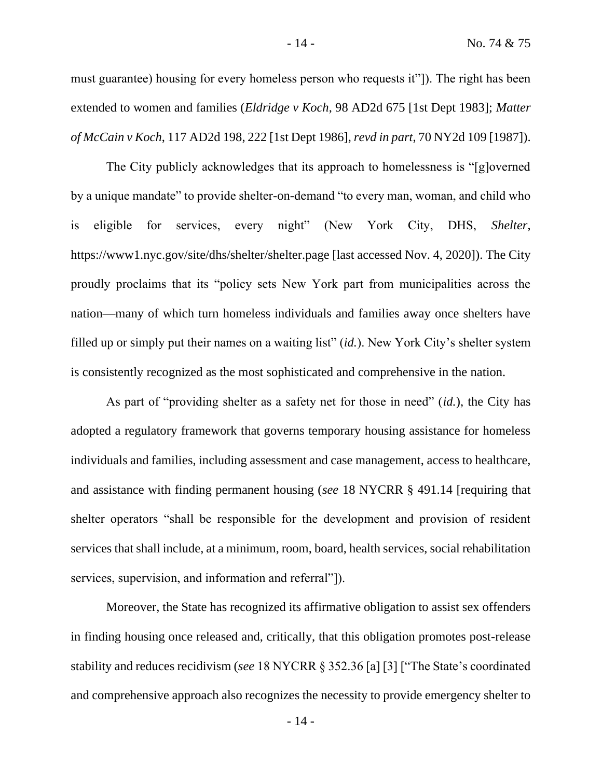must guarantee) housing for every homeless person who requests it"]). The right has been extended to women and families (*Eldridge v Koch*, 98 AD2d 675 [1st Dept 1983]; *Matter of McCain v Koch*, 117 AD2d 198, 222 [1st Dept 1986], *revd in part*, 70 NY2d 109 [1987]).

The City publicly acknowledges that its approach to homelessness is "[g]overned by a unique mandate" to provide shelter-on-demand "to every man, woman, and child who is eligible for services, every night" (New York City, DHS, *Shelter*, https://www1.nyc.gov/site/dhs/shelter/shelter.page [last accessed Nov. 4, 2020]). The City proudly proclaims that its "policy sets New York part from municipalities across the nation—many of which turn homeless individuals and families away once shelters have filled up or simply put their names on a waiting list" (*id.*). New York City's shelter system is consistently recognized as the most sophisticated and comprehensive in the nation.

As part of "providing shelter as a safety net for those in need" (*id.*), the City has adopted a regulatory framework that governs temporary housing assistance for homeless individuals and families, including assessment and case management, access to healthcare, and assistance with finding permanent housing (*see* 18 NYCRR § 491.14 [requiring that shelter operators "shall be responsible for the development and provision of resident services that shall include, at a minimum, room, board, health services, social rehabilitation services, supervision, and information and referral"]).

Moreover, the State has recognized its affirmative obligation to assist sex offenders in finding housing once released and, critically, that this obligation promotes post-release stability and reduces recidivism (*see* 18 NYCRR § 352.36 [a] [3] ["The State's coordinated and comprehensive approach also recognizes the necessity to provide emergency shelter to

- 14 -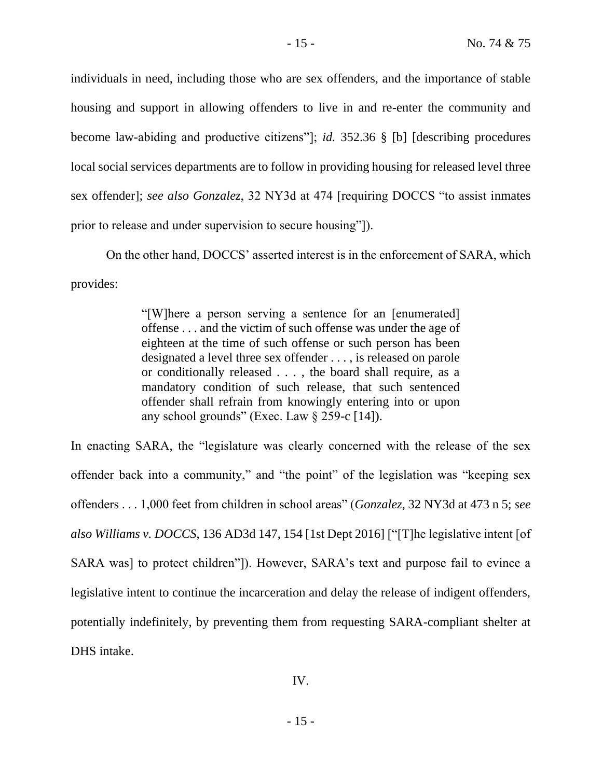individuals in need, including those who are sex offenders, and the importance of stable housing and support in allowing offenders to live in and re-enter the community and become law-abiding and productive citizens"]; *id.* 352.36 § [b] [describing procedures local social services departments are to follow in providing housing for released level three sex offender]; *see also Gonzalez*, 32 NY3d at 474 [requiring DOCCS "to assist inmates prior to release and under supervision to secure housing"]).

On the other hand, DOCCS' asserted interest is in the enforcement of SARA, which provides:

> "[W]here a person serving a sentence for an [enumerated] offense . . . and the victim of such offense was under the age of eighteen at the time of such offense or such person has been designated a level three sex offender . . . , is released on parole or conditionally released . . . , the board shall require, as a mandatory condition of such release, that such sentenced offender shall refrain from knowingly entering into or upon any school grounds" (Exec. Law  $\S$  259-c [14]).

In enacting SARA, the "legislature was clearly concerned with the release of the sex offender back into a community," and "the point" of the legislation was "keeping sex offenders . . . 1,000 feet from children in school areas" (*Gonzalez*, 32 NY3d at 473 n 5; *see also Williams v. DOCCS*, 136 AD3d 147, 154 [1st Dept 2016] ["[T]he legislative intent [of SARA was] to protect children"]). However, SARA's text and purpose fail to evince a legislative intent to continue the incarceration and delay the release of indigent offenders, potentially indefinitely, by preventing them from requesting SARA-compliant shelter at DHS intake.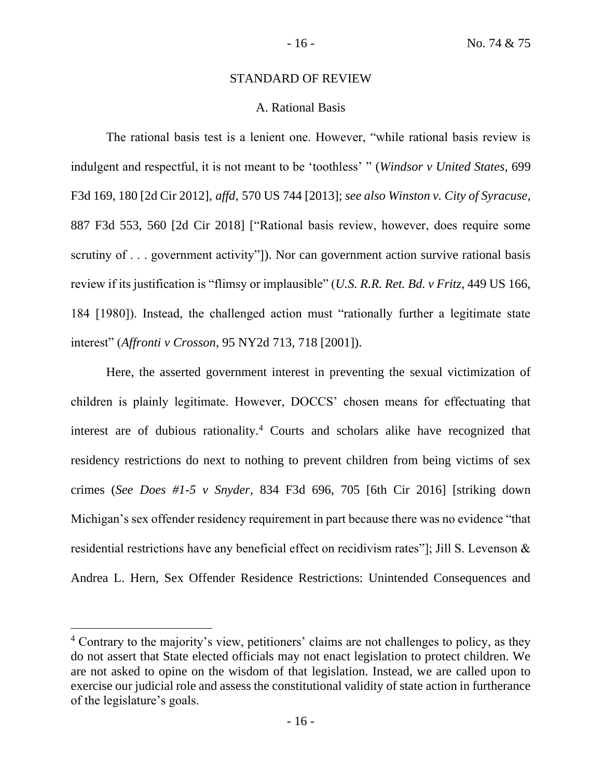## STANDARD OF REVIEW

## A. Rational Basis

The rational basis test is a lenient one. However, "while rational basis review is indulgent and respectful, it is not meant to be 'toothless' " (*Windsor v United States*, 699 F3d 169, 180 [2d Cir 2012], *affd*, 570 US 744 [2013]; *see also Winston v. City of Syracuse*, 887 F3d 553, 560 [2d Cir 2018] ["Rational basis review, however, does require some scrutiny of . . . government activity"]). Nor can government action survive rational basis review if its justification is "flimsy or implausible" (*U.S. R.R. Ret. Bd. v Fritz*, 449 US 166, 184 [1980]). Instead, the challenged action must "rationally further a legitimate state interest" (*Affronti v Crosson*, 95 NY2d 713, 718 [2001]).

Here, the asserted government interest in preventing the sexual victimization of children is plainly legitimate. However, DOCCS' chosen means for effectuating that interest are of dubious rationality.<sup>4</sup> Courts and scholars alike have recognized that residency restrictions do next to nothing to prevent children from being victims of sex crimes (*See Does #1-5 v Snyder*, 834 F3d 696, 705 [6th Cir 2016] [striking down Michigan's sex offender residency requirement in part because there was no evidence "that residential restrictions have any beneficial effect on recidivism rates"]; Jill S. Levenson & Andrea L. Hern, Sex Offender Residence Restrictions: Unintended Consequences and

<sup>&</sup>lt;sup>4</sup> Contrary to the majority's view, petitioners' claims are not challenges to policy, as they do not assert that State elected officials may not enact legislation to protect children. We are not asked to opine on the wisdom of that legislation. Instead, we are called upon to exercise our judicial role and assess the constitutional validity of state action in furtherance of the legislature's goals.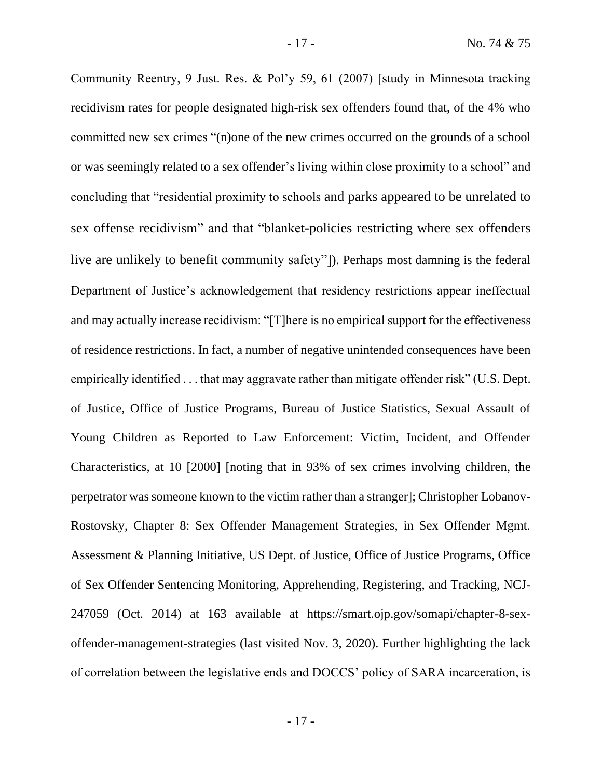Community Reentry, 9 Just. Res. & Pol'y 59, 61 (2007) [study in Minnesota tracking recidivism rates for people designated high-risk sex offenders found that, of the 4% who committed new sex crimes "(n)one of the new crimes occurred on the grounds of a school or was seemingly related to a sex offender's living within close proximity to a school" and concluding that "residential proximity to schools and parks appeared to be unrelated to sex offense recidivism" and that "blanket-policies restricting where sex offenders live are unlikely to benefit community safety"]). Perhaps most damning is the federal Department of Justice's acknowledgement that residency restrictions appear ineffectual and may actually increase recidivism: "[T]here is no empirical support for the effectiveness of residence restrictions. In fact, a number of negative unintended consequences have been empirically identified . . . that may aggravate rather than mitigate offender risk" (U.S. Dept. of Justice, Office of Justice Programs, Bureau of Justice Statistics, Sexual Assault of Young Children as Reported to Law Enforcement: Victim, Incident, and Offender Characteristics, at 10 [2000] [noting that in 93% of sex crimes involving children, the perpetrator was someone known to the victim rather than a stranger]; Christopher Lobanov-Rostovsky, Chapter 8: Sex Offender Management Strategies, in Sex Offender Mgmt.

Assessment & Planning Initiative, US Dept. of Justice, Office of Justice Programs, Office of Sex Offender Sentencing Monitoring, Apprehending, Registering, and Tracking, NCJ-247059 (Oct. 2014) at 163 available at https://smart.ojp.gov/somapi/chapter-8-sexoffender-management-strategies (last visited Nov. 3, 2020). Further highlighting the lack of correlation between the legislative ends and DOCCS' policy of SARA incarceration, is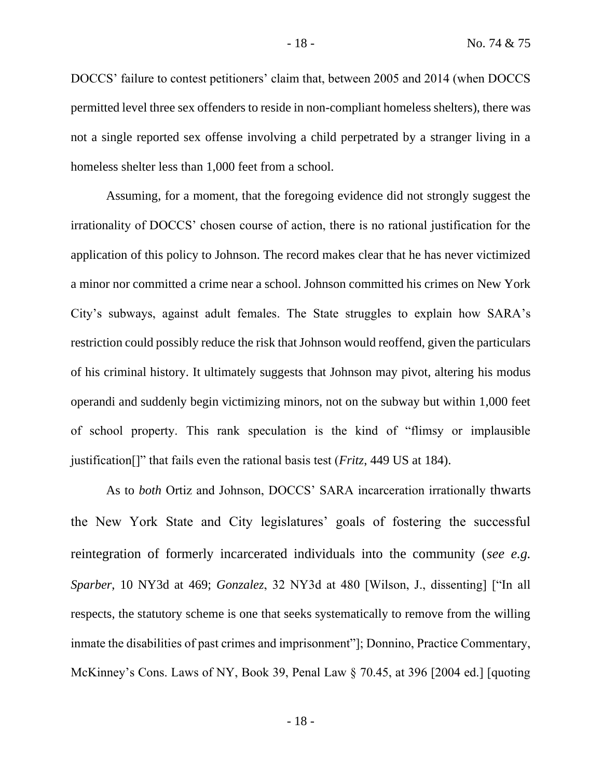DOCCS' failure to contest petitioners' claim that, between 2005 and 2014 (when DOCCS permitted level three sex offenders to reside in non-compliant homeless shelters), there was not a single reported sex offense involving a child perpetrated by a stranger living in a homeless shelter less than 1,000 feet from a school.

Assuming, for a moment, that the foregoing evidence did not strongly suggest the irrationality of DOCCS' chosen course of action, there is no rational justification for the application of this policy to Johnson. The record makes clear that he has never victimized a minor nor committed a crime near a school. Johnson committed his crimes on New York City's subways, against adult females. The State struggles to explain how SARA's restriction could possibly reduce the risk that Johnson would reoffend, given the particulars of his criminal history. It ultimately suggests that Johnson may pivot, altering his modus operandi and suddenly begin victimizing minors, not on the subway but within 1,000 feet of school property. This rank speculation is the kind of "flimsy or implausible justification[]" that fails even the rational basis test (*Fritz*, 449 US at 184).

As to *both* Ortiz and Johnson, DOCCS' SARA incarceration irrationally thwarts the New York State and City legislatures' goals of fostering the successful reintegration of formerly incarcerated individuals into the community (*see e.g. Sparber*, 10 NY3d at 469; *Gonzalez*, 32 NY3d at 480 [Wilson, J., dissenting] ["In all respects, the statutory scheme is one that seeks systematically to remove from the willing inmate the disabilities of past crimes and imprisonment"]; Donnino, Practice Commentary, McKinney's Cons. Laws of NY, Book 39, Penal Law § 70.45, at 396 [2004 ed.] [quoting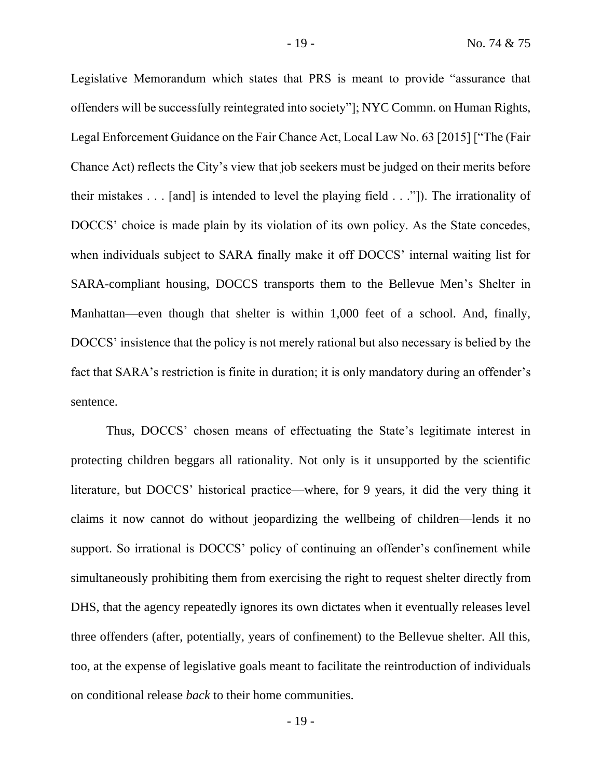Legislative Memorandum which states that PRS is meant to provide "assurance that offenders will be successfully reintegrated into society"]; NYC Commn. on Human Rights, Legal Enforcement Guidance on the Fair Chance Act, Local Law No. 63 [2015] ["The (Fair Chance Act) reflects the City's view that job seekers must be judged on their merits before their mistakes . . . [and] is intended to level the playing field . . ."]). The irrationality of DOCCS' choice is made plain by its violation of its own policy. As the State concedes, when individuals subject to SARA finally make it off DOCCS' internal waiting list for SARA-compliant housing, DOCCS transports them to the Bellevue Men's Shelter in Manhattan—even though that shelter is within 1,000 feet of a school. And, finally, DOCCS' insistence that the policy is not merely rational but also necessary is belied by the fact that SARA's restriction is finite in duration; it is only mandatory during an offender's sentence.

Thus, DOCCS' chosen means of effectuating the State's legitimate interest in protecting children beggars all rationality. Not only is it unsupported by the scientific literature, but DOCCS' historical practice—where, for 9 years, it did the very thing it claims it now cannot do without jeopardizing the wellbeing of children—lends it no support. So irrational is DOCCS' policy of continuing an offender's confinement while simultaneously prohibiting them from exercising the right to request shelter directly from DHS, that the agency repeatedly ignores its own dictates when it eventually releases level three offenders (after, potentially, years of confinement) to the Bellevue shelter. All this, too, at the expense of legislative goals meant to facilitate the reintroduction of individuals on conditional release *back* to their home communities.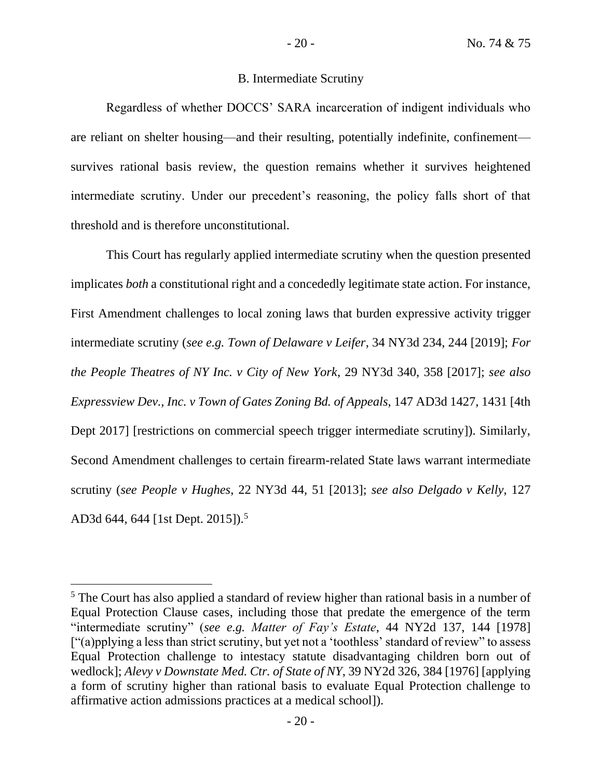# B. Intermediate Scrutiny

Regardless of whether DOCCS' SARA incarceration of indigent individuals who are reliant on shelter housing—and their resulting, potentially indefinite, confinement survives rational basis review, the question remains whether it survives heightened intermediate scrutiny. Under our precedent's reasoning, the policy falls short of that threshold and is therefore unconstitutional.

This Court has regularly applied intermediate scrutiny when the question presented implicates *both* a constitutional right and a concededly legitimate state action. For instance, First Amendment challenges to local zoning laws that burden expressive activity trigger intermediate scrutiny (*see e.g. Town of Delaware v Leifer*, 34 NY3d 234, 244 [2019]; *For the People Theatres of NY Inc. v City of New York*, 29 NY3d 340, 358 [2017]; *see also Expressview Dev., Inc. v Town of Gates Zoning Bd. of Appeals*, 147 AD3d 1427, 1431 [4th Dept 2017] [restrictions on commercial speech trigger intermediate scrutiny]). Similarly, Second Amendment challenges to certain firearm-related State laws warrant intermediate scrutiny (*see People v Hughes*, 22 NY3d 44, 51 [2013]; *see also Delgado v Kelly*, 127 AD3d 644, 644 [1st Dept. 2015]).<sup>5</sup>

<sup>5</sup> The Court has also applied a standard of review higher than rational basis in a number of Equal Protection Clause cases, including those that predate the emergence of the term "intermediate scrutiny" (*see e.g. Matter of Fay's Estate*, 44 NY2d 137, 144 [1978] ["(a)pplying a less than strict scrutiny, but yet not a 'toothless' standard of review" to assess Equal Protection challenge to intestacy statute disadvantaging children born out of wedlock]; *Alevy v Downstate Med. Ctr. of State of NY*, 39 NY2d 326, 384 [1976] [applying a form of scrutiny higher than rational basis to evaluate Equal Protection challenge to affirmative action admissions practices at a medical school]).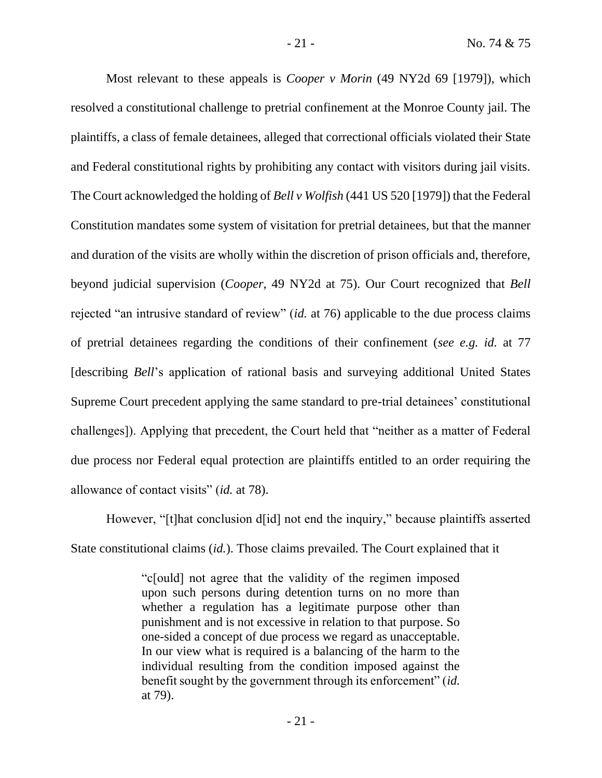Most relevant to these appeals is *Cooper v Morin* (49 NY2d 69 [1979]), which resolved a constitutional challenge to pretrial confinement at the Monroe County jail. The plaintiffs, a class of female detainees, alleged that correctional officials violated their State and Federal constitutional rights by prohibiting any contact with visitors during jail visits. The Court acknowledged the holding of *Bell v Wolfish* (441 US 520 [1979]) that the Federal Constitution mandates some system of visitation for pretrial detainees, but that the manner and duration of the visits are wholly within the discretion of prison officials and, therefore, beyond judicial supervision (*Cooper*, 49 NY2d at 75). Our Court recognized that *Bell*  rejected "an intrusive standard of review" (*id.* at 76) applicable to the due process claims of pretrial detainees regarding the conditions of their confinement (*see e.g. id.* at 77 [describing *Bell*'s application of rational basis and surveying additional United States Supreme Court precedent applying the same standard to pre-trial detainees' constitutional challenges]). Applying that precedent, the Court held that "neither as a matter of Federal due process nor Federal equal protection are plaintiffs entitled to an order requiring the allowance of contact visits" (*id.* at 78).

However, "[t]hat conclusion d[id] not end the inquiry," because plaintiffs asserted State constitutional claims (*id.*). Those claims prevailed. The Court explained that it

> "c[ould] not agree that the validity of the regimen imposed upon such persons during detention turns on no more than whether a regulation has a legitimate purpose other than punishment and is not excessive in relation to that purpose. So one-sided a concept of due process we regard as unacceptable. In our view what is required is a balancing of the harm to the individual resulting from the condition imposed against the benefit sought by the government through its enforcement" (*id.* at 79).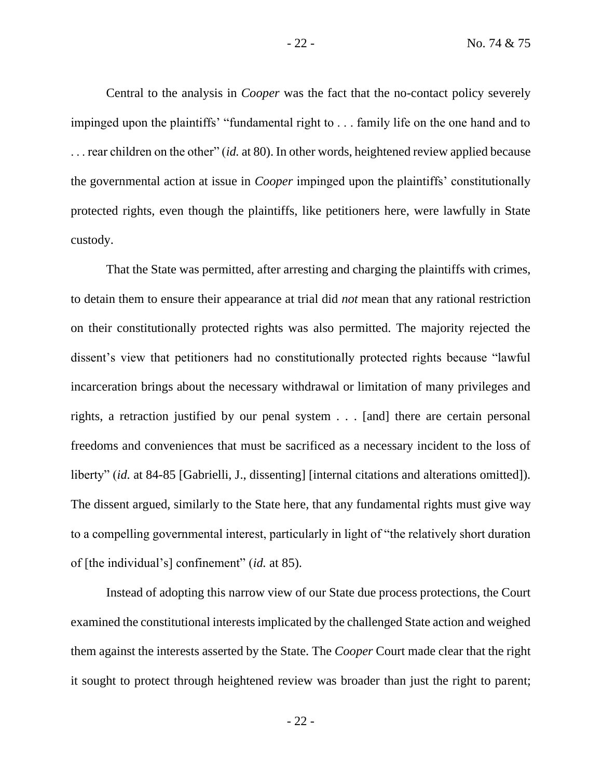Central to the analysis in *Cooper* was the fact that the no-contact policy severely impinged upon the plaintiffs' "fundamental right to . . . family life on the one hand and to . . . rear children on the other" (*id.* at 80). In other words, heightened review applied because the governmental action at issue in *Cooper* impinged upon the plaintiffs' constitutionally protected rights, even though the plaintiffs, like petitioners here, were lawfully in State custody.

That the State was permitted, after arresting and charging the plaintiffs with crimes, to detain them to ensure their appearance at trial did *not* mean that any rational restriction on their constitutionally protected rights was also permitted. The majority rejected the dissent's view that petitioners had no constitutionally protected rights because "lawful incarceration brings about the necessary withdrawal or limitation of many privileges and rights, a retraction justified by our penal system . . . [and] there are certain personal freedoms and conveniences that must be sacrificed as a necessary incident to the loss of liberty" *(id.* at 84-85 [Gabrielli, J., dissenting] [internal citations and alterations omitted]). The dissent argued, similarly to the State here, that any fundamental rights must give way to a compelling governmental interest, particularly in light of "the relatively short duration of [the individual's] confinement" (*id.* at 85).

Instead of adopting this narrow view of our State due process protections, the Court examined the constitutional interests implicated by the challenged State action and weighed them against the interests asserted by the State. The *Cooper* Court made clear that the right it sought to protect through heightened review was broader than just the right to parent;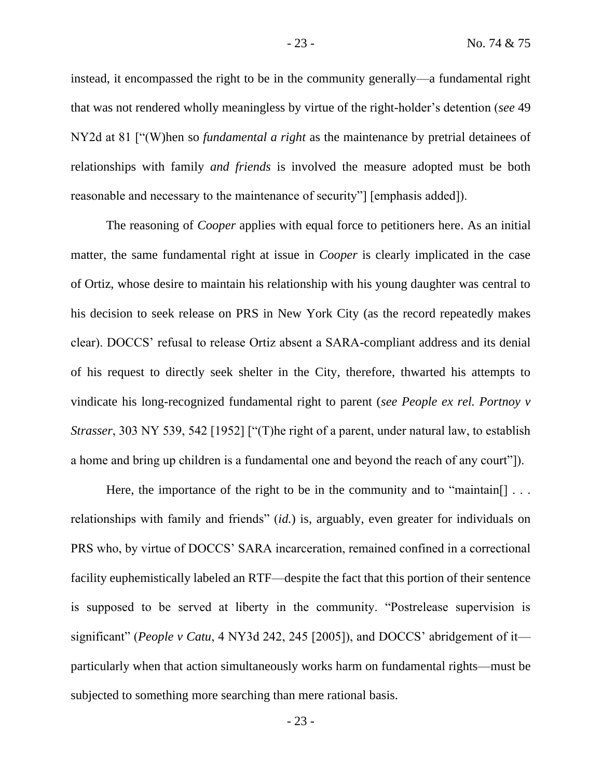instead, it encompassed the right to be in the community generally—a fundamental right that was not rendered wholly meaningless by virtue of the right-holder's detention (*see* 49 NY2d at 81 ["(W)hen so *fundamental a right* as the maintenance by pretrial detainees of relationships with family *and friends* is involved the measure adopted must be both reasonable and necessary to the maintenance of security"] [emphasis added]).

The reasoning of *Cooper* applies with equal force to petitioners here. As an initial matter, the same fundamental right at issue in *Cooper* is clearly implicated in the case of Ortiz, whose desire to maintain his relationship with his young daughter was central to his decision to seek release on PRS in New York City (as the record repeatedly makes clear). DOCCS' refusal to release Ortiz absent a SARA-compliant address and its denial of his request to directly seek shelter in the City, therefore, thwarted his attempts to vindicate his long-recognized fundamental right to parent (*see People ex rel. Portnoy v Strasser*, 303 NY 539, 542 [1952] ["(T) he right of a parent, under natural law, to establish a home and bring up children is a fundamental one and beyond the reach of any court"]).

Here, the importance of the right to be in the community and to "maintain... relationships with family and friends" (*id.*) is, arguably, even greater for individuals on PRS who, by virtue of DOCCS' SARA incarceration, remained confined in a correctional facility euphemistically labeled an RTF—despite the fact that this portion of their sentence is supposed to be served at liberty in the community. "Postrelease supervision is significant" (*People v Catu*, 4 NY3d 242, 245 [2005]), and DOCCS' abridgement of it particularly when that action simultaneously works harm on fundamental rights—must be subjected to something more searching than mere rational basis.

- 23 -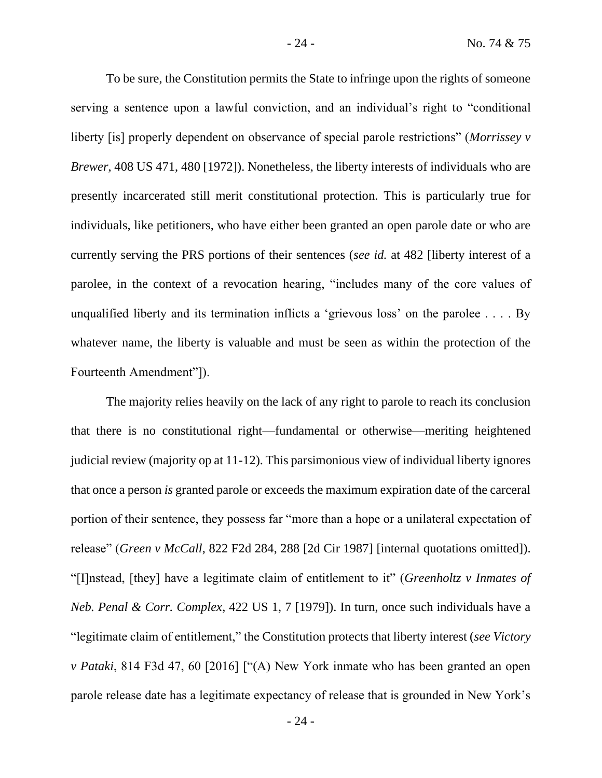To be sure, the Constitution permits the State to infringe upon the rights of someone serving a sentence upon a lawful conviction, and an individual's right to "conditional liberty [is] properly dependent on observance of special parole restrictions" (*Morrissey v Brewer*, 408 US 471, 480 [1972]). Nonetheless, the liberty interests of individuals who are presently incarcerated still merit constitutional protection. This is particularly true for individuals, like petitioners, who have either been granted an open parole date or who are currently serving the PRS portions of their sentences (*see id.* at 482 [liberty interest of a parolee, in the context of a revocation hearing, "includes many of the core values of unqualified liberty and its termination inflicts a 'grievous loss' on the parolee . . . . By whatever name, the liberty is valuable and must be seen as within the protection of the Fourteenth Amendment"]).

The majority relies heavily on the lack of any right to parole to reach its conclusion that there is no constitutional right—fundamental or otherwise—meriting heightened judicial review (majority op at 11-12). This parsimonious view of individual liberty ignores that once a person *is* granted parole or exceeds the maximum expiration date of the carceral portion of their sentence, they possess far "more than a hope or a unilateral expectation of release" (*Green v McCall*, 822 F2d 284, 288 [2d Cir 1987] [internal quotations omitted]). "[I]nstead, [they] have a legitimate claim of entitlement to it" (*Greenholtz v Inmates of Neb. Penal & Corr. Complex*, 422 US 1, 7 [1979]). In turn, once such individuals have a "legitimate claim of entitlement," the Constitution protects that liberty interest (*see Victory v Pataki*, 814 F3d 47, 60 [2016] ["(A) New York inmate who has been granted an open parole release date has a legitimate expectancy of release that is grounded in New York's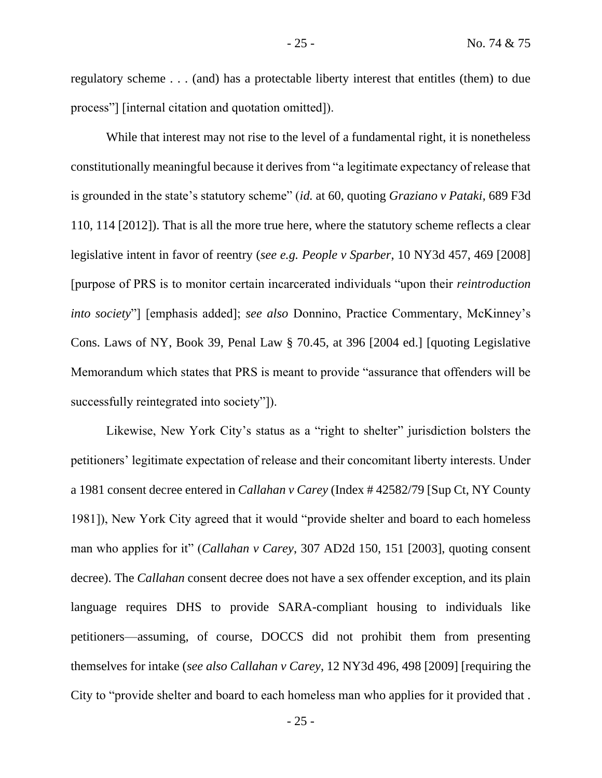regulatory scheme . . . (and) has a protectable liberty interest that entitles (them) to due process"] [internal citation and quotation omitted]).

While that interest may not rise to the level of a fundamental right, it is nonetheless constitutionally meaningful because it derives from "a legitimate expectancy of release that is grounded in the state's statutory scheme" (*id.* at 60, quoting *Graziano v Pataki*, 689 F3d 110, 114 [2012]). That is all the more true here, where the statutory scheme reflects a clear legislative intent in favor of reentry (*see e.g. People v Sparber*, 10 NY3d 457, 469 [2008] [purpose of PRS is to monitor certain incarcerated individuals "upon their *reintroduction into society*"] [emphasis added]; *see also* Donnino, Practice Commentary, McKinney's Cons. Laws of NY, Book 39, Penal Law § 70.45, at 396 [2004 ed.] [quoting Legislative Memorandum which states that PRS is meant to provide "assurance that offenders will be successfully reintegrated into society"]).

Likewise, New York City's status as a "right to shelter" jurisdiction bolsters the petitioners' legitimate expectation of release and their concomitant liberty interests. Under a 1981 consent decree entered in *Callahan v Carey* (Index # 42582/79 [Sup Ct, NY County 1981]), New York City agreed that it would "provide shelter and board to each homeless man who applies for it" (*Callahan v Carey*, 307 AD2d 150, 151 [2003], quoting consent decree). The *Callahan* consent decree does not have a sex offender exception, and its plain language requires DHS to provide SARA-compliant housing to individuals like petitioners—assuming, of course, DOCCS did not prohibit them from presenting themselves for intake (*see also Callahan v Carey*, 12 NY3d 496, 498 [2009] [requiring the City to "provide shelter and board to each homeless man who applies for it provided that .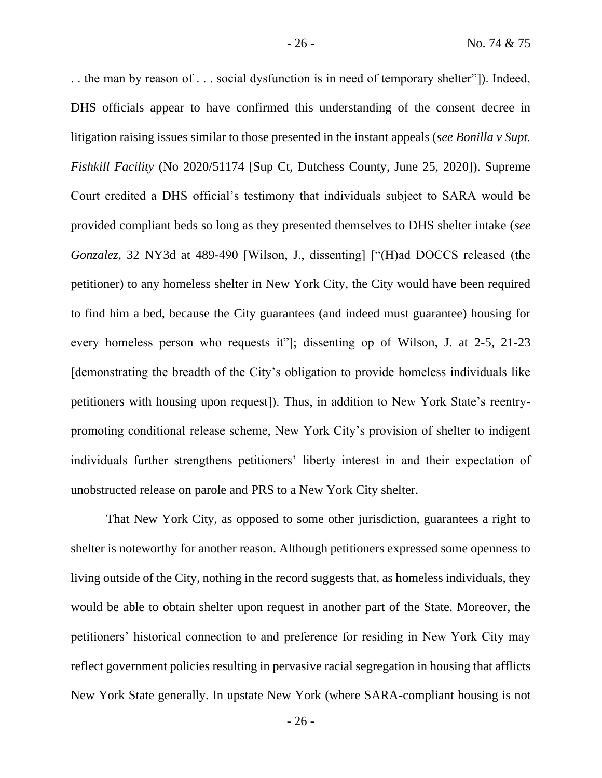. . the man by reason of . . . social dysfunction is in need of temporary shelter"]). Indeed, DHS officials appear to have confirmed this understanding of the consent decree in litigation raising issues similar to those presented in the instant appeals (*see Bonilla v Supt. Fishkill Facility* (No 2020/51174 [Sup Ct, Dutchess County, June 25, 2020]). Supreme Court credited a DHS official's testimony that individuals subject to SARA would be provided compliant beds so long as they presented themselves to DHS shelter intake (*see Gonzalez*, 32 NY3d at 489-490 [Wilson, J., dissenting] ["(H)ad DOCCS released (the petitioner) to any homeless shelter in New York City, the City would have been required to find him a bed, because the City guarantees (and indeed must guarantee) housing for every homeless person who requests it"]; dissenting op of Wilson, J. at 2-5, 21-23 [demonstrating the breadth of the City's obligation to provide homeless individuals like petitioners with housing upon request]). Thus, in addition to New York State's reentrypromoting conditional release scheme, New York City's provision of shelter to indigent individuals further strengthens petitioners' liberty interest in and their expectation of unobstructed release on parole and PRS to a New York City shelter.

That New York City, as opposed to some other jurisdiction, guarantees a right to shelter is noteworthy for another reason. Although petitioners expressed some openness to living outside of the City, nothing in the record suggests that, as homeless individuals, they would be able to obtain shelter upon request in another part of the State. Moreover, the petitioners' historical connection to and preference for residing in New York City may reflect government policies resulting in pervasive racial segregation in housing that afflicts New York State generally. In upstate New York (where SARA-compliant housing is not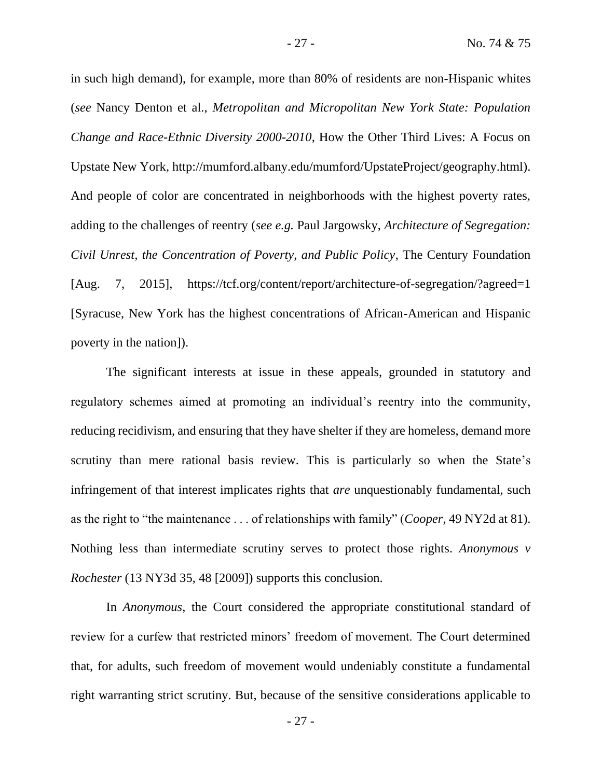in such high demand), for example, more than 80% of residents are non-Hispanic whites (*see* Nancy Denton et al., *Metropolitan and Micropolitan New York State: Population Change and Race-Ethnic Diversity 2000-2010*, How the Other Third Lives: A Focus on Upstate New York, http://mumford.albany.edu/mumford/UpstateProject/geography.html). And people of color are concentrated in neighborhoods with the highest poverty rates, adding to the challenges of reentry (*see e.g.* Paul Jargowsky, *Architecture of Segregation: Civil Unrest, the Concentration of Poverty, and Public Policy*, The Century Foundation [Aug. 7, 2015], https://tcf.org/content/report/architecture-of-segregation/?agreed=1 [Syracuse, New York has the highest concentrations of African-American and Hispanic poverty in the nation]).

The significant interests at issue in these appeals, grounded in statutory and regulatory schemes aimed at promoting an individual's reentry into the community, reducing recidivism, and ensuring that they have shelter if they are homeless, demand more scrutiny than mere rational basis review. This is particularly so when the State's infringement of that interest implicates rights that *are* unquestionably fundamental, such as the right to "the maintenance . . . of relationships with family" (*Cooper*, 49 NY2d at 81). Nothing less than intermediate scrutiny serves to protect those rights. *Anonymous v Rochester* (13 NY3d 35, 48 [2009]) supports this conclusion.

In *Anonymous*, the Court considered the appropriate constitutional standard of review for a curfew that restricted minors' freedom of movement. The Court determined that, for adults, such freedom of movement would undeniably constitute a fundamental right warranting strict scrutiny. But, because of the sensitive considerations applicable to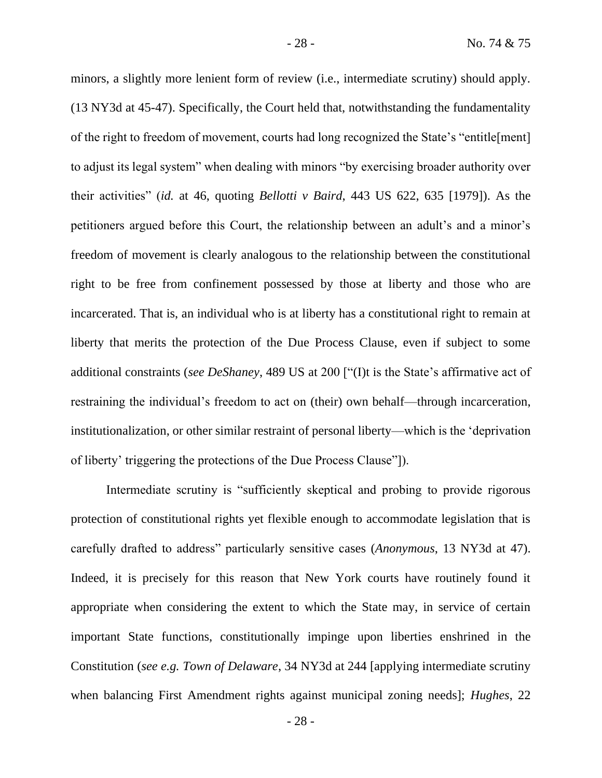minors, a slightly more lenient form of review (i.e., intermediate scrutiny) should apply. (13 NY3d at 45-47). Specifically, the Court held that, notwithstanding the fundamentality of the right to freedom of movement, courts had long recognized the State's "entitle[ment] to adjust its legal system" when dealing with minors "by exercising broader authority over their activities" (*id.* at 46, quoting *Bellotti v Baird*, 443 US 622, 635 [1979]). As the petitioners argued before this Court, the relationship between an adult's and a minor's freedom of movement is clearly analogous to the relationship between the constitutional right to be free from confinement possessed by those at liberty and those who are incarcerated. That is, an individual who is at liberty has a constitutional right to remain at liberty that merits the protection of the Due Process Clause, even if subject to some additional constraints (*see DeShaney*, 489 US at 200 ["(I)t is the State's affirmative act of restraining the individual's freedom to act on (their) own behalf—through incarceration, institutionalization, or other similar restraint of personal liberty—which is the 'deprivation of liberty' triggering the protections of the Due Process Clause"]).

Intermediate scrutiny is "sufficiently skeptical and probing to provide rigorous protection of constitutional rights yet flexible enough to accommodate legislation that is carefully drafted to address" particularly sensitive cases (*Anonymous*, 13 NY3d at 47). Indeed, it is precisely for this reason that New York courts have routinely found it appropriate when considering the extent to which the State may, in service of certain important State functions, constitutionally impinge upon liberties enshrined in the Constitution (*see e.g. Town of Delaware*, 34 NY3d at 244 [applying intermediate scrutiny when balancing First Amendment rights against municipal zoning needs]; *Hughes*, 22

- 28 -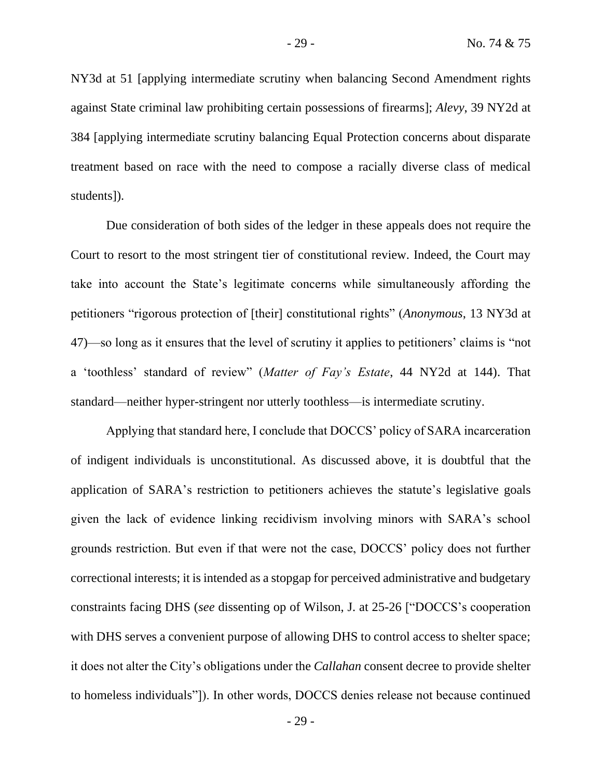NY3d at 51 [applying intermediate scrutiny when balancing Second Amendment rights against State criminal law prohibiting certain possessions of firearms]; *Alevy*, 39 NY2d at 384 [applying intermediate scrutiny balancing Equal Protection concerns about disparate treatment based on race with the need to compose a racially diverse class of medical students]).

Due consideration of both sides of the ledger in these appeals does not require the Court to resort to the most stringent tier of constitutional review. Indeed, the Court may take into account the State's legitimate concerns while simultaneously affording the petitioners "rigorous protection of [their] constitutional rights" (*Anonymous*, 13 NY3d at 47)—so long as it ensures that the level of scrutiny it applies to petitioners' claims is "not a 'toothless' standard of review" (*Matter of Fay's Estate*, 44 NY2d at 144). That standard—neither hyper-stringent nor utterly toothless—is intermediate scrutiny.

Applying that standard here, I conclude that DOCCS' policy of SARA incarceration of indigent individuals is unconstitutional. As discussed above, it is doubtful that the application of SARA's restriction to petitioners achieves the statute's legislative goals given the lack of evidence linking recidivism involving minors with SARA's school grounds restriction. But even if that were not the case, DOCCS' policy does not further correctional interests; it is intended as a stopgap for perceived administrative and budgetary constraints facing DHS (*see* dissenting op of Wilson, J. at 25-26 ["DOCCS's cooperation with DHS serves a convenient purpose of allowing DHS to control access to shelter space; it does not alter the City's obligations under the *Callahan* consent decree to provide shelter to homeless individuals"]). In other words, DOCCS denies release not because continued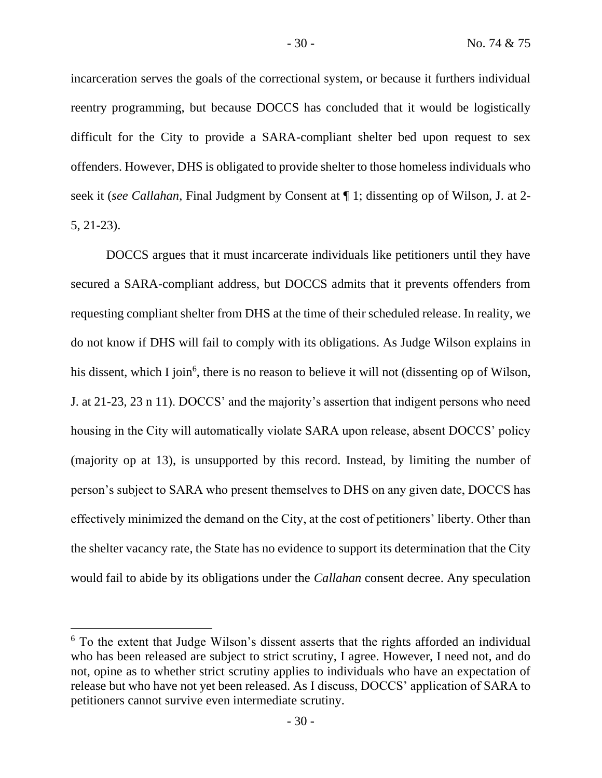incarceration serves the goals of the correctional system, or because it furthers individual reentry programming, but because DOCCS has concluded that it would be logistically difficult for the City to provide a SARA-compliant shelter bed upon request to sex offenders. However, DHS is obligated to provide shelter to those homeless individuals who seek it (*see Callahan*, Final Judgment by Consent at ¶ 1; dissenting op of Wilson, J. at 2- 5, 21-23).

DOCCS argues that it must incarcerate individuals like petitioners until they have secured a SARA-compliant address, but DOCCS admits that it prevents offenders from requesting compliant shelter from DHS at the time of their scheduled release. In reality, we do not know if DHS will fail to comply with its obligations. As Judge Wilson explains in his dissent, which I join<sup>6</sup>, there is no reason to believe it will not (dissenting op of Wilson, J. at 21-23, 23 n 11). DOCCS' and the majority's assertion that indigent persons who need housing in the City will automatically violate SARA upon release, absent DOCCS' policy (majority op at 13), is unsupported by this record. Instead, by limiting the number of person's subject to SARA who present themselves to DHS on any given date, DOCCS has effectively minimized the demand on the City, at the cost of petitioners' liberty. Other than the shelter vacancy rate, the State has no evidence to support its determination that the City would fail to abide by its obligations under the *Callahan* consent decree. Any speculation

<sup>&</sup>lt;sup>6</sup> To the extent that Judge Wilson's dissent asserts that the rights afforded an individual who has been released are subject to strict scrutiny, I agree. However, I need not, and do not, opine as to whether strict scrutiny applies to individuals who have an expectation of release but who have not yet been released. As I discuss, DOCCS' application of SARA to petitioners cannot survive even intermediate scrutiny.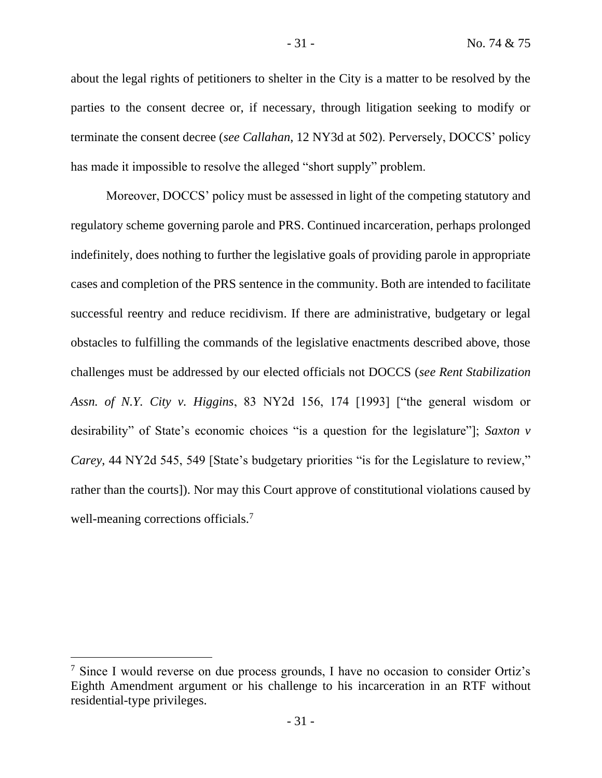about the legal rights of petitioners to shelter in the City is a matter to be resolved by the parties to the consent decree or, if necessary, through litigation seeking to modify or terminate the consent decree (*see Callahan*, 12 NY3d at 502). Perversely, DOCCS' policy has made it impossible to resolve the alleged "short supply" problem.

Moreover, DOCCS' policy must be assessed in light of the competing statutory and regulatory scheme governing parole and PRS. Continued incarceration, perhaps prolonged indefinitely, does nothing to further the legislative goals of providing parole in appropriate cases and completion of the PRS sentence in the community. Both are intended to facilitate successful reentry and reduce recidivism. If there are administrative, budgetary or legal obstacles to fulfilling the commands of the legislative enactments described above, those challenges must be addressed by our elected officials not DOCCS (*see Rent Stabilization Assn. of N.Y. City v. Higgins*, 83 NY2d 156, 174 [1993] ["the general wisdom or desirability" of State's economic choices "is a question for the legislature"]; *Saxton v Carey*, 44 NY2d 545, 549 [State's budgetary priorities "is for the Legislature to review," rather than the courts]). Nor may this Court approve of constitutional violations caused by well-meaning corrections officials.<sup>7</sup>

<sup>7</sup> Since I would reverse on due process grounds, I have no occasion to consider Ortiz's Eighth Amendment argument or his challenge to his incarceration in an RTF without residential-type privileges.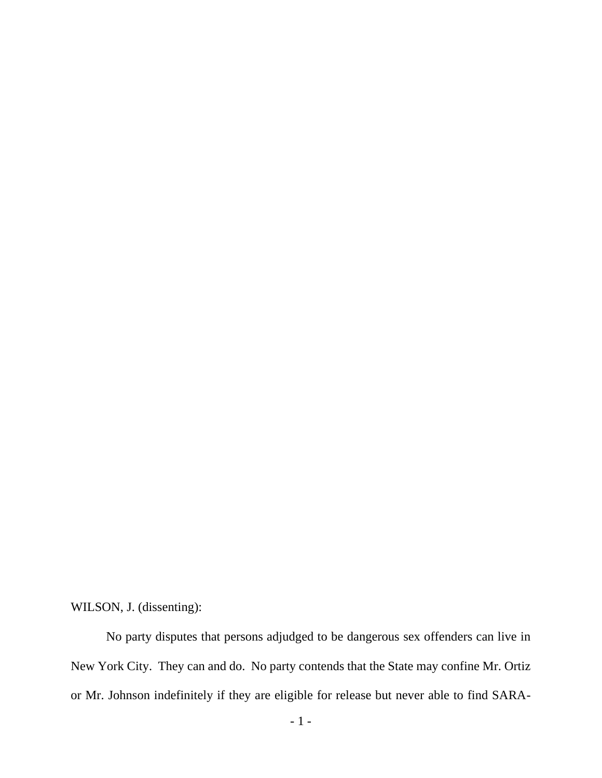WILSON, J. (dissenting):

No party disputes that persons adjudged to be dangerous sex offenders can live in New York City. They can and do. No party contends that the State may confine Mr. Ortiz or Mr. Johnson indefinitely if they are eligible for release but never able to find SARA-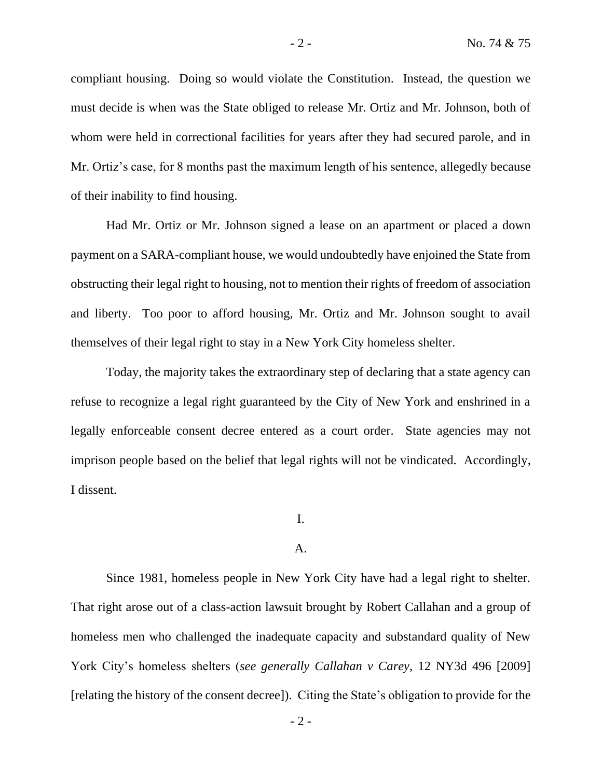compliant housing. Doing so would violate the Constitution. Instead, the question we must decide is when was the State obliged to release Mr. Ortiz and Mr. Johnson, both of whom were held in correctional facilities for years after they had secured parole, and in Mr. Ortiz's case, for 8 months past the maximum length of his sentence, allegedly because of their inability to find housing.

Had Mr. Ortiz or Mr. Johnson signed a lease on an apartment or placed a down payment on a SARA-compliant house, we would undoubtedly have enjoined the State from obstructing their legal right to housing, not to mention their rights of freedom of association and liberty. Too poor to afford housing, Mr. Ortiz and Mr. Johnson sought to avail themselves of their legal right to stay in a New York City homeless shelter.

Today, the majority takes the extraordinary step of declaring that a state agency can refuse to recognize a legal right guaranteed by the City of New York and enshrined in a legally enforceable consent decree entered as a court order. State agencies may not imprison people based on the belief that legal rights will not be vindicated. Accordingly, I dissent.

I.

#### A.

Since 1981, homeless people in New York City have had a legal right to shelter. That right arose out of a class-action lawsuit brought by Robert Callahan and a group of homeless men who challenged the inadequate capacity and substandard quality of New York City's homeless shelters (*see generally Callahan v Carey*, 12 NY3d 496 [2009] [relating the history of the consent decree]). Citing the State's obligation to provide for the

 $-2 -$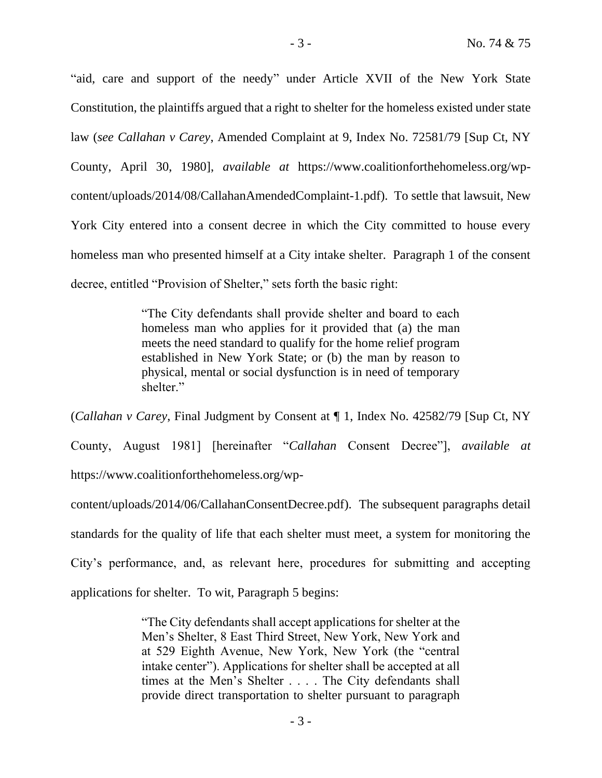"aid, care and support of the needy" under Article XVII of the New York State Constitution, the plaintiffs argued that a right to shelter for the homeless existed under state law (*see Callahan v Carey*, Amended Complaint at 9, Index No. 72581/79 [Sup Ct, NY County, April 30, 1980], *available at* https://www.coalitionforthehomeless.org/wpcontent/uploads/2014/08/CallahanAmendedComplaint-1.pdf). To settle that lawsuit, New York City entered into a consent decree in which the City committed to house every homeless man who presented himself at a City intake shelter. Paragraph 1 of the consent decree, entitled "Provision of Shelter," sets forth the basic right:

> "The City defendants shall provide shelter and board to each homeless man who applies for it provided that (a) the man meets the need standard to qualify for the home relief program established in New York State; or (b) the man by reason to physical, mental or social dysfunction is in need of temporary shelter."

(*Callahan v Carey*, Final Judgment by Consent at ¶ 1, Index No. 42582/79 [Sup Ct, NY County, August 1981] [hereinafter "*Callahan* Consent Decree"], *available at* https://www.coalitionforthehomeless.org/wp-

content/uploads/2014/06/CallahanConsentDecree.pdf). The subsequent paragraphs detail standards for the quality of life that each shelter must meet, a system for monitoring the City's performance, and, as relevant here, procedures for submitting and accepting applications for shelter. To wit, Paragraph 5 begins:

> "The City defendants shall accept applications for shelter at the Men's Shelter, 8 East Third Street, New York, New York and at 529 Eighth Avenue, New York, New York (the "central intake center"). Applications for shelter shall be accepted at all times at the Men's Shelter . . . . The City defendants shall provide direct transportation to shelter pursuant to paragraph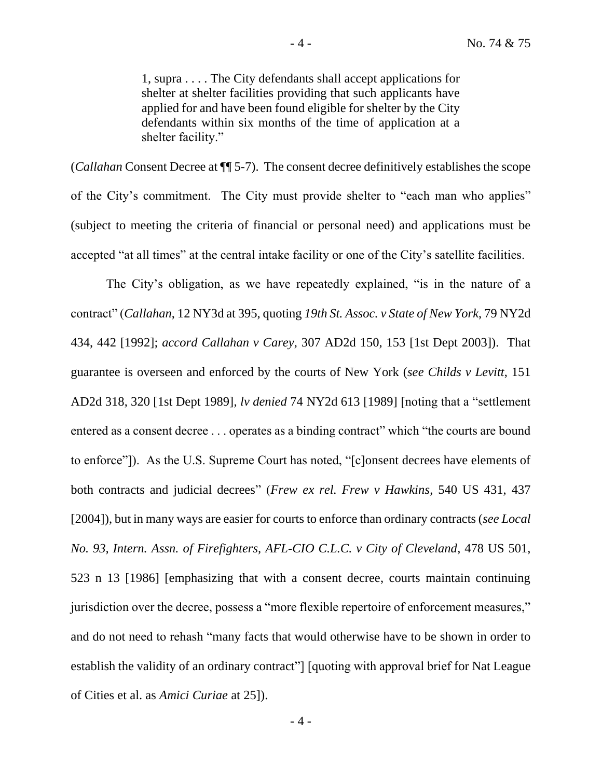1, supra . . . . The City defendants shall accept applications for shelter at shelter facilities providing that such applicants have applied for and have been found eligible for shelter by the City defendants within six months of the time of application at a shelter facility."

(*Callahan* Consent Decree at ¶¶ 5-7). The consent decree definitively establishes the scope of the City's commitment. The City must provide shelter to "each man who applies" (subject to meeting the criteria of financial or personal need) and applications must be accepted "at all times" at the central intake facility or one of the City's satellite facilities.

The City's obligation, as we have repeatedly explained, "is in the nature of a contract" (*Callahan*, 12 NY3d at 395, quoting *19th St. Assoc. v State of New York*, 79 NY2d 434, 442 [1992]; *accord Callahan v Carey*, 307 AD2d 150, 153 [1st Dept 2003]). That guarantee is overseen and enforced by the courts of New York (*see Childs v Levitt*, 151 AD2d 318, 320 [1st Dept 1989], *lv denied* 74 NY2d 613 [1989] [noting that a "settlement entered as a consent decree . . . operates as a binding contract" which "the courts are bound to enforce"]). As the U.S. Supreme Court has noted, "[c]onsent decrees have elements of both contracts and judicial decrees" (*Frew ex rel. Frew v Hawkins*, 540 US 431, 437 [2004]), but in many ways are easier for courts to enforce than ordinary contracts (*see Local No. 93, Intern. Assn. of Firefighters, AFL-CIO C.L.C. v City of Cleveland*, 478 US 501, 523 n 13 [1986] [emphasizing that with a consent decree, courts maintain continuing jurisdiction over the decree, possess a "more flexible repertoire of enforcement measures," and do not need to rehash "many facts that would otherwise have to be shown in order to establish the validity of an ordinary contract"] [quoting with approval brief for Nat League of Cities et al. as *Amici Curiae* at 25]).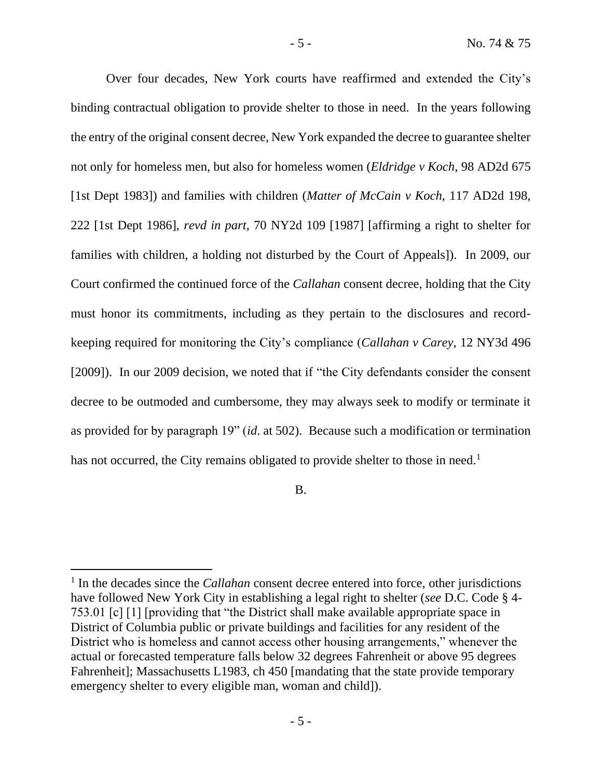Over four decades, New York courts have reaffirmed and extended the City's binding contractual obligation to provide shelter to those in need. In the years following the entry of the original consent decree, New York expanded the decree to guarantee shelter not only for homeless men, but also for homeless women (*Eldridge v Koch*, 98 AD2d 675 [1st Dept 1983]) and families with children (*Matter of McCain v Koch*, 117 AD2d 198, 222 [1st Dept 1986], *revd in part*, 70 NY2d 109 [1987] [affirming a right to shelter for families with children, a holding not disturbed by the Court of Appeals]). In 2009, our Court confirmed the continued force of the *Callahan* consent decree, holding that the City must honor its commitments, including as they pertain to the disclosures and recordkeeping required for monitoring the City's compliance (*Callahan v Carey*, 12 NY3d 496 [2009]). In our 2009 decision, we noted that if "the City defendants consider the consent decree to be outmoded and cumbersome, they may always seek to modify or terminate it as provided for by paragraph 19" (*id*. at 502). Because such a modification or termination has not occurred, the City remains obligated to provide shelter to those in need.<sup>1</sup>

B.

<sup>&</sup>lt;sup>1</sup> In the decades since the *Callahan* consent decree entered into force, other jurisdictions have followed New York City in establishing a legal right to shelter (*see* D.C. Code § 4- 753.01 [c] [1] [providing that "the District shall make available appropriate space in District of Columbia public or private buildings and facilities for any resident of the District who is homeless and cannot access other housing arrangements," whenever the actual or forecasted temperature falls below 32 degrees Fahrenheit or above 95 degrees Fahrenheit]; Massachusetts L1983, ch 450 [mandating that the state provide temporary emergency shelter to every eligible man, woman and child]).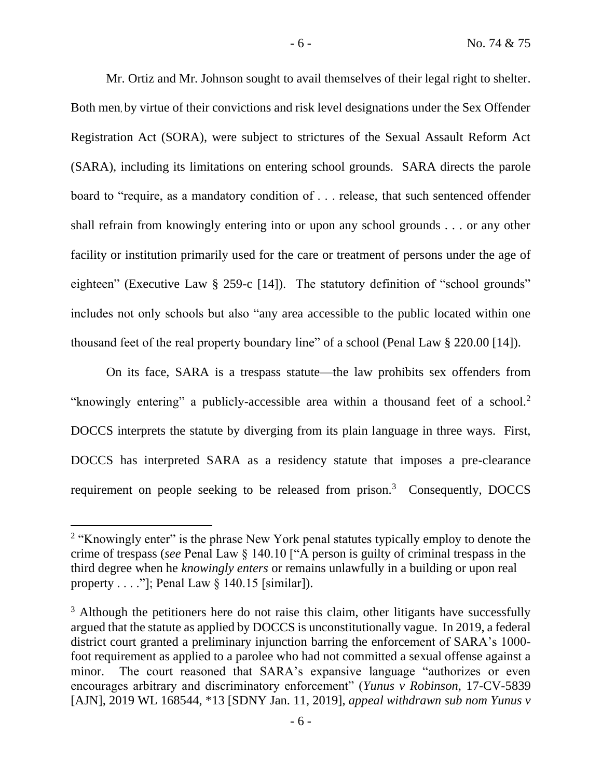Mr. Ortiz and Mr. Johnson sought to avail themselves of their legal right to shelter. Both men, by virtue of their convictions and risk level designations under the Sex Offender Registration Act (SORA), were subject to strictures of the Sexual Assault Reform Act (SARA), including its limitations on entering school grounds. SARA directs the parole board to "require, as a mandatory condition of . . . release, that such sentenced offender shall refrain from knowingly entering into or upon any school grounds . . . or any other facility or institution primarily used for the care or treatment of persons under the age of eighteen" (Executive Law § 259-c [14]). The statutory definition of "school grounds" includes not only schools but also "any area accessible to the public located within one thousand feet of the real property boundary line" of a school (Penal Law § 220.00 [14]).

On its face, SARA is a trespass statute—the law prohibits sex offenders from "knowingly entering" a publicly-accessible area within a thousand feet of a school.<sup>2</sup> DOCCS interprets the statute by diverging from its plain language in three ways. First, DOCCS has interpreted SARA as a residency statute that imposes a pre-clearance requirement on people seeking to be released from prison. $3$  Consequently, DOCCS

- 6 -

<sup>&</sup>lt;sup>2</sup> "Knowingly enter" is the phrase New York penal statutes typically employ to denote the crime of trespass (*see* Penal Law § 140.10 ["A person is guilty of criminal trespass in the third degree when he *knowingly enters* or remains unlawfully in a building or upon real property  $\dots$ ."]; Penal Law § 140.15 [similar]).

 $3$  Although the petitioners here do not raise this claim, other litigants have successfully argued that the statute as applied by DOCCS is unconstitutionally vague. In 2019, a federal district court granted a preliminary injunction barring the enforcement of SARA's 1000 foot requirement as applied to a parolee who had not committed a sexual offense against a minor. The court reasoned that SARA's expansive language "authorizes or even encourages arbitrary and discriminatory enforcement" (*Yunus v Robinson*, 17-CV-5839 [AJN], 2019 WL 168544, \*13 [SDNY Jan. 11, 2019], *appeal withdrawn sub nom Yunus v*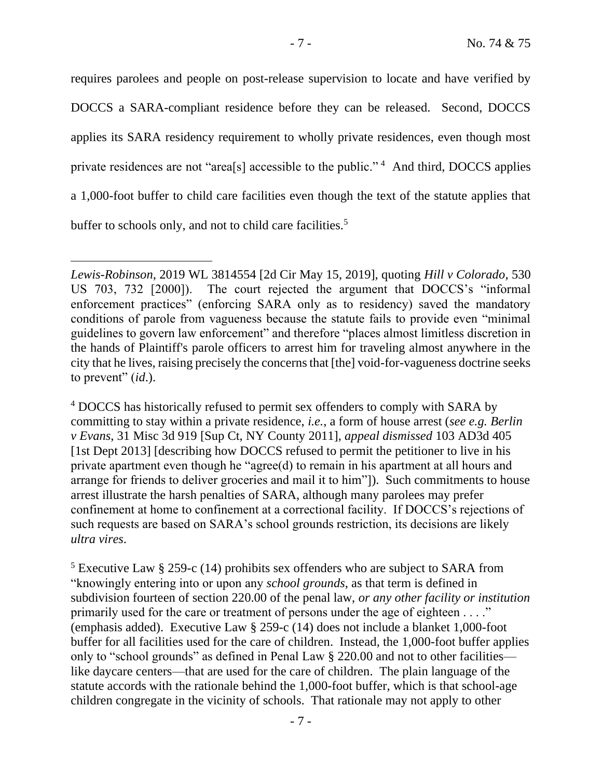requires parolees and people on post-release supervision to locate and have verified by DOCCS a SARA-compliant residence before they can be released. Second, DOCCS applies its SARA residency requirement to wholly private residences, even though most private residences are not "area[s] accessible to the public."<sup>4</sup> And third, DOCCS applies a 1,000-foot buffer to child care facilities even though the text of the statute applies that buffer to schools only, and not to child care facilities.<sup>5</sup>

<sup>4</sup> DOCCS has historically refused to permit sex offenders to comply with SARA by committing to stay within a private residence, *i.e.*, a form of house arrest (*see e.g. Berlin v Evans*, 31 Misc 3d 919 [Sup Ct, NY County 2011], *appeal dismissed* 103 AD3d 405 [1st Dept 2013] [describing how DOCCS refused to permit the petitioner to live in his private apartment even though he "agree(d) to remain in his apartment at all hours and arrange for friends to deliver groceries and mail it to him"]). Such commitments to house arrest illustrate the harsh penalties of SARA, although many parolees may prefer confinement at home to confinement at a correctional facility. If DOCCS's rejections of such requests are based on SARA's school grounds restriction, its decisions are likely *ultra vires*.

<sup>5</sup> Executive Law § 259-c (14) prohibits sex offenders who are subject to SARA from "knowingly entering into or upon any *school grounds*, as that term is defined in subdivision fourteen of section 220.00 of the penal law, *or any other facility or institution* primarily used for the care or treatment of persons under the age of eighteen . . . ." (emphasis added). Executive Law § 259-c (14) does not include a blanket 1,000-foot buffer for all facilities used for the care of children. Instead, the 1,000-foot buffer applies only to "school grounds" as defined in Penal Law § 220.00 and not to other facilities like daycare centers—that are used for the care of children. The plain language of the statute accords with the rationale behind the 1,000-foot buffer, which is that school-age children congregate in the vicinity of schools. That rationale may not apply to other

*Lewis-Robinson*, 2019 WL 3814554 [2d Cir May 15, 2019], quoting *Hill v Colorado*, 530 US 703, 732 [2000]). The court rejected the argument that DOCCS's "informal enforcement practices" (enforcing SARA only as to residency) saved the mandatory conditions of parole from vagueness because the statute fails to provide even "minimal guidelines to govern law enforcement" and therefore "places almost limitless discretion in the hands of Plaintiff's parole officers to arrest him for traveling almost anywhere in the city that he lives, raising precisely the concerns that [the] void-for-vagueness doctrine seeks to prevent" (*id*.).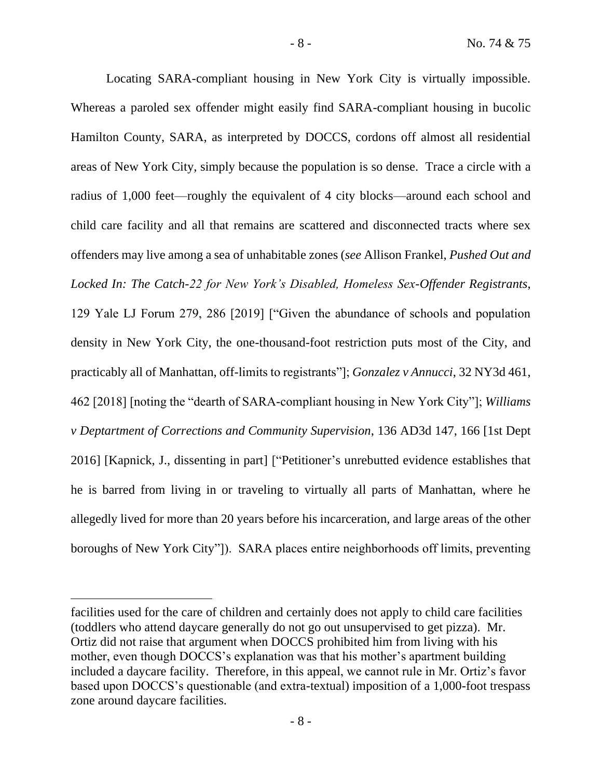Locating SARA-compliant housing in New York City is virtually impossible. Whereas a paroled sex offender might easily find SARA-compliant housing in bucolic Hamilton County, SARA, as interpreted by DOCCS, cordons off almost all residential areas of New York City, simply because the population is so dense. Trace a circle with a radius of 1,000 feet—roughly the equivalent of 4 city blocks—around each school and child care facility and all that remains are scattered and disconnected tracts where sex offenders may live among a sea of unhabitable zones (*see* Allison Frankel, *Pushed Out and Locked In: The Catch-22 for New York's Disabled, Homeless Sex-Offender Registrants*, 129 Yale LJ Forum 279, 286 [2019] ["Given the abundance of schools and population density in New York City, the one-thousand-foot restriction puts most of the City, and practicably all of Manhattan, off-limits to registrants"]; *Gonzalez v Annucci*, 32 NY3d 461, 462 [2018] [noting the "dearth of SARA-compliant housing in New York City"]; *Williams v Deptartment of Corrections and Community Supervision*, 136 AD3d 147, 166 [1st Dept 2016] [Kapnick, J., dissenting in part] ["Petitioner's unrebutted evidence establishes that he is barred from living in or traveling to virtually all parts of Manhattan, where he allegedly lived for more than 20 years before his incarceration, and large areas of the other boroughs of New York City"]). SARA places entire neighborhoods off limits, preventing

facilities used for the care of children and certainly does not apply to child care facilities (toddlers who attend daycare generally do not go out unsupervised to get pizza). Mr. Ortiz did not raise that argument when DOCCS prohibited him from living with his mother, even though DOCCS's explanation was that his mother's apartment building included a daycare facility. Therefore, in this appeal, we cannot rule in Mr. Ortiz's favor based upon DOCCS's questionable (and extra-textual) imposition of a 1,000-foot trespass zone around daycare facilities.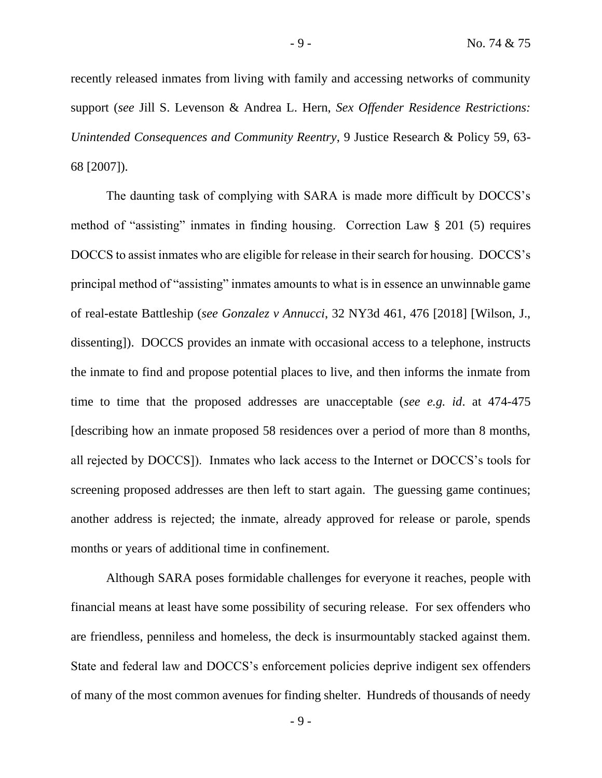recently released inmates from living with family and accessing networks of community support (*see* Jill S. Levenson & Andrea L. Hern, *Sex Offender Residence Restrictions: Unintended Consequences and Community Reentry*, 9 Justice Research & Policy 59, 63- 68 [2007]).

The daunting task of complying with SARA is made more difficult by DOCCS's method of "assisting" inmates in finding housing. Correction Law § 201 (5) requires DOCCS to assist inmates who are eligible for release in their search for housing. DOCCS's principal method of "assisting" inmates amounts to what is in essence an unwinnable game of real-estate Battleship (*see Gonzalez v Annucci*, 32 NY3d 461, 476 [2018] [Wilson, J., dissenting]). DOCCS provides an inmate with occasional access to a telephone, instructs the inmate to find and propose potential places to live, and then informs the inmate from time to time that the proposed addresses are unacceptable (*see e.g. id*. at 474-475 [describing how an inmate proposed 58 residences over a period of more than 8 months, all rejected by DOCCS]). Inmates who lack access to the Internet or DOCCS's tools for screening proposed addresses are then left to start again. The guessing game continues; another address is rejected; the inmate, already approved for release or parole, spends months or years of additional time in confinement.

Although SARA poses formidable challenges for everyone it reaches, people with financial means at least have some possibility of securing release. For sex offenders who are friendless, penniless and homeless, the deck is insurmountably stacked against them. State and federal law and DOCCS's enforcement policies deprive indigent sex offenders of many of the most common avenues for finding shelter. Hundreds of thousands of needy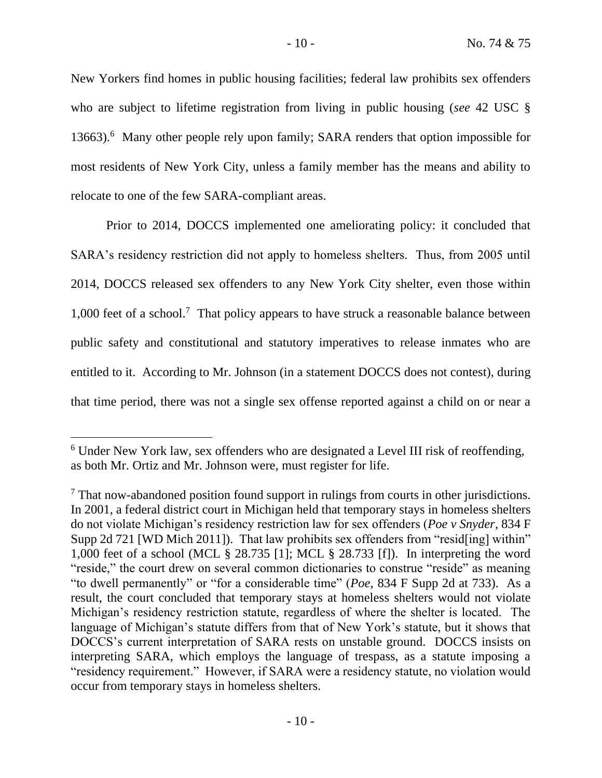New Yorkers find homes in public housing facilities; federal law prohibits sex offenders who are subject to lifetime registration from living in public housing (*see* 42 USC § 13663).<sup>6</sup> Many other people rely upon family; SARA renders that option impossible for most residents of New York City, unless a family member has the means and ability to relocate to one of the few SARA-compliant areas.

Prior to 2014, DOCCS implemented one ameliorating policy: it concluded that SARA's residency restriction did not apply to homeless shelters. Thus, from 2005 until 2014, DOCCS released sex offenders to any New York City shelter, even those within 1,000 feet of a school.<sup>7</sup> That policy appears to have struck a reasonable balance between public safety and constitutional and statutory imperatives to release inmates who are entitled to it. According to Mr. Johnson (in a statement DOCCS does not contest), during that time period, there was not a single sex offense reported against a child on or near a

<sup>6</sup> Under New York law, sex offenders who are designated a Level III risk of reoffending, as both Mr. Ortiz and Mr. Johnson were, must register for life.

 $<sup>7</sup>$  That now-abandoned position found support in rulings from courts in other jurisdictions.</sup> In 2001, a federal district court in Michigan held that temporary stays in homeless shelters do not violate Michigan's residency restriction law for sex offenders (*Poe v Snyder*, 834 F Supp 2d 721 [WD Mich 2011]). That law prohibits sex offenders from "resid[ing] within" 1,000 feet of a school (MCL § 28.735 [1]; MCL § 28.733 [f]). In interpreting the word "reside," the court drew on several common dictionaries to construe "reside" as meaning "to dwell permanently" or "for a considerable time" (*Poe*, 834 F Supp 2d at 733). As a result, the court concluded that temporary stays at homeless shelters would not violate Michigan's residency restriction statute, regardless of where the shelter is located. The language of Michigan's statute differs from that of New York's statute, but it shows that DOCCS's current interpretation of SARA rests on unstable ground. DOCCS insists on interpreting SARA, which employs the language of trespass, as a statute imposing a "residency requirement." However, if SARA were a residency statute, no violation would occur from temporary stays in homeless shelters.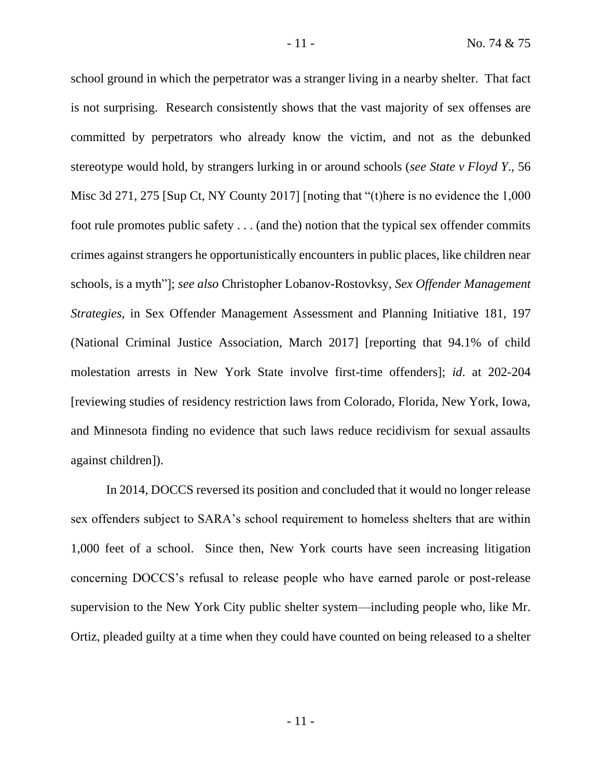school ground in which the perpetrator was a stranger living in a nearby shelter. That fact is not surprising. Research consistently shows that the vast majority of sex offenses are committed by perpetrators who already know the victim, and not as the debunked stereotype would hold, by strangers lurking in or around schools (*see State v Floyd Y*., 56 Misc 3d 271, 275 [Sup Ct, NY County 2017] [noting that "(t)here is no evidence the 1,000 foot rule promotes public safety . . . (and the) notion that the typical sex offender commits crimes against strangers he opportunistically encounters in public places, like children near schools, is a myth"]; *see also* Christopher Lobanov-Rostovksy, *Sex Offender Management Strategies*, in Sex Offender Management Assessment and Planning Initiative 181, 197 (National Criminal Justice Association, March 2017] [reporting that 94.1% of child molestation arrests in New York State involve first-time offenders]; *id*. at 202-204 [reviewing studies of residency restriction laws from Colorado, Florida, New York, Iowa, and Minnesota finding no evidence that such laws reduce recidivism for sexual assaults against children]).

In 2014, DOCCS reversed its position and concluded that it would no longer release sex offenders subject to SARA's school requirement to homeless shelters that are within 1,000 feet of a school. Since then, New York courts have seen increasing litigation concerning DOCCS's refusal to release people who have earned parole or post-release supervision to the New York City public shelter system—including people who, like Mr. Ortiz, pleaded guilty at a time when they could have counted on being released to a shelter

- 11 -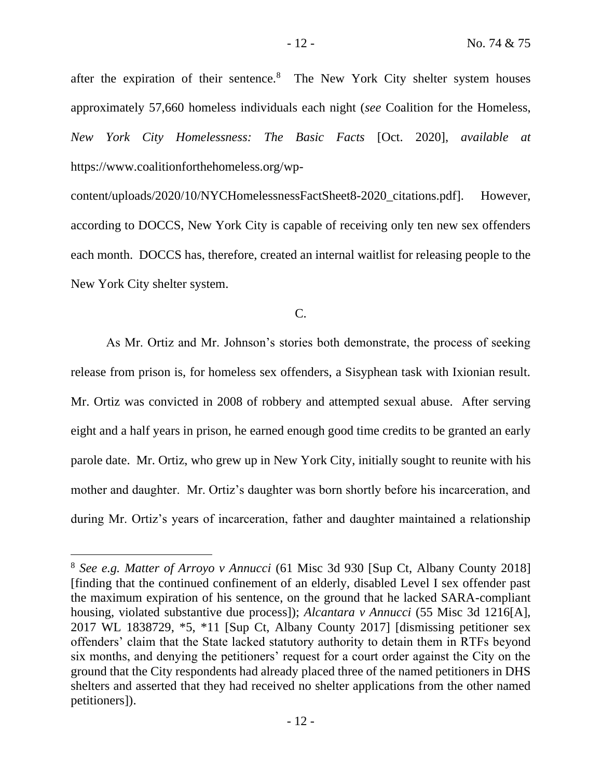after the expiration of their sentence.<sup>8</sup> The New York City shelter system houses approximately 57,660 homeless individuals each night (*see* Coalition for the Homeless, *New York City Homelessness: The Basic Facts* [Oct. 2020], *available at* https://www.coalitionforthehomeless.org/wp-

content/uploads/2020/10/NYCHomelessnessFactSheet8-2020\_citations.pdf]. However, according to DOCCS, New York City is capable of receiving only ten new sex offenders each month. DOCCS has, therefore, created an internal waitlist for releasing people to the New York City shelter system.

C.

As Mr. Ortiz and Mr. Johnson's stories both demonstrate, the process of seeking release from prison is, for homeless sex offenders, a Sisyphean task with Ixionian result. Mr. Ortiz was convicted in 2008 of robbery and attempted sexual abuse. After serving eight and a half years in prison, he earned enough good time credits to be granted an early parole date. Mr. Ortiz, who grew up in New York City, initially sought to reunite with his mother and daughter. Mr. Ortiz's daughter was born shortly before his incarceration, and during Mr. Ortiz's years of incarceration, father and daughter maintained a relationship

<sup>8</sup> *See e.g. Matter of Arroyo v Annucci* (61 Misc 3d 930 [Sup Ct, Albany County 2018] [finding that the continued confinement of an elderly, disabled Level I sex offender past the maximum expiration of his sentence, on the ground that he lacked SARA-compliant housing, violated substantive due process]); *Alcantara v Annucci* (55 Misc 3d 1216[A], 2017 WL 1838729, \*5, \*11 [Sup Ct, Albany County 2017] [dismissing petitioner sex offenders' claim that the State lacked statutory authority to detain them in RTFs beyond six months, and denying the petitioners' request for a court order against the City on the ground that the City respondents had already placed three of the named petitioners in DHS shelters and asserted that they had received no shelter applications from the other named petitioners]).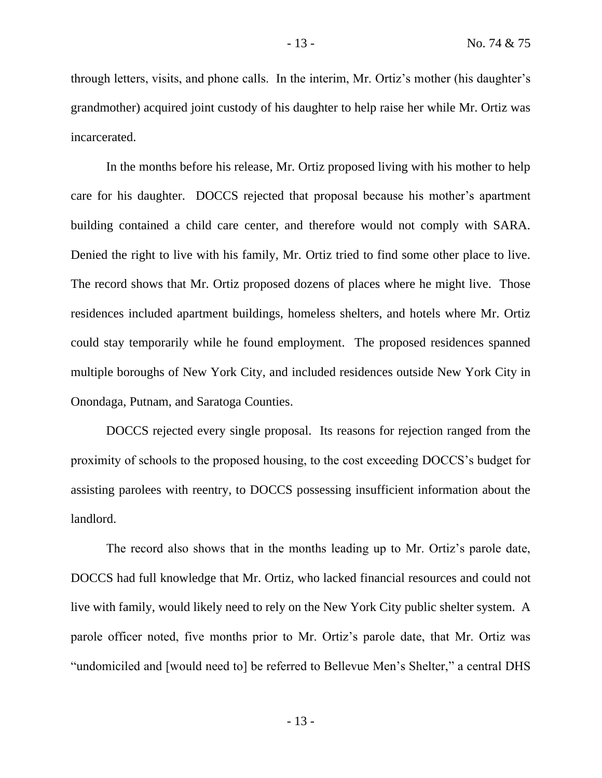through letters, visits, and phone calls. In the interim, Mr. Ortiz's mother (his daughter's grandmother) acquired joint custody of his daughter to help raise her while Mr. Ortiz was incarcerated.

In the months before his release, Mr. Ortiz proposed living with his mother to help care for his daughter. DOCCS rejected that proposal because his mother's apartment building contained a child care center, and therefore would not comply with SARA. Denied the right to live with his family, Mr. Ortiz tried to find some other place to live. The record shows that Mr. Ortiz proposed dozens of places where he might live. Those residences included apartment buildings, homeless shelters, and hotels where Mr. Ortiz could stay temporarily while he found employment. The proposed residences spanned multiple boroughs of New York City, and included residences outside New York City in Onondaga, Putnam, and Saratoga Counties.

DOCCS rejected every single proposal. Its reasons for rejection ranged from the proximity of schools to the proposed housing, to the cost exceeding DOCCS's budget for assisting parolees with reentry, to DOCCS possessing insufficient information about the landlord.

The record also shows that in the months leading up to Mr. Ortiz's parole date, DOCCS had full knowledge that Mr. Ortiz, who lacked financial resources and could not live with family, would likely need to rely on the New York City public shelter system. A parole officer noted, five months prior to Mr. Ortiz's parole date, that Mr. Ortiz was "undomiciled and [would need to] be referred to Bellevue Men's Shelter," a central DHS

- 13 -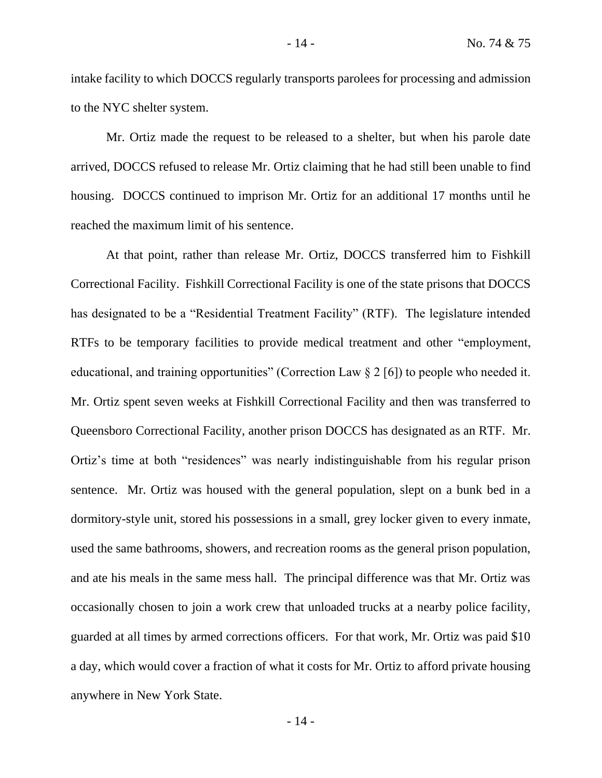intake facility to which DOCCS regularly transports parolees for processing and admission to the NYC shelter system.

Mr. Ortiz made the request to be released to a shelter, but when his parole date arrived, DOCCS refused to release Mr. Ortiz claiming that he had still been unable to find housing. DOCCS continued to imprison Mr. Ortiz for an additional 17 months until he reached the maximum limit of his sentence.

At that point, rather than release Mr. Ortiz, DOCCS transferred him to Fishkill Correctional Facility. Fishkill Correctional Facility is one of the state prisons that DOCCS has designated to be a "Residential Treatment Facility" (RTF). The legislature intended RTFs to be temporary facilities to provide medical treatment and other "employment, educational, and training opportunities" (Correction Law  $\S 2 \, \lceil 6 \rceil$ ) to people who needed it. Mr. Ortiz spent seven weeks at Fishkill Correctional Facility and then was transferred to Queensboro Correctional Facility, another prison DOCCS has designated as an RTF. Mr. Ortiz's time at both "residences" was nearly indistinguishable from his regular prison sentence. Mr. Ortiz was housed with the general population, slept on a bunk bed in a dormitory-style unit, stored his possessions in a small, grey locker given to every inmate, used the same bathrooms, showers, and recreation rooms as the general prison population, and ate his meals in the same mess hall. The principal difference was that Mr. Ortiz was occasionally chosen to join a work crew that unloaded trucks at a nearby police facility, guarded at all times by armed corrections officers. For that work, Mr. Ortiz was paid \$10 a day, which would cover a fraction of what it costs for Mr. Ortiz to afford private housing anywhere in New York State.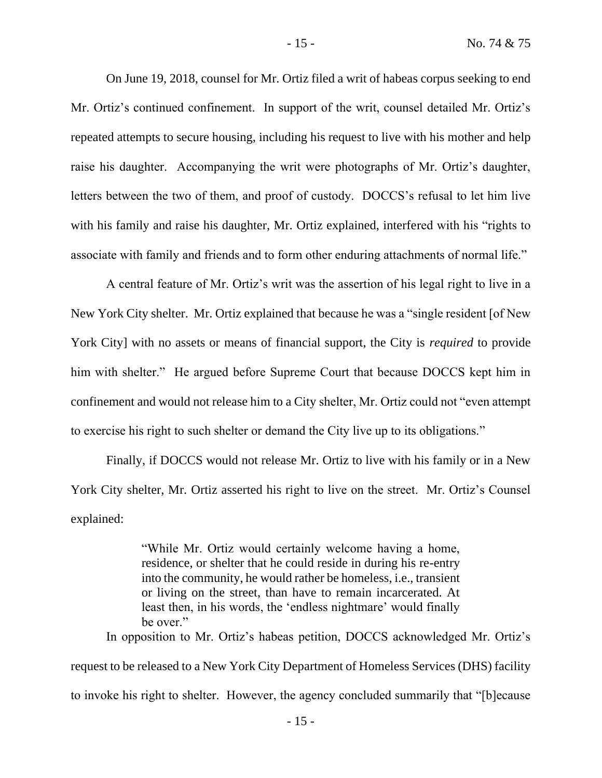On June 19, 2018, counsel for Mr. Ortiz filed a writ of habeas corpus seeking to end Mr. Ortiz's continued confinement. In support of the writ, counsel detailed Mr. Ortiz's repeated attempts to secure housing, including his request to live with his mother and help raise his daughter. Accompanying the writ were photographs of Mr. Ortiz's daughter, letters between the two of them, and proof of custody. DOCCS's refusal to let him live with his family and raise his daughter, Mr. Ortiz explained, interfered with his "rights to associate with family and friends and to form other enduring attachments of normal life."

A central feature of Mr. Ortiz's writ was the assertion of his legal right to live in a New York City shelter. Mr. Ortiz explained that because he was a "single resident [of New York City] with no assets or means of financial support, the City is *required* to provide him with shelter." He argued before Supreme Court that because DOCCS kept him in confinement and would not release him to a City shelter, Mr. Ortiz could not "even attempt to exercise his right to such shelter or demand the City live up to its obligations."

Finally, if DOCCS would not release Mr. Ortiz to live with his family or in a New York City shelter, Mr. Ortiz asserted his right to live on the street. Mr. Ortiz's Counsel explained:

> "While Mr. Ortiz would certainly welcome having a home, residence, or shelter that he could reside in during his re-entry into the community, he would rather be homeless, i.e., transient or living on the street, than have to remain incarcerated. At least then, in his words, the 'endless nightmare' would finally be over."

In opposition to Mr. Ortiz's habeas petition, DOCCS acknowledged Mr. Ortiz's

request to be released to a New York City Department of Homeless Services (DHS) facility to invoke his right to shelter. However, the agency concluded summarily that "[b]ecause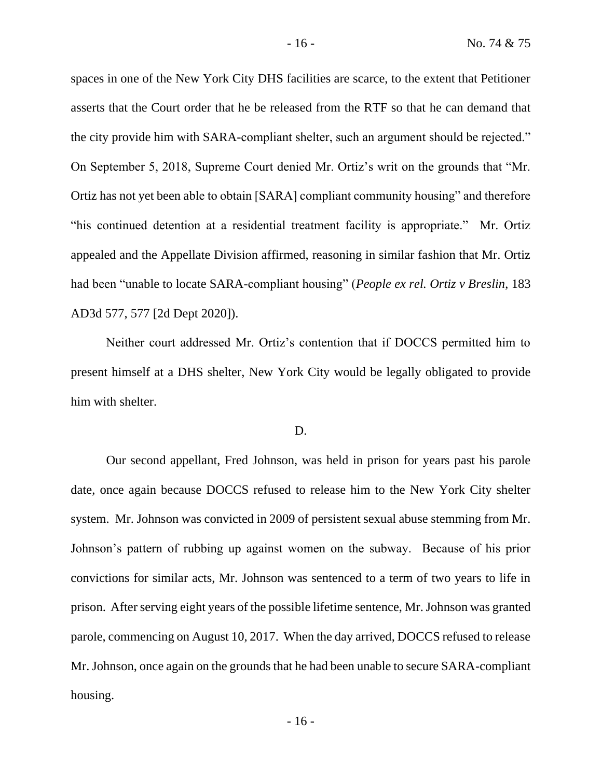spaces in one of the New York City DHS facilities are scarce, to the extent that Petitioner asserts that the Court order that he be released from the RTF so that he can demand that the city provide him with SARA-compliant shelter, such an argument should be rejected." On September 5, 2018, Supreme Court denied Mr. Ortiz's writ on the grounds that "Mr. Ortiz has not yet been able to obtain [SARA] compliant community housing" and therefore "his continued detention at a residential treatment facility is appropriate." Mr. Ortiz appealed and the Appellate Division affirmed, reasoning in similar fashion that Mr. Ortiz had been "unable to locate SARA-compliant housing" (*People ex rel. Ortiz v Breslin*, 183 AD3d 577, 577 [2d Dept 2020]).

Neither court addressed Mr. Ortiz's contention that if DOCCS permitted him to present himself at a DHS shelter, New York City would be legally obligated to provide him with shelter.

#### D.

Our second appellant, Fred Johnson, was held in prison for years past his parole date, once again because DOCCS refused to release him to the New York City shelter system. Mr. Johnson was convicted in 2009 of persistent sexual abuse stemming from Mr. Johnson's pattern of rubbing up against women on the subway. Because of his prior convictions for similar acts, Mr. Johnson was sentenced to a term of two years to life in prison. After serving eight years of the possible lifetime sentence, Mr. Johnson was granted parole, commencing on August 10, 2017. When the day arrived, DOCCS refused to release Mr. Johnson, once again on the grounds that he had been unable to secure SARA-compliant housing.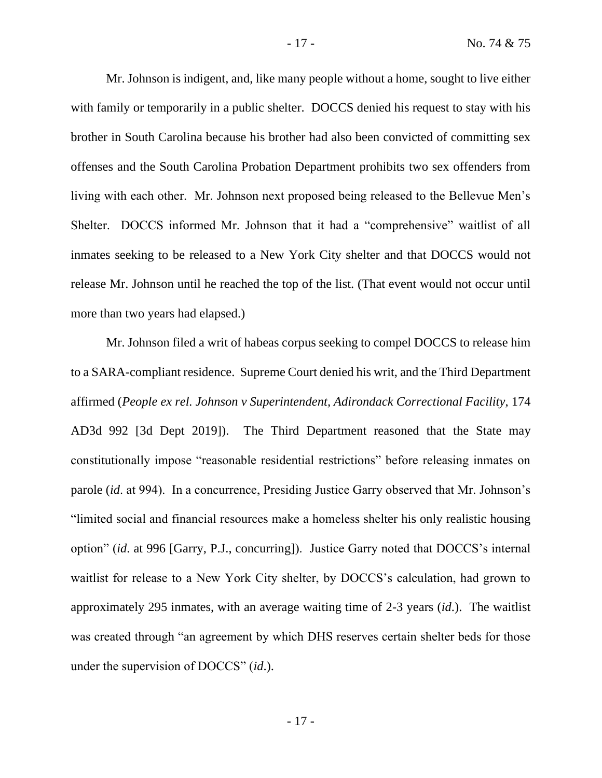Mr. Johnson is indigent, and, like many people without a home, sought to live either with family or temporarily in a public shelter. DOCCS denied his request to stay with his brother in South Carolina because his brother had also been convicted of committing sex offenses and the South Carolina Probation Department prohibits two sex offenders from living with each other. Mr. Johnson next proposed being released to the Bellevue Men's Shelter. DOCCS informed Mr. Johnson that it had a "comprehensive" waitlist of all inmates seeking to be released to a New York City shelter and that DOCCS would not release Mr. Johnson until he reached the top of the list. (That event would not occur until more than two years had elapsed.)

Mr. Johnson filed a writ of habeas corpus seeking to compel DOCCS to release him to a SARA-compliant residence. Supreme Court denied his writ, and the Third Department affirmed (*People ex rel. Johnson v Superintendent, Adirondack Correctional Facility*, 174 AD3d 992 [3d Dept 2019]). The Third Department reasoned that the State may constitutionally impose "reasonable residential restrictions" before releasing inmates on parole (*id*. at 994). In a concurrence, Presiding Justice Garry observed that Mr. Johnson's "limited social and financial resources make a homeless shelter his only realistic housing option" (*id*. at 996 [Garry, P.J., concurring]). Justice Garry noted that DOCCS's internal waitlist for release to a New York City shelter, by DOCCS's calculation, had grown to approximately 295 inmates, with an average waiting time of 2-3 years (*id*.). The waitlist was created through "an agreement by which DHS reserves certain shelter beds for those under the supervision of DOCCS" (*id*.).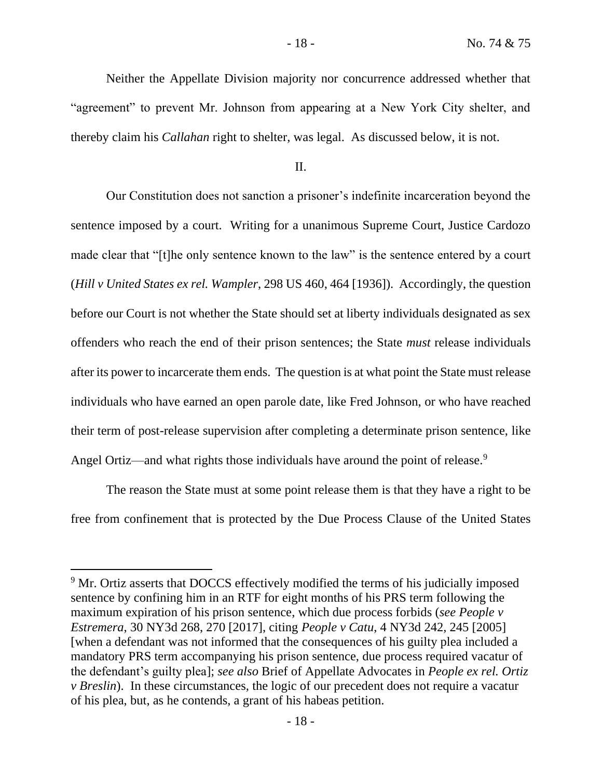### II.

Our Constitution does not sanction a prisoner's indefinite incarceration beyond the sentence imposed by a court. Writing for a unanimous Supreme Court, Justice Cardozo made clear that "[t]he only sentence known to the law" is the sentence entered by a court (*Hill v United States ex rel. Wampler*, 298 US 460, 464 [1936]). Accordingly, the question before our Court is not whether the State should set at liberty individuals designated as sex offenders who reach the end of their prison sentences; the State *must* release individuals after its power to incarcerate them ends. The question is at what point the State must release individuals who have earned an open parole date, like Fred Johnson, or who have reached their term of post-release supervision after completing a determinate prison sentence, like Angel Ortiz—and what rights those individuals have around the point of release.<sup>9</sup>

The reason the State must at some point release them is that they have a right to be free from confinement that is protected by the Due Process Clause of the United States

<sup>&</sup>lt;sup>9</sup> Mr. Ortiz asserts that DOCCS effectively modified the terms of his judicially imposed sentence by confining him in an RTF for eight months of his PRS term following the maximum expiration of his prison sentence, which due process forbids (*see People v Estremera*, 30 NY3d 268, 270 [2017], citing *People v Catu*, 4 NY3d 242, 245 [2005] [when a defendant was not informed that the consequences of his guilty plea included a mandatory PRS term accompanying his prison sentence, due process required vacatur of the defendant's guilty plea]; *see also* Brief of Appellate Advocates in *People ex rel. Ortiz v Breslin*). In these circumstances, the logic of our precedent does not require a vacatur of his plea, but, as he contends, a grant of his habeas petition.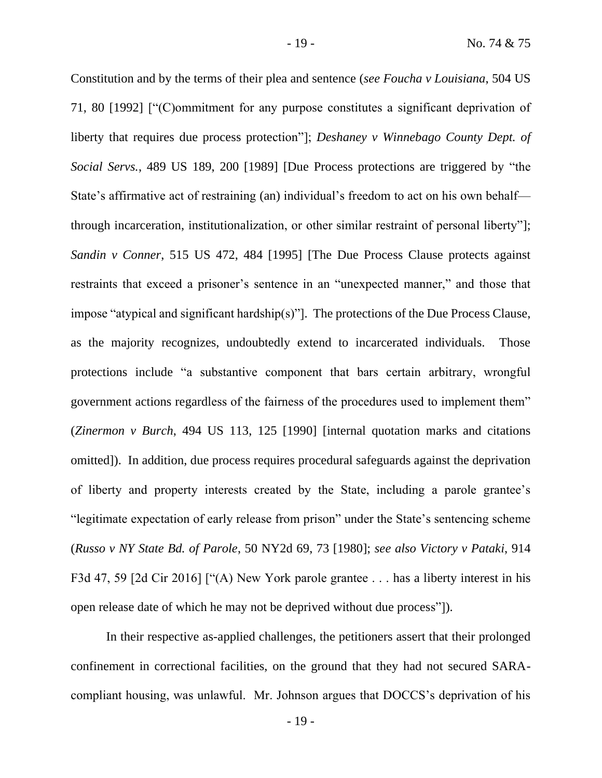Constitution and by the terms of their plea and sentence (*see Foucha v Louisiana*, 504 US 71, 80 [1992] ["(C)ommitment for any purpose constitutes a significant deprivation of liberty that requires due process protection"]; *Deshaney v Winnebago County Dept. of Social Servs.*, 489 US 189, 200 [1989] [Due Process protections are triggered by "the State's affirmative act of restraining (an) individual's freedom to act on his own behalf through incarceration, institutionalization, or other similar restraint of personal liberty"]; *Sandin v Conner*, 515 US 472, 484 [1995] [The Due Process Clause protects against restraints that exceed a prisoner's sentence in an "unexpected manner," and those that impose "atypical and significant hardship(s)"]. The protections of the Due Process Clause, as the majority recognizes, undoubtedly extend to incarcerated individuals. Those protections include "a substantive component that bars certain arbitrary, wrongful government actions regardless of the fairness of the procedures used to implement them" (*Zinermon v Burch*, 494 US 113, 125 [1990] [internal quotation marks and citations omitted]). In addition, due process requires procedural safeguards against the deprivation of liberty and property interests created by the State, including a parole grantee's "legitimate expectation of early release from prison" under the State's sentencing scheme (*Russo v NY State Bd. of Parole*, 50 NY2d 69, 73 [1980]; *see also Victory v Pataki*, 914 F3d 47, 59 [2d Cir 2016] ["(A) New York parole grantee . . . has a liberty interest in his open release date of which he may not be deprived without due process"]).

In their respective as-applied challenges, the petitioners assert that their prolonged confinement in correctional facilities, on the ground that they had not secured SARAcompliant housing, was unlawful. Mr. Johnson argues that DOCCS's deprivation of his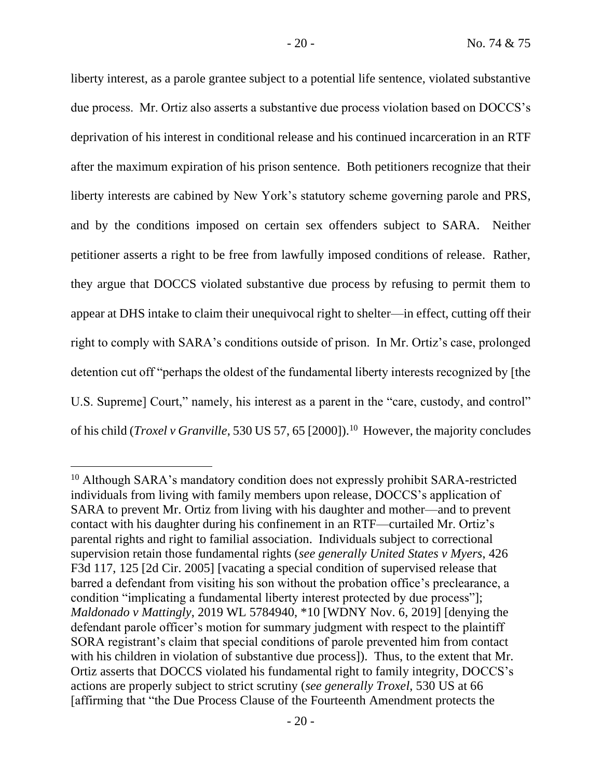liberty interest, as a parole grantee subject to a potential life sentence, violated substantive due process. Mr. Ortiz also asserts a substantive due process violation based on DOCCS's deprivation of his interest in conditional release and his continued incarceration in an RTF after the maximum expiration of his prison sentence. Both petitioners recognize that their liberty interests are cabined by New York's statutory scheme governing parole and PRS, and by the conditions imposed on certain sex offenders subject to SARA. Neither petitioner asserts a right to be free from lawfully imposed conditions of release. Rather, they argue that DOCCS violated substantive due process by refusing to permit them to appear at DHS intake to claim their unequivocal right to shelter—in effect, cutting off their right to comply with SARA's conditions outside of prison. In Mr. Ortiz's case, prolonged detention cut off "perhaps the oldest of the fundamental liberty interests recognized by [the U.S. Supreme] Court," namely, his interest as a parent in the "care, custody, and control" of his child (*Troxel v Granville*, 530 US 57, 65 [2000]).<sup>10</sup> However, the majority concludes

<sup>&</sup>lt;sup>10</sup> Although SARA's mandatory condition does not expressly prohibit SARA-restricted individuals from living with family members upon release, DOCCS's application of SARA to prevent Mr. Ortiz from living with his daughter and mother—and to prevent contact with his daughter during his confinement in an RTF—curtailed Mr. Ortiz's parental rights and right to familial association. Individuals subject to correctional supervision retain those fundamental rights (*see generally United States v Myers*, 426 F3d 117, 125 [2d Cir. 2005] [vacating a special condition of supervised release that barred a defendant from visiting his son without the probation office's preclearance, a condition "implicating a fundamental liberty interest protected by due process"]; *Maldonado v Mattingly*, 2019 WL 5784940, \*10 [WDNY Nov. 6, 2019] [denying the defendant parole officer's motion for summary judgment with respect to the plaintiff SORA registrant's claim that special conditions of parole prevented him from contact with his children in violation of substantive due process]). Thus, to the extent that Mr. Ortiz asserts that DOCCS violated his fundamental right to family integrity, DOCCS's actions are properly subject to strict scrutiny (*see generally Troxel*, 530 US at 66 [affirming that "the Due Process Clause of the Fourteenth Amendment protects the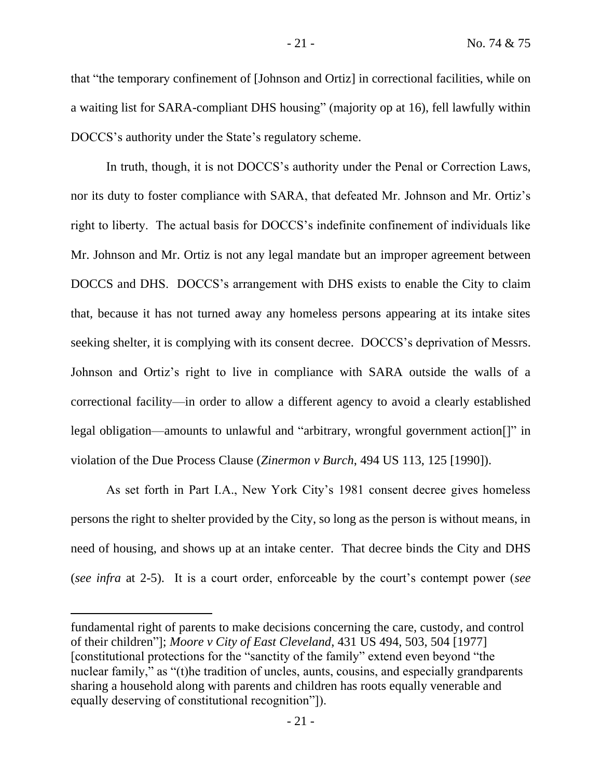that "the temporary confinement of [Johnson and Ortiz] in correctional facilities, while on a waiting list for SARA-compliant DHS housing" (majority op at 16), fell lawfully within DOCCS's authority under the State's regulatory scheme.

In truth, though, it is not DOCCS's authority under the Penal or Correction Laws, nor its duty to foster compliance with SARA, that defeated Mr. Johnson and Mr. Ortiz's right to liberty. The actual basis for DOCCS's indefinite confinement of individuals like Mr. Johnson and Mr. Ortiz is not any legal mandate but an improper agreement between DOCCS and DHS. DOCCS's arrangement with DHS exists to enable the City to claim that, because it has not turned away any homeless persons appearing at its intake sites seeking shelter, it is complying with its consent decree. DOCCS's deprivation of Messrs. Johnson and Ortiz's right to live in compliance with SARA outside the walls of a correctional facility—in order to allow a different agency to avoid a clearly established legal obligation—amounts to unlawful and "arbitrary, wrongful government action[]" in violation of the Due Process Clause (*Zinermon v Burch*, 494 US 113, 125 [1990]).

As set forth in Part I.A., New York City's 1981 consent decree gives homeless persons the right to shelter provided by the City, so long as the person is without means, in need of housing, and shows up at an intake center. That decree binds the City and DHS (*see infra* at 2-5). It is a court order, enforceable by the court's contempt power (*see* 

fundamental right of parents to make decisions concerning the care, custody, and control of their children"]; *Moore v City of East Cleveland*, 431 US 494, 503, 504 [1977] [constitutional protections for the "sanctity of the family" extend even beyond "the nuclear family," as "(t)he tradition of uncles, aunts, cousins, and especially grandparents sharing a household along with parents and children has roots equally venerable and equally deserving of constitutional recognition"]).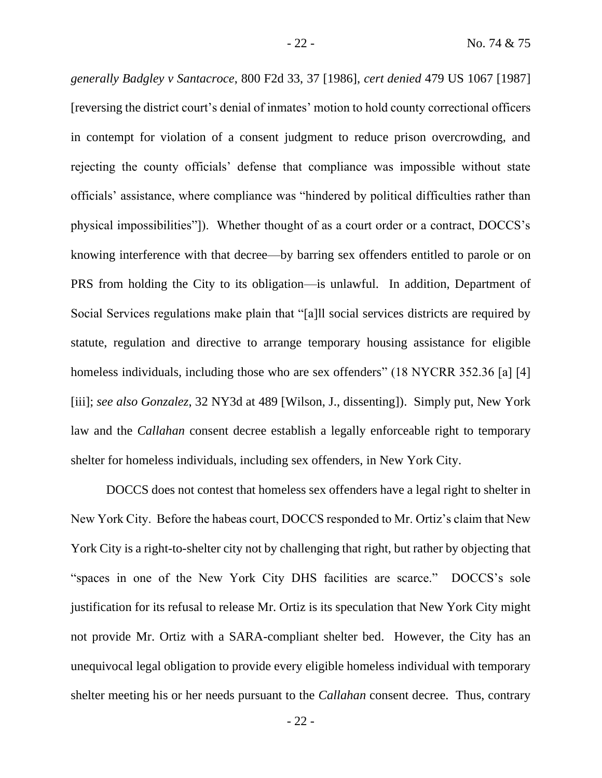*generally Badgley v Santacroce*, 800 F2d 33, 37 [1986], *cert denied* 479 US 1067 [1987] [reversing the district court's denial of inmates' motion to hold county correctional officers in contempt for violation of a consent judgment to reduce prison overcrowding, and rejecting the county officials' defense that compliance was impossible without state officials' assistance, where compliance was "hindered by political difficulties rather than physical impossibilities"]). Whether thought of as a court order or a contract, DOCCS's knowing interference with that decree—by barring sex offenders entitled to parole or on PRS from holding the City to its obligation—is unlawful. In addition, Department of Social Services regulations make plain that "[a]ll social services districts are required by statute, regulation and directive to arrange temporary housing assistance for eligible homeless individuals, including those who are sex offenders" (18 NYCRR 352.36 [a] [4] [iii]; *see also Gonzalez*, 32 NY3d at 489 [Wilson, J., dissenting]). Simply put, New York law and the *Callahan* consent decree establish a legally enforceable right to temporary shelter for homeless individuals, including sex offenders, in New York City.

DOCCS does not contest that homeless sex offenders have a legal right to shelter in New York City. Before the habeas court, DOCCS responded to Mr. Ortiz's claim that New York City is a right-to-shelter city not by challenging that right, but rather by objecting that "spaces in one of the New York City DHS facilities are scarce." DOCCS's sole justification for its refusal to release Mr. Ortiz is its speculation that New York City might not provide Mr. Ortiz with a SARA-compliant shelter bed. However, the City has an unequivocal legal obligation to provide every eligible homeless individual with temporary shelter meeting his or her needs pursuant to the *Callahan* consent decree. Thus, contrary

- 22 -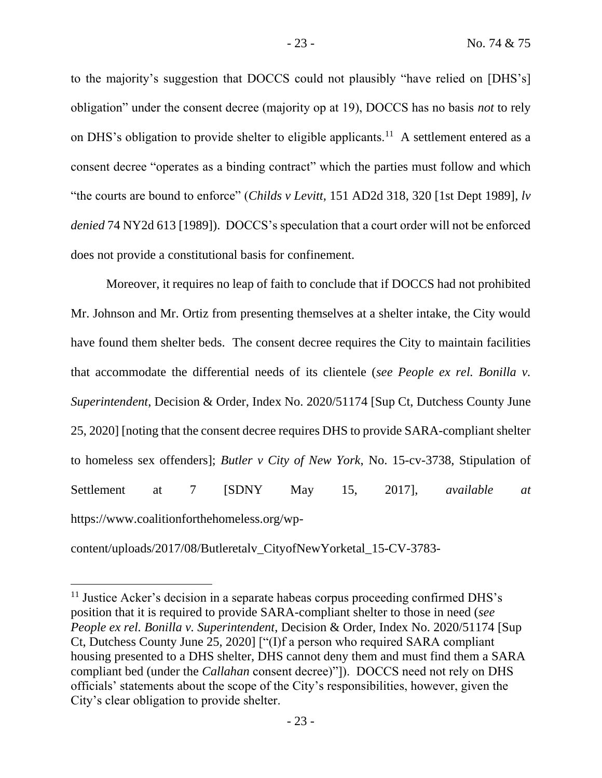to the majority's suggestion that DOCCS could not plausibly "have relied on [DHS's] obligation" under the consent decree (majority op at 19), DOCCS has no basis *not* to rely on DHS's obligation to provide shelter to eligible applicants.<sup>11</sup> A settlement entered as a consent decree "operates as a binding contract" which the parties must follow and which "the courts are bound to enforce" (*Childs v Levitt*, 151 AD2d 318, 320 [1st Dept 1989], *lv denied* 74 NY2d 613 [1989]). DOCCS's speculation that a court order will not be enforced does not provide a constitutional basis for confinement.

Moreover, it requires no leap of faith to conclude that if DOCCS had not prohibited Mr. Johnson and Mr. Ortiz from presenting themselves at a shelter intake, the City would have found them shelter beds. The consent decree requires the City to maintain facilities that accommodate the differential needs of its clientele (*see People ex rel. Bonilla v. Superintendent*, Decision & Order, Index No. 2020/51174 [Sup Ct, Dutchess County June 25, 2020] [noting that the consent decree requires DHS to provide SARA-compliant shelter to homeless sex offenders]; *Butler v City of New York*, No. 15-cv-3738, Stipulation of Settlement at 7 [SDNY May 15, 2017], *available at* https://www.coalitionforthehomeless.org/wp-

content/uploads/2017/08/Butleretalv\_CityofNewYorketal\_15-CV-3783-

<sup>&</sup>lt;sup>11</sup> Justice Acker's decision in a separate habeas corpus proceeding confirmed DHS's position that it is required to provide SARA-compliant shelter to those in need (*see People ex rel. Bonilla v. Superintendent*, Decision & Order, Index No. 2020/51174 [Sup Ct, Dutchess County June 25, 2020] ["(I)f a person who required SARA compliant housing presented to a DHS shelter, DHS cannot deny them and must find them a SARA compliant bed (under the *Callahan* consent decree)"]). DOCCS need not rely on DHS officials' statements about the scope of the City's responsibilities, however, given the City's clear obligation to provide shelter.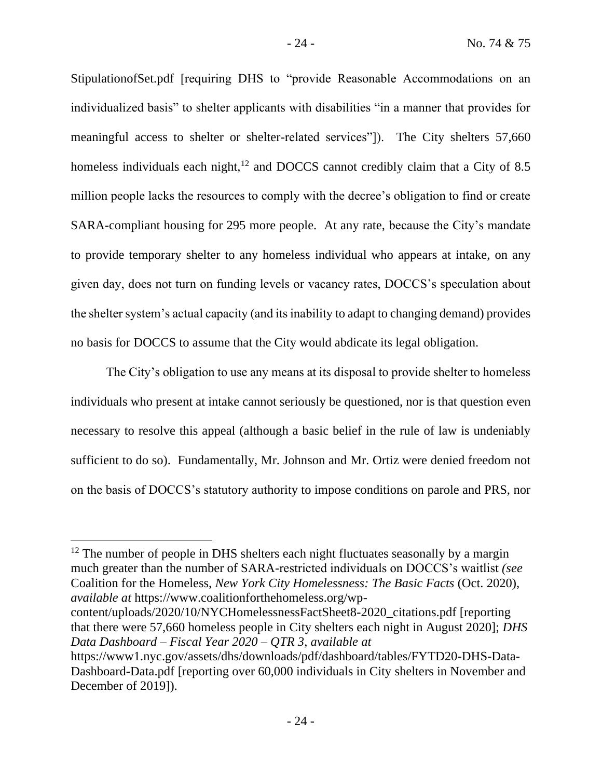StipulationofSet.pdf [requiring DHS to "provide Reasonable Accommodations on an individualized basis" to shelter applicants with disabilities "in a manner that provides for meaningful access to shelter or shelter-related services"]). The City shelters 57,660 homeless individuals each night, $12$  and DOCCS cannot credibly claim that a City of 8.5 million people lacks the resources to comply with the decree's obligation to find or create SARA-compliant housing for 295 more people. At any rate, because the City's mandate to provide temporary shelter to any homeless individual who appears at intake, on any given day, does not turn on funding levels or vacancy rates, DOCCS's speculation about the shelter system's actual capacity (and its inability to adapt to changing demand) provides no basis for DOCCS to assume that the City would abdicate its legal obligation.

The City's obligation to use any means at its disposal to provide shelter to homeless individuals who present at intake cannot seriously be questioned, nor is that question even necessary to resolve this appeal (although a basic belief in the rule of law is undeniably sufficient to do so). Fundamentally, Mr. Johnson and Mr. Ortiz were denied freedom not on the basis of DOCCS's statutory authority to impose conditions on parole and PRS, nor

content/uploads/2020/10/NYCHomelessnessFactSheet8-2020\_citations.pdf [reporting that there were 57,660 homeless people in City shelters each night in August 2020]; *DHS Data Dashboard – Fiscal Year 2020 – QTR 3*, *available at* 

<sup>&</sup>lt;sup>12</sup> The number of people in DHS shelters each night fluctuates seasonally by a margin much greater than the number of SARA-restricted individuals on DOCCS's waitlist *(see*  Coalition for the Homeless, *New York City Homelessness: The Basic Facts* (Oct. 2020), *available at* https://www.coalitionforthehomeless.org/wp-

https://www1.nyc.gov/assets/dhs/downloads/pdf/dashboard/tables/FYTD20-DHS-Data-Dashboard-Data.pdf [reporting over 60,000 individuals in City shelters in November and December of 2019]).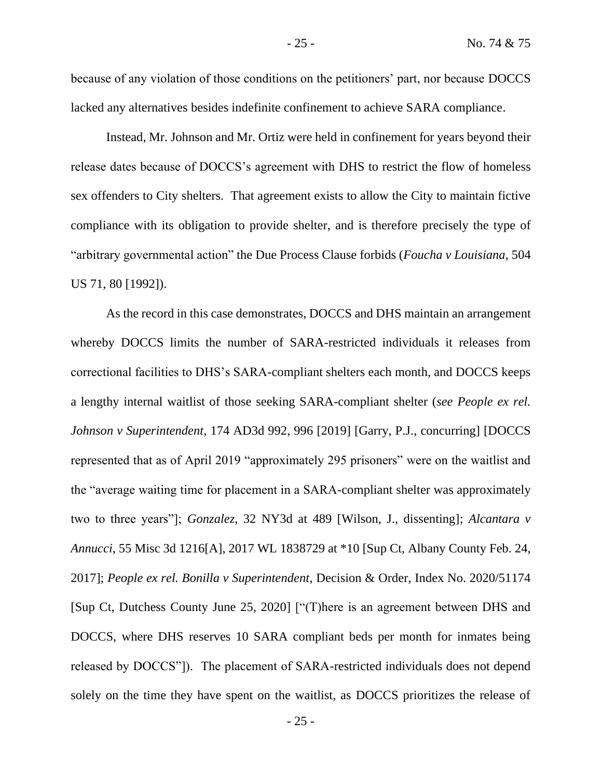because of any violation of those conditions on the petitioners' part, nor because DOCCS lacked any alternatives besides indefinite confinement to achieve SARA compliance.

Instead, Mr. Johnson and Mr. Ortiz were held in confinement for years beyond their release dates because of DOCCS's agreement with DHS to restrict the flow of homeless sex offenders to City shelters. That agreement exists to allow the City to maintain fictive compliance with its obligation to provide shelter, and is therefore precisely the type of "arbitrary governmental action" the Due Process Clause forbids (*Foucha v Louisiana*, 504 US 71, 80 [1992]).

As the record in this case demonstrates, DOCCS and DHS maintain an arrangement whereby DOCCS limits the number of SARA-restricted individuals it releases from correctional facilities to DHS's SARA-compliant shelters each month, and DOCCS keeps a lengthy internal waitlist of those seeking SARA-compliant shelter (*see People ex rel. Johnson v Superintendent*, 174 AD3d 992, 996 [2019] [Garry, P.J., concurring] [DOCCS represented that as of April 2019 "approximately 295 prisoners" were on the waitlist and the "average waiting time for placement in a SARA-compliant shelter was approximately two to three years"]; *Gonzalez*, 32 NY3d at 489 [Wilson, J., dissenting]; *Alcantara v Annucci*, 55 Misc 3d 1216[A], 2017 WL 1838729 at \*10 [Sup Ct, Albany County Feb. 24, 2017]; *People ex rel. Bonilla v Superintendent*, Decision & Order, Index No. 2020/51174 [Sup Ct, Dutchess County June 25, 2020] ["(T)here is an agreement between DHS and DOCCS, where DHS reserves 10 SARA compliant beds per month for inmates being released by DOCCS"]). The placement of SARA-restricted individuals does not depend solely on the time they have spent on the waitlist, as DOCCS prioritizes the release of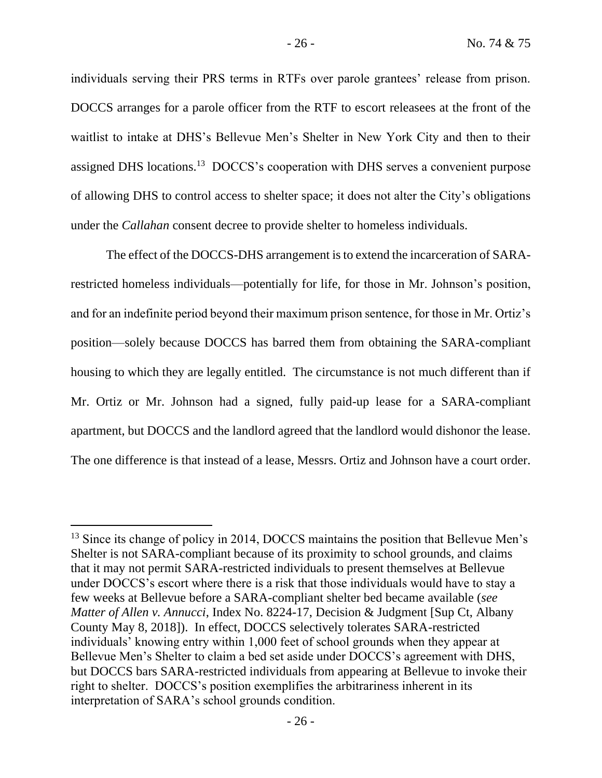individuals serving their PRS terms in RTFs over parole grantees' release from prison. DOCCS arranges for a parole officer from the RTF to escort releasees at the front of the waitlist to intake at DHS's Bellevue Men's Shelter in New York City and then to their assigned DHS locations.<sup>13</sup> DOCCS's cooperation with DHS serves a convenient purpose of allowing DHS to control access to shelter space; it does not alter the City's obligations under the *Callahan* consent decree to provide shelter to homeless individuals.

The effect of the DOCCS-DHS arrangement is to extend the incarceration of SARArestricted homeless individuals—potentially for life, for those in Mr. Johnson's position, and for an indefinite period beyond their maximum prison sentence, for those in Mr. Ortiz's position—solely because DOCCS has barred them from obtaining the SARA-compliant housing to which they are legally entitled. The circumstance is not much different than if Mr. Ortiz or Mr. Johnson had a signed, fully paid-up lease for a SARA-compliant apartment, but DOCCS and the landlord agreed that the landlord would dishonor the lease. The one difference is that instead of a lease, Messrs. Ortiz and Johnson have a court order.

<sup>&</sup>lt;sup>13</sup> Since its change of policy in 2014, DOCCS maintains the position that Bellevue Men's Shelter is not SARA-compliant because of its proximity to school grounds, and claims that it may not permit SARA-restricted individuals to present themselves at Bellevue under DOCCS's escort where there is a risk that those individuals would have to stay a few weeks at Bellevue before a SARA-compliant shelter bed became available (*see Matter of Allen v. Annucci*, Index No. 8224-17, Decision & Judgment [Sup Ct, Albany County May 8, 2018]). In effect, DOCCS selectively tolerates SARA-restricted individuals' knowing entry within 1,000 feet of school grounds when they appear at Bellevue Men's Shelter to claim a bed set aside under DOCCS's agreement with DHS, but DOCCS bars SARA-restricted individuals from appearing at Bellevue to invoke their right to shelter. DOCCS's position exemplifies the arbitrariness inherent in its interpretation of SARA's school grounds condition.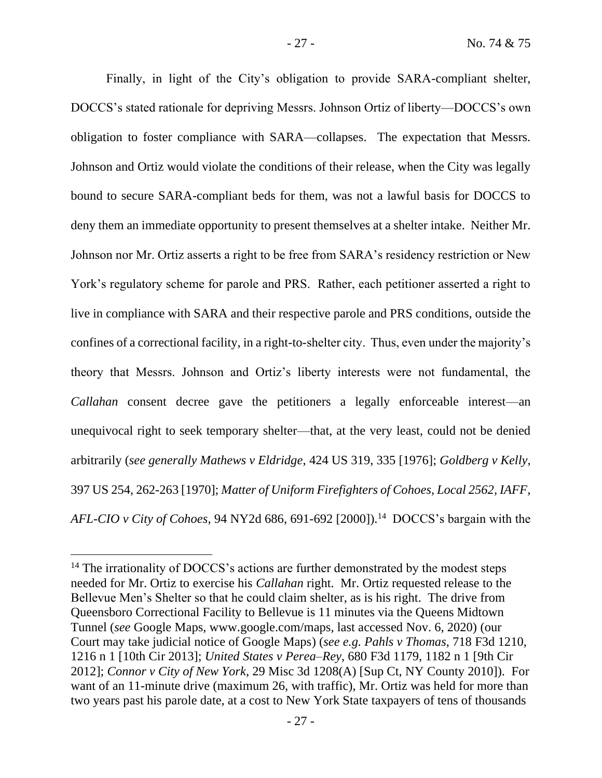Finally, in light of the City's obligation to provide SARA-compliant shelter, DOCCS's stated rationale for depriving Messrs. Johnson Ortiz of liberty—DOCCS's own obligation to foster compliance with SARA—collapses. The expectation that Messrs. Johnson and Ortiz would violate the conditions of their release, when the City was legally bound to secure SARA-compliant beds for them, was not a lawful basis for DOCCS to deny them an immediate opportunity to present themselves at a shelter intake. Neither Mr. Johnson nor Mr. Ortiz asserts a right to be free from SARA's residency restriction or New York's regulatory scheme for parole and PRS. Rather, each petitioner asserted a right to live in compliance with SARA and their respective parole and PRS conditions, outside the confines of a correctional facility, in a right-to-shelter city. Thus, even under the majority's theory that Messrs. Johnson and Ortiz's liberty interests were not fundamental, the *Callahan* consent decree gave the petitioners a legally enforceable interest—an unequivocal right to seek temporary shelter—that, at the very least, could not be denied arbitrarily (*see generally Mathews v Eldridge*, 424 US 319, 335 [1976]; *Goldberg v Kelly*, 397 US 254, 262-263 [1970]; *Matter of Uniform Firefighters of Cohoes, Local 2562, IAFF,*  AFL-CIO v City of Cohoes, 94 NY2d 686, 691-692 [2000]).<sup>14</sup> DOCCS's bargain with the

<sup>&</sup>lt;sup>14</sup> The irrationality of DOCCS's actions are further demonstrated by the modest steps needed for Mr. Ortiz to exercise his *Callahan* right. Mr. Ortiz requested release to the Bellevue Men's Shelter so that he could claim shelter, as is his right. The drive from Queensboro Correctional Facility to Bellevue is 11 minutes via the Queens Midtown Tunnel (*see* Google Maps, www.google.com/maps, last accessed Nov. 6, 2020) (our Court may take judicial notice of Google Maps) (*see e.g. Pahls v Thomas*, 718 F3d 1210, 1216 n 1 [10th Cir 2013]; *United States v Perea–Rey*, 680 F3d 1179, 1182 n 1 [9th Cir 2012]; *Connor v City of New York*, 29 Misc 3d 1208(A) [Sup Ct, NY County 2010]). For want of an 11-minute drive (maximum 26, with traffic), Mr. Ortiz was held for more than two years past his parole date, at a cost to New York State taxpayers of tens of thousands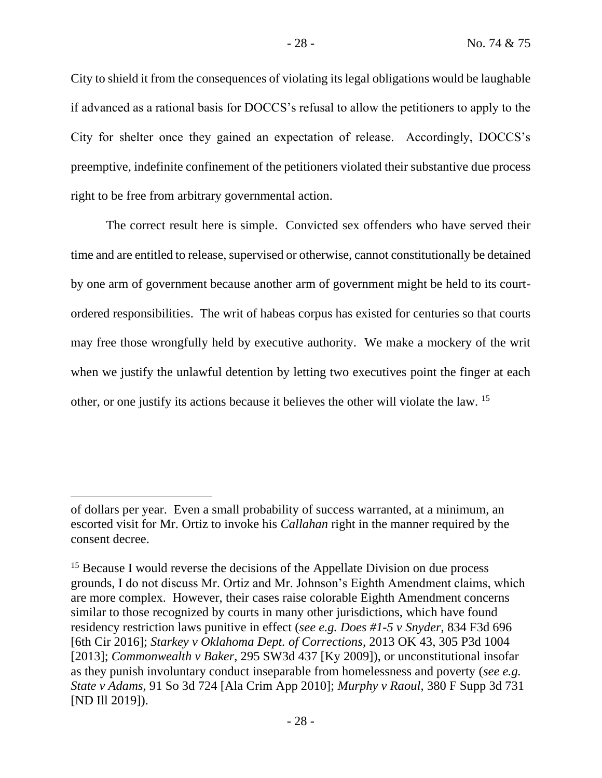City to shield it from the consequences of violating its legal obligations would be laughable if advanced as a rational basis for DOCCS's refusal to allow the petitioners to apply to the City for shelter once they gained an expectation of release. Accordingly, DOCCS's preemptive, indefinite confinement of the petitioners violated their substantive due process right to be free from arbitrary governmental action.

The correct result here is simple. Convicted sex offenders who have served their time and are entitled to release, supervised or otherwise, cannot constitutionally be detained by one arm of government because another arm of government might be held to its courtordered responsibilities. The writ of habeas corpus has existed for centuries so that courts may free those wrongfully held by executive authority. We make a mockery of the writ when we justify the unlawful detention by letting two executives point the finger at each other, or one justify its actions because it believes the other will violate the law. <sup>15</sup>

of dollars per year. Even a small probability of success warranted, at a minimum, an escorted visit for Mr. Ortiz to invoke his *Callahan* right in the manner required by the consent decree.

<sup>&</sup>lt;sup>15</sup> Because I would reverse the decisions of the Appellate Division on due process grounds, I do not discuss Mr. Ortiz and Mr. Johnson's Eighth Amendment claims, which are more complex. However, their cases raise colorable Eighth Amendment concerns similar to those recognized by courts in many other jurisdictions, which have found residency restriction laws punitive in effect (*see e.g. Does #1-5 v Snyder*, 834 F3d 696 [6th Cir 2016]; *Starkey v Oklahoma Dept. of Corrections*, 2013 OK 43, 305 P3d 1004 [2013]; *Commonwealth v Baker*, 295 SW3d 437 [Ky 2009]), or unconstitutional insofar as they punish involuntary conduct inseparable from homelessness and poverty (*see e.g. State v Adams*, 91 So 3d 724 [Ala Crim App 2010]; *Murphy v Raoul*, 380 F Supp 3d 731 [ND Ill 2019]).